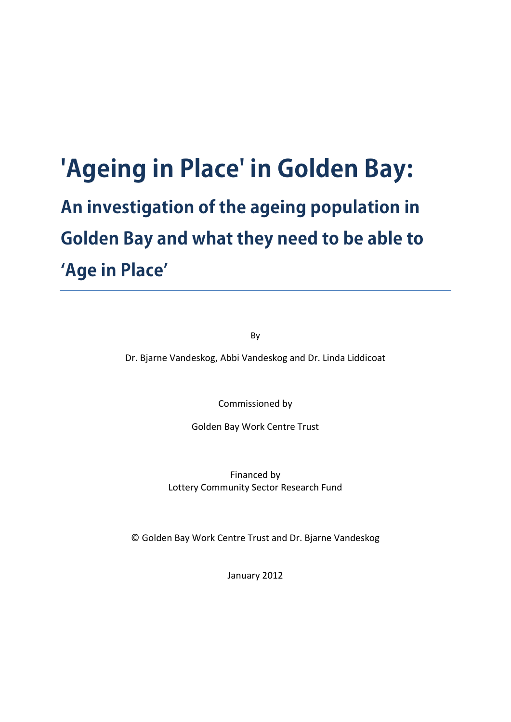# **'Ageing in Place' in Golden Bay: An investigation of the ageing population in Golden Bay and what they need to be able to 'Age in Place'**

By

Dr. Bjarne Vandeskog, Abbi Vandeskog and Dr. Linda Liddicoat

Commissioned by

Golden Bay Work Centre Trust

Financed by Lottery Community Sector Research Fund

© Golden Bay Work Centre Trust and Dr. Bjarne Vandeskog

January 2012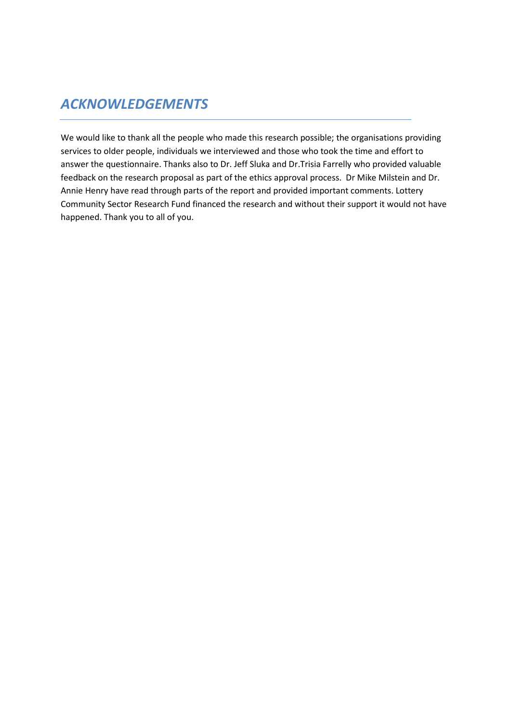# *ACKNOWLEDGEMENTS*

We would like to thank all the people who made this research possible; the organisations providing services to older people, individuals we interviewed and those who took the time and effort to answer the questionnaire. Thanks also to Dr. Jeff Sluka and Dr.Trisia Farrelly who provided valuable feedback on the research proposal as part of the ethics approval process. Dr Mike Milstein and Dr. Annie Henry have read through parts of the report and provided important comments. Lottery Community Sector Research Fund financed the research and without their support it would not have happened. Thank you to all of you.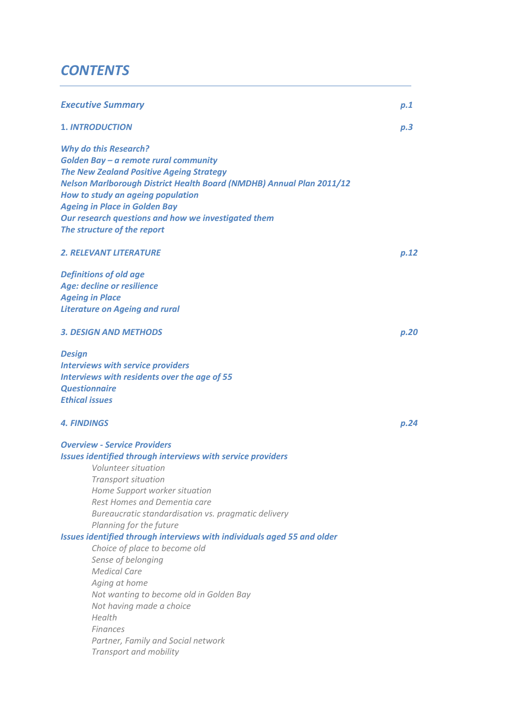# *CONTENTS*

| <b>Executive Summary</b>                                                                                                                                                                                                                                                                                                                                                   | p.1  |
|----------------------------------------------------------------------------------------------------------------------------------------------------------------------------------------------------------------------------------------------------------------------------------------------------------------------------------------------------------------------------|------|
| <b>1. INTRODUCTION</b>                                                                                                                                                                                                                                                                                                                                                     | p.3  |
| <b>Why do this Research?</b><br>Golden Bay - a remote rural community<br><b>The New Zealand Positive Ageing Strategy</b><br><b>Nelson Marlborough District Health Board (NMDHB) Annual Plan 2011/12</b><br>How to study an ageing population<br><b>Ageing in Place in Golden Bay</b><br>Our research questions and how we investigated them<br>The structure of the report |      |
| <b>2. RELEVANT LITERATURE</b>                                                                                                                                                                                                                                                                                                                                              | p.12 |
| <b>Definitions of old age</b><br>Age: decline or resilience<br><b>Ageing in Place</b><br><b>Literature on Ageing and rural</b>                                                                                                                                                                                                                                             |      |
| <b>3. DESIGN AND METHODS</b>                                                                                                                                                                                                                                                                                                                                               | p.20 |
| <b>Design</b><br><b>Interviews with service providers</b><br>Interviews with residents over the age of 55<br><b>Questionnaire</b><br><b>Ethical issues</b>                                                                                                                                                                                                                 |      |
| <b>4. FINDINGS</b>                                                                                                                                                                                                                                                                                                                                                         | p.24 |
| <b>Overview - Service Providers</b><br>Issues identified through interviews with service providers<br>Volunteer situation<br><b>Transport situation</b><br>Home Support worker situation<br>Rest Homes and Dementia care<br>Bureaucratic standardisation vs. pragmatic delivery<br>Planning for the future                                                                 |      |
| Issues identified through interviews with individuals aged 55 and older<br>Choice of place to become old<br>Sense of belonging<br><b>Medical Care</b><br>Aging at home<br>Not wanting to become old in Golden Bay<br>Not having made a choice<br>Health<br><b>Finances</b><br>Partner, Family and Social network<br>Transport and mobility                                 |      |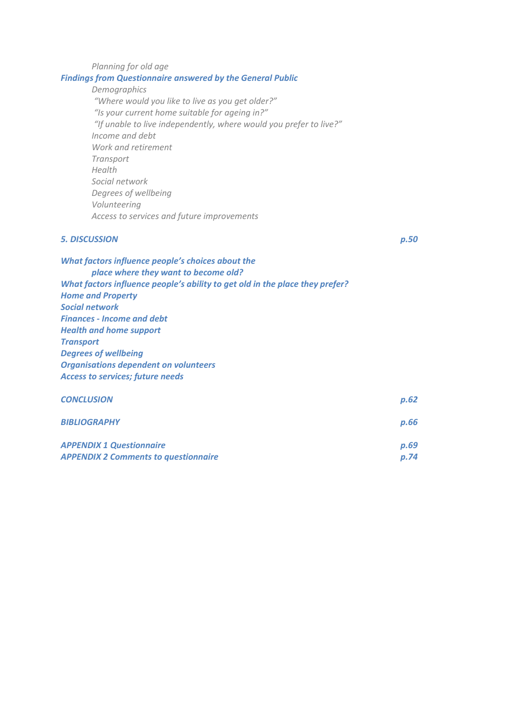# *Planning for old age Findings from Questionnaire answered by the General Public Demographics "Where would you like to live as you get older?" "Is your current home suitable for ageing in?"*

 *"If unable to live independently, where would you prefer to live?" Income and debt Work and retirement Transport Health Social network Degrees of wellbeing Volunteering Access to services and future improvements* 

# *5. DISCUSSION p.50*

| What factors influence people's choices about the<br>place where they want to become old? |      |  |  |
|-------------------------------------------------------------------------------------------|------|--|--|
| What factors influence people's ability to get old in the place they prefer?              |      |  |  |
| <b>Home and Property</b>                                                                  |      |  |  |
| Social network                                                                            |      |  |  |
| <b>Finances - Income and debt</b>                                                         |      |  |  |
| <b>Health and home support</b>                                                            |      |  |  |
| <b>Transport</b>                                                                          |      |  |  |
| <b>Degrees of wellbeing</b>                                                               |      |  |  |
| <b>Organisations dependent on volunteers</b>                                              |      |  |  |
| <b>Access to services; future needs</b>                                                   |      |  |  |
| <b>CONCLUSION</b>                                                                         | p.62 |  |  |

| <b>CUNCLUSIUIV</b>              | <b>U.UZ</b> |
|---------------------------------|-------------|
| <b>BIBLIOGRAPHY</b>             | p.66        |
| <b>APPENDIX 1 Questionnaire</b> | p.69        |

|                                             | _____ |
|---------------------------------------------|-------|
| <b>APPENDIX 2 Comments to questionnaire</b> | p.74  |
|                                             |       |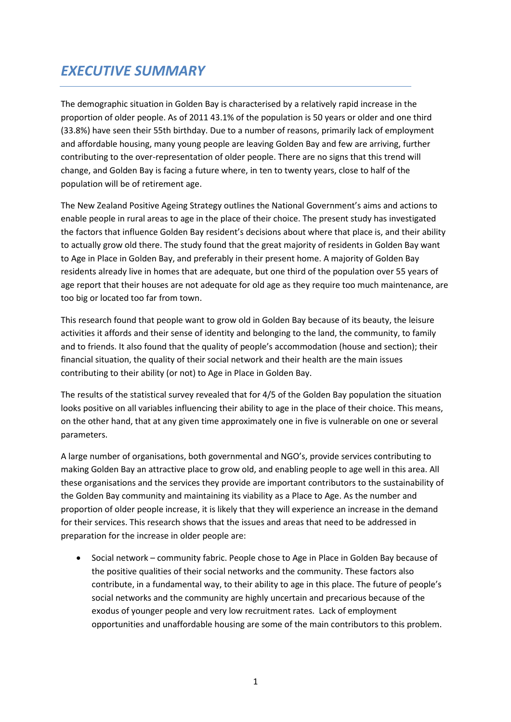# *EXECUTIVE SUMMARY*

The demographic situation in Golden Bay is characterised by a relatively rapid increase in the proportion of older people. As of 2011 43.1% of the population is 50 years or older and one third (33.8%) have seen their 55th birthday. Due to a number of reasons, primarily lack of employment and affordable housing, many young people are leaving Golden Bay and few are arriving, further contributing to the over-representation of older people. There are no signs that this trend will change, and Golden Bay is facing a future where, in ten to twenty years, close to half of the population will be of retirement age.

The New Zealand Positive Ageing Strategy outlines the National Government's aims and actions to enable people in rural areas to age in the place of their choice. The present study has investigated the factors that influence Golden Bay resident's decisions about where that place is, and their ability to actually grow old there. The study found that the great majority of residents in Golden Bay want to Age in Place in Golden Bay, and preferably in their present home. A majority of Golden Bay residents already live in homes that are adequate, but one third of the population over 55 years of age report that their houses are not adequate for old age as they require too much maintenance, are too big or located too far from town.

This research found that people want to grow old in Golden Bay because of its beauty, the leisure activities it affords and their sense of identity and belonging to the land, the community, to family and to friends. It also found that the quality of people's accommodation (house and section); their financial situation, the quality of their social network and their health are the main issues contributing to their ability (or not) to Age in Place in Golden Bay.

The results of the statistical survey revealed that for 4/5 of the Golden Bay population the situation looks positive on all variables influencing their ability to age in the place of their choice. This means, on the other hand, that at any given time approximately one in five is vulnerable on one or several parameters.

A large number of organisations, both governmental and NGO's, provide services contributing to making Golden Bay an attractive place to grow old, and enabling people to age well in this area. All these organisations and the services they provide are important contributors to the sustainability of the Golden Bay community and maintaining its viability as a Place to Age. As the number and proportion of older people increase, it is likely that they will experience an increase in the demand for their services. This research shows that the issues and areas that need to be addressed in preparation for the increase in older people are:

• Social network – community fabric. People chose to Age in Place in Golden Bay because of the positive qualities of their social networks and the community. These factors also contribute, in a fundamental way, to their ability to age in this place. The future of people's social networks and the community are highly uncertain and precarious because of the exodus of younger people and very low recruitment rates. Lack of employment opportunities and unaffordable housing are some of the main contributors to this problem.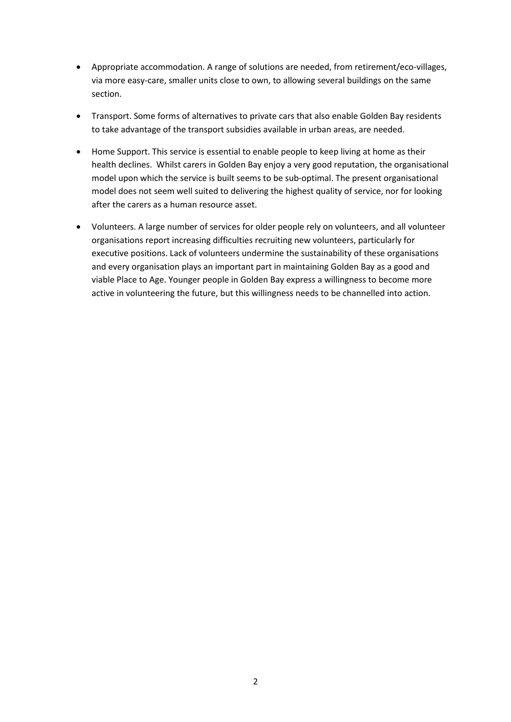- Appropriate accommodation. A range of solutions are needed, from retirement/eco-villages, via more easy-care, smaller units close to own, to allowing several buildings on the same section.
- Transport. Some forms of alternatives to private cars that also enable Golden Bay residents to take advantage of the transport subsidies available in urban areas, are needed.
- Home Support. This service is essential to enable people to keep living at home as their health declines. Whilst carers in Golden Bay enjoy a very good reputation, the organisational model upon which the service is built seems to be sub-optimal. The present organisational model does not seem well suited to delivering the highest quality of service, nor for looking after the carers as a human resource asset.
- Volunteers. A large number of services for older people rely on volunteers, and all volunteer organisations report increasing difficulties recruiting new volunteers, particularly for executive positions. Lack of volunteers undermine the sustainability of these organisations and every organisation plays an important part in maintaining Golden Bay as a good and viable Place to Age. Younger people in Golden Bay express a willingness to become more active in volunteering the future, but this willingness needs to be channelled into action.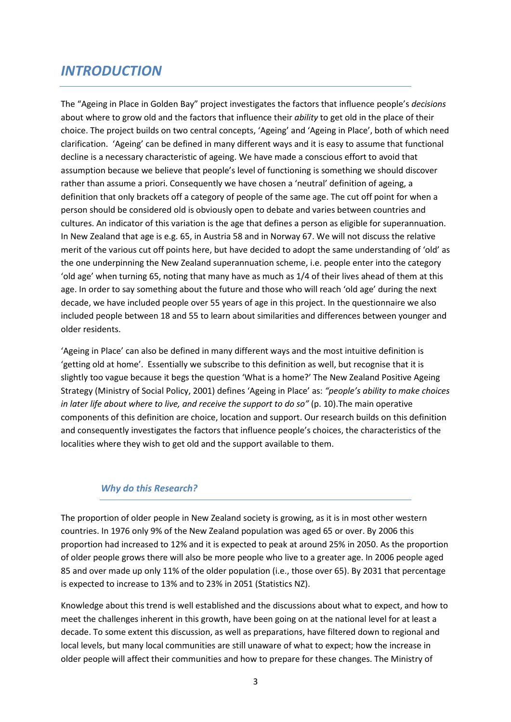# *INTRODUCTION*

The "Ageing in Place in Golden Bay" project investigates the factors that influence people's *decisions* about where to grow old and the factors that influence their *ability* to get old in the place of their choice. The project builds on two central concepts, 'Ageing' and 'Ageing in Place', both of which need clarification. 'Ageing' can be defined in many different ways and it is easy to assume that functional decline is a necessary characteristic of ageing. We have made a conscious effort to avoid that assumption because we believe that people's level of functioning is something we should discover rather than assume a priori. Consequently we have chosen a 'neutral' definition of ageing, a definition that only brackets off a category of people of the same age. The cut off point for when a person should be considered old is obviously open to debate and varies between countries and cultures. An indicator of this variation is the age that defines a person as eligible for superannuation. In New Zealand that age is e.g. 65, in Austria 58 and in Norway 67. We will not discuss the relative merit of the various cut off points here, but have decided to adopt the same understanding of 'old' as the one underpinning the New Zealand superannuation scheme, i.e. people enter into the category 'old age' when turning 65, noting that many have as much as 1/4 of their lives ahead of them at this age. In order to say something about the future and those who will reach 'old age' during the next decade, we have included people over 55 years of age in this project. In the questionnaire we also included people between 18 and 55 to learn about similarities and differences between younger and older residents.

'Ageing in Place' can also be defined in many different ways and the most intuitive definition is 'getting old at home'. Essentially we subscribe to this definition as well, but recognise that it is slightly too vague because it begs the question 'What is a home?' The New Zealand Positive Ageing Strategy (Ministry of Social Policy, 2001) defines 'Ageing in Place' as: *"people's ability to make choices in later life about where to live, and receive the support to do so"* (p. 10).The main operative components of this definition are choice, location and support. Our research builds on this definition and consequently investigates the factors that influence people's choices, the characteristics of the localities where they wish to get old and the support available to them.

# *Why do this Research?*

The proportion of older people in New Zealand society is growing, as it is in most other western countries. In 1976 only 9% of the New Zealand population was aged 65 or over. By 2006 this proportion had increased to 12% and it is expected to peak at around 25% in 2050. As the proportion of older people grows there will also be more people who live to a greater age. In 2006 people aged 85 and over made up only 11% of the older population (i.e., those over 65). By 2031 that percentage is expected to increase to 13% and to 23% in 2051 (Statistics NZ).

Knowledge about this trend is well established and the discussions about what to expect, and how to meet the challenges inherent in this growth, have been going on at the national level for at least a decade. To some extent this discussion, as well as preparations, have filtered down to regional and local levels, but many local communities are still unaware of what to expect; how the increase in older people will affect their communities and how to prepare for these changes. The Ministry of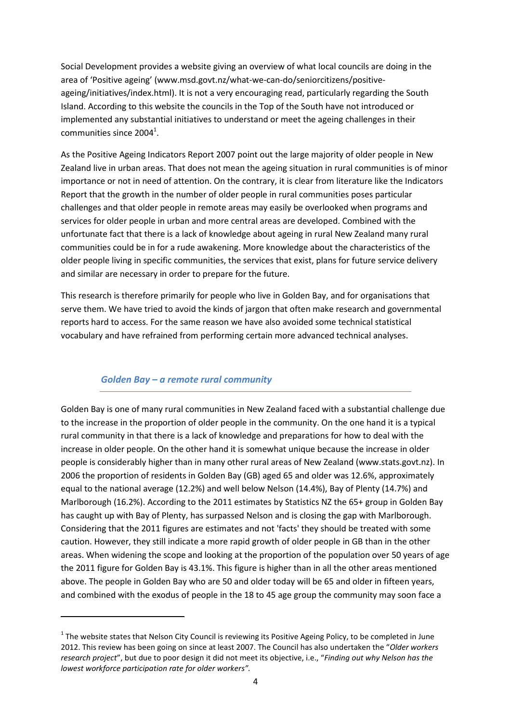Social Development provides a website giving an overview of what local councils are doing in the area of 'Positive ageing' (www.msd.govt.nz/what-we-can-do/seniorcitizens/positiveageing/initiatives/index.html). It is not a very encouraging read, particularly regarding the South Island. According to this website the councils in the Top of the South have not introduced or implemented any substantial initiatives to understand or meet the ageing challenges in their  $commu$ nities since 2004<sup>1</sup>.

As the Positive Ageing Indicators Report 2007 point out the large majority of older people in New Zealand live in urban areas. That does not mean the ageing situation in rural communities is of minor importance or not in need of attention. On the contrary, it is clear from literature like the Indicators Report that the growth in the number of older people in rural communities poses particular challenges and that older people in remote areas may easily be overlooked when programs and services for older people in urban and more central areas are developed. Combined with the unfortunate fact that there is a lack of knowledge about ageing in rural New Zealand many rural communities could be in for a rude awakening. More knowledge about the characteristics of the older people living in specific communities, the services that exist, plans for future service delivery and similar are necessary in order to prepare for the future.

This research is therefore primarily for people who live in Golden Bay, and for organisations that serve them. We have tried to avoid the kinds of jargon that often make research and governmental reports hard to access. For the same reason we have also avoided some technical statistical vocabulary and have refrained from performing certain more advanced technical analyses.

# *Golden Bay – a remote rural community*

-

Golden Bay is one of many rural communities in New Zealand faced with a substantial challenge due to the increase in the proportion of older people in the community. On the one hand it is a typical rural community in that there is a lack of knowledge and preparations for how to deal with the increase in older people. On the other hand it is somewhat unique because the increase in older people is considerably higher than in many other rural areas of New Zealand (www.stats.govt.nz). In 2006 the proportion of residents in Golden Bay (GB) aged 65 and older was 12.6%, approximately equal to the national average (12.2%) and well below Nelson (14.4%), Bay of Plenty (14.7%) and Marlborough (16.2%). According to the 2011 estimates by Statistics NZ the 65+ group in Golden Bay has caught up with Bay of Plenty, has surpassed Nelson and is closing the gap with Marlborough. Considering that the 2011 figures are estimates and not 'facts' they should be treated with some caution. However, they still indicate a more rapid growth of older people in GB than in the other areas. When widening the scope and looking at the proportion of the population over 50 years of age the 2011 figure for Golden Bay is 43.1%. This figure is higher than in all the other areas mentioned above. The people in Golden Bay who are 50 and older today will be 65 and older in fifteen years, and combined with the exodus of people in the 18 to 45 age group the community may soon face a

 $1$  The website states that Nelson City Council is reviewing its Positive Ageing Policy, to be completed in June 2012. This review has been going on since at least 2007. The Council has also undertaken the "*Older workers research project*", but due to poor design it did not meet its objective, i.e., "*Finding out why Nelson has the lowest workforce participation rate for older workers".*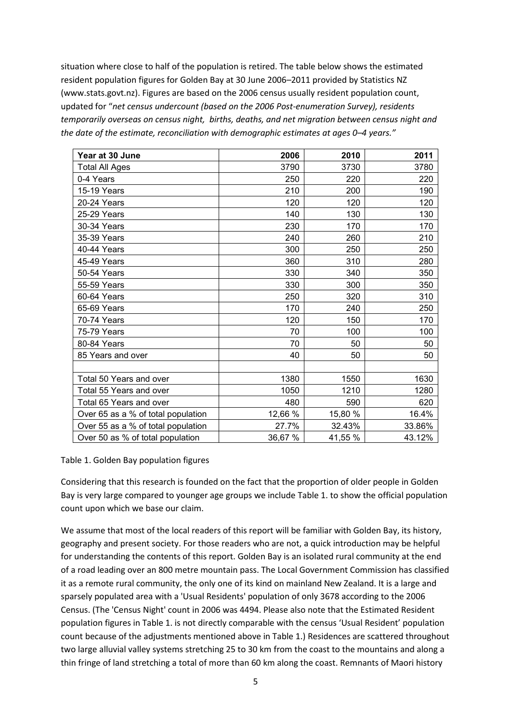situation where close to half of the population is retired. The table below shows the estimated resident population figures for Golden Bay at 30 June 2006–2011 provided by Statistics NZ (www.stats.govt.nz). Figures are based on the 2006 census usually resident population count, updated for "*net census undercount (based on the 2006 Post-enumeration Survey), residents temporarily overseas on census night, births, deaths, and net migration between census night and the date of the estimate, reconciliation with demographic estimates at ages 0–4 years."*

| Year at 30 June                    | 2006    | 2010    | 2011   |
|------------------------------------|---------|---------|--------|
| Total All Ages                     | 3790    | 3730    | 3780   |
| 0-4 Years                          | 250     | 220     | 220    |
| 15-19 Years                        | 210     | 200     | 190    |
| 20-24 Years                        | 120     | 120     | 120    |
| 25-29 Years                        | 140     | 130     | 130    |
| 30-34 Years                        | 230     | 170     | 170    |
| 35-39 Years                        | 240     | 260     | 210    |
| 40-44 Years                        | 300     | 250     | 250    |
| 45-49 Years                        | 360     | 310     | 280    |
| 50-54 Years                        | 330     | 340     | 350    |
| 55-59 Years                        | 330     | 300     | 350    |
| 60-64 Years                        | 250     | 320     | 310    |
| 65-69 Years                        | 170     | 240     | 250    |
| 70-74 Years                        | 120     | 150     | 170    |
| 75-79 Years                        | 70      | 100     | 100    |
| 80-84 Years                        | 70      | 50      | 50     |
| 85 Years and over                  | 40      | 50      | 50     |
|                                    |         |         |        |
| Total 50 Years and over            | 1380    | 1550    | 1630   |
| Total 55 Years and over            | 1050    | 1210    | 1280   |
| Total 65 Years and over            | 480     | 590     | 620    |
| Over 65 as a % of total population | 12,66 % | 15,80 % | 16.4%  |
| Over 55 as a % of total population | 27.7%   | 32.43%  | 33.86% |
| Over 50 as % of total population   | 36,67 % | 41,55 % | 43.12% |

Table 1. Golden Bay population figures

Considering that this research is founded on the fact that the proportion of older people in Golden Bay is very large compared to younger age groups we include Table 1. to show the official population count upon which we base our claim.

We assume that most of the local readers of this report will be familiar with Golden Bay, its history, geography and present society. For those readers who are not, a quick introduction may be helpful for understanding the contents of this report. Golden Bay is an isolated rural community at the end of a road leading over an 800 metre mountain pass. The Local Government Commission has classified it as a remote rural community, the only one of its kind on mainland New Zealand. It is a large and sparsely populated area with a 'Usual Residents' population of only 3678 according to the 2006 Census. (The 'Census Night' count in 2006 was 4494. Please also note that the Estimated Resident population figures in Table 1. is not directly comparable with the census 'Usual Resident' population count because of the adjustments mentioned above in Table 1.) Residences are scattered throughout two large alluvial valley systems stretching 25 to 30 km from the coast to the mountains and along a thin fringe of land stretching a total of more than 60 km along the coast. Remnants of Maori history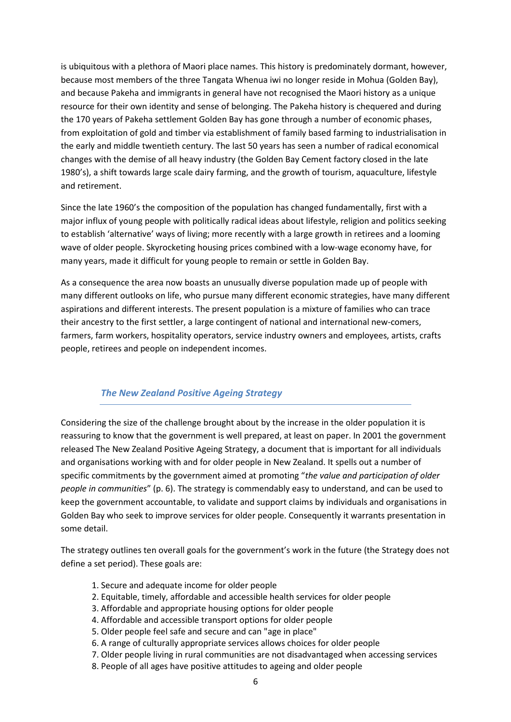is ubiquitous with a plethora of Maori place names. This history is predominately dormant, however, because most members of the three Tangata Whenua iwi no longer reside in Mohua (Golden Bay), and because Pakeha and immigrants in general have not recognised the Maori history as a unique resource for their own identity and sense of belonging. The Pakeha history is chequered and during the 170 years of Pakeha settlement Golden Bay has gone through a number of economic phases, from exploitation of gold and timber via establishment of family based farming to industrialisation in the early and middle twentieth century. The last 50 years has seen a number of radical economical changes with the demise of all heavy industry (the Golden Bay Cement factory closed in the late 1980's), a shift towards large scale dairy farming, and the growth of tourism, aquaculture, lifestyle and retirement.

Since the late 1960's the composition of the population has changed fundamentally, first with a major influx of young people with politically radical ideas about lifestyle, religion and politics seeking to establish 'alternative' ways of living; more recently with a large growth in retirees and a looming wave of older people. Skyrocketing housing prices combined with a low-wage economy have, for many years, made it difficult for young people to remain or settle in Golden Bay.

As a consequence the area now boasts an unusually diverse population made up of people with many different outlooks on life, who pursue many different economic strategies, have many different aspirations and different interests. The present population is a mixture of families who can trace their ancestry to the first settler, a large contingent of national and international new-comers, farmers, farm workers, hospitality operators, service industry owners and employees, artists, crafts people, retirees and people on independent incomes.

# *The New Zealand Positive Ageing Strategy*

Considering the size of the challenge brought about by the increase in the older population it is reassuring to know that the government is well prepared, at least on paper. In 2001 the government released The New Zealand Positive Ageing Strategy, a document that is important for all individuals and organisations working with and for older people in New Zealand. It spells out a number of specific commitments by the government aimed at promoting "*the value and participation of older people in communities*" (p. 6). The strategy is commendably easy to understand, and can be used to keep the government accountable, to validate and support claims by individuals and organisations in Golden Bay who seek to improve services for older people. Consequently it warrants presentation in some detail.

The strategy outlines ten overall goals for the government's work in the future (the Strategy does not define a set period). These goals are:

- 1. Secure and adequate income for older people
- 2. Equitable, timely, affordable and accessible health services for older people
- 3. Affordable and appropriate housing options for older people
- 4. Affordable and accessible transport options for older people
- 5. Older people feel safe and secure and can "age in place"
- 6. A range of culturally appropriate services allows choices for older people
- 7. Older people living in rural communities are not disadvantaged when accessing services
- 8. People of all ages have positive attitudes to ageing and older people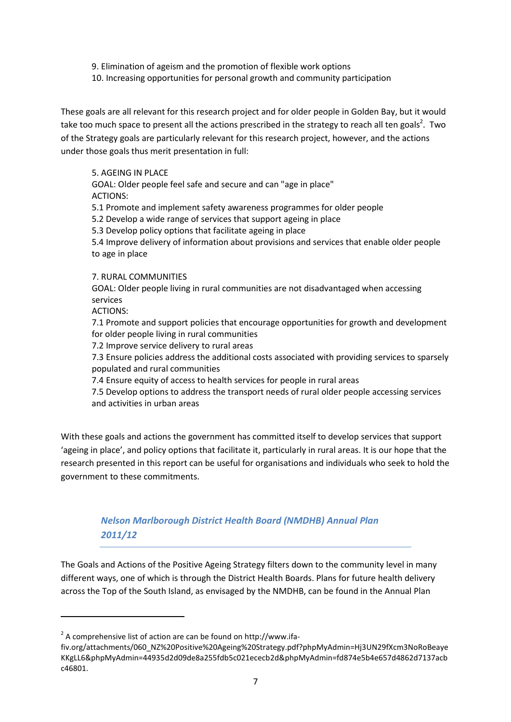9. Elimination of ageism and the promotion of flexible work options

10. Increasing opportunities for personal growth and community participation

These goals are all relevant for this research project and for older people in Golden Bay, but it would take too much space to present all the actions prescribed in the strategy to reach all ten goals<sup>2</sup>. Two of the Strategy goals are particularly relevant for this research project, however, and the actions under those goals thus merit presentation in full:

### 5. AGEING IN PLACE

GOAL: Older people feel safe and secure and can "age in place" ACTIONS:

5.1 Promote and implement safety awareness programmes for older people

5.2 Develop a wide range of services that support ageing in place

5.3 Develop policy options that facilitate ageing in place

5.4 Improve delivery of information about provisions and services that enable older people to age in place

#### 7. RURAL COMMUNITIES

GOAL: Older people living in rural communities are not disadvantaged when accessing services

ACTIONS:

-

7.1 Promote and support policies that encourage opportunities for growth and development for older people living in rural communities

7.2 Improve service delivery to rural areas

7.3 Ensure policies address the additional costs associated with providing services to sparsely populated and rural communities

7.4 Ensure equity of access to health services for people in rural areas

7.5 Develop options to address the transport needs of rural older people accessing services and activities in urban areas

With these goals and actions the government has committed itself to develop services that support 'ageing in place', and policy options that facilitate it, particularly in rural areas. It is our hope that the research presented in this report can be useful for organisations and individuals who seek to hold the government to these commitments.

# *Nelson Marlborough District Health Board (NMDHB) Annual Plan 2011/12*

The Goals and Actions of the Positive Ageing Strategy filters down to the community level in many different ways, one of which is through the District Health Boards. Plans for future health delivery across the Top of the South Island, as envisaged by the NMDHB, can be found in the Annual Plan

 $2^{2}$  A comprehensive list of action are can be found on http://www.ifa-

fiv.org/attachments/060\_NZ%20Positive%20Ageing%20Strategy.pdf?phpMyAdmin=Hj3UN29fXcm3NoRoBeaye KKgLL6&phpMyAdmin=44935d2d09de8a255fdb5c021ececb2d&phpMyAdmin=fd874e5b4e657d4862d7137acb c46801.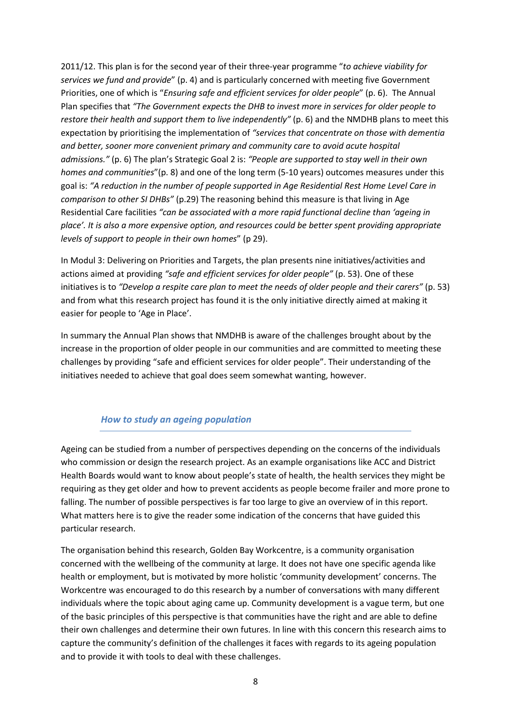2011/12. This plan is for the second year of their three-year programme "*to achieve viability for services we fund and provide*" (p. 4) and is particularly concerned with meeting five Government Priorities, one of which is "*Ensuring safe and efficient services for older people*" (p. 6). The Annual Plan specifies that *"The Government expects the DHB to invest more in services for older people to restore their health and support them to live independently"* (p. 6) and the NMDHB plans to meet this expectation by prioritising the implementation of *"services that concentrate on those with dementia and better, sooner more convenient primary and community care to avoid acute hospital admissions."* (p. 6) The plan's Strategic Goal 2 is: *"People are supported to stay well in their own homes and communities*"(p. 8) and one of the long term (5-10 years) outcomes measures under this goal is: *"A reduction in the number of people supported in Age Residential Rest Home Level Care in comparison to other SI DHBs"* (p.29) The reasoning behind this measure is that living in Age Residential Care facilities *"can be associated with a more rapid functional decline than 'ageing in place'. It is also a more expensive option, and resources could be better spent providing appropriate levels of support to people in their own homes*" (p 29).

In Modul 3: Delivering on Priorities and Targets, the plan presents nine initiatives/activities and actions aimed at providing *"safe and efficient services for older people"* (p. 53). One of these initiatives is to *"Develop a respite care plan to meet the needs of older people and their carers"* (p. 53) and from what this research project has found it is the only initiative directly aimed at making it easier for people to 'Age in Place'.

In summary the Annual Plan shows that NMDHB is aware of the challenges brought about by the increase in the proportion of older people in our communities and are committed to meeting these challenges by providing "safe and efficient services for older people". Their understanding of the initiatives needed to achieve that goal does seem somewhat wanting, however.

# *How to study an ageing population*

Ageing can be studied from a number of perspectives depending on the concerns of the individuals who commission or design the research project. As an example organisations like ACC and District Health Boards would want to know about people's state of health, the health services they might be requiring as they get older and how to prevent accidents as people become frailer and more prone to falling. The number of possible perspectives is far too large to give an overview of in this report. What matters here is to give the reader some indication of the concerns that have guided this particular research.

The organisation behind this research, Golden Bay Workcentre, is a community organisation concerned with the wellbeing of the community at large. It does not have one specific agenda like health or employment, but is motivated by more holistic 'community development' concerns. The Workcentre was encouraged to do this research by a number of conversations with many different individuals where the topic about aging came up. Community development is a vague term, but one of the basic principles of this perspective is that communities have the right and are able to define their own challenges and determine their own futures. In line with this concern this research aims to capture the community's definition of the challenges it faces with regards to its ageing population and to provide it with tools to deal with these challenges.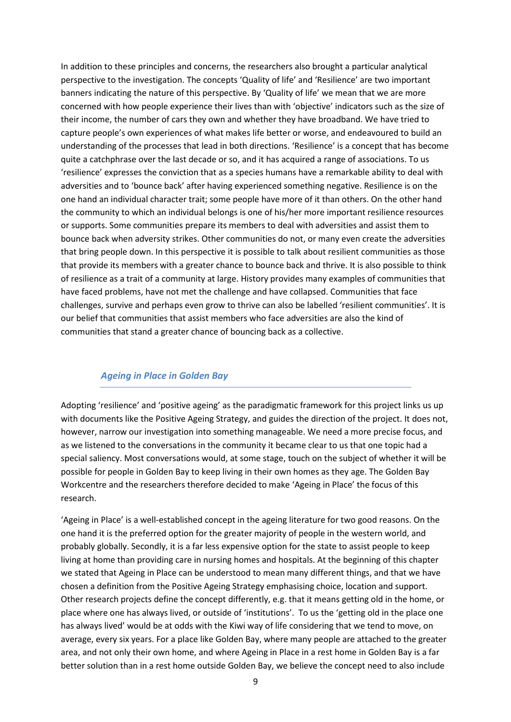In addition to these principles and concerns, the researchers also brought a particular analytical perspective to the investigation. The concepts 'Quality of life' and 'Resilience' are two important banners indicating the nature of this perspective. By 'Quality of life' we mean that we are more concerned with how people experience their lives than with 'objective' indicators such as the size of their income, the number of cars they own and whether they have broadband. We have tried to capture people's own experiences of what makes life better or worse, and endeavoured to build an understanding of the processes that lead in both directions. 'Resilience' is a concept that has become quite a catchphrase over the last decade or so, and it has acquired a range of associations. To us 'resilience' expresses the conviction that as a species humans have a remarkable ability to deal with adversities and to 'bounce back' after having experienced something negative. Resilience is on the one hand an individual character trait; some people have more of it than others. On the other hand the community to which an individual belongs is one of his/her more important resilience resources or supports. Some communities prepare its members to deal with adversities and assist them to bounce back when adversity strikes. Other communities do not, or many even create the adversities that bring people down. In this perspective it is possible to talk about resilient communities as those that provide its members with a greater chance to bounce back and thrive. It is also possible to think of resilience as a trait of a community at large. History provides many examples of communities that have faced problems, have not met the challenge and have collapsed. Communities that face challenges, survive and perhaps even grow to thrive can also be labelled 'resilient communities'. It is our belief that communities that assist members who face adversities are also the kind of communities that stand a greater chance of bouncing back as a collective.

#### *Ageing in Place in Golden Bay*

Adopting 'resilience' and 'positive ageing' as the paradigmatic framework for this project links us up with documents like the Positive Ageing Strategy, and guides the direction of the project. It does not, however, narrow our investigation into something manageable. We need a more precise focus, and as we listened to the conversations in the community it became clear to us that one topic had a special saliency. Most conversations would, at some stage, touch on the subject of whether it will be possible for people in Golden Bay to keep living in their own homes as they age. The Golden Bay Workcentre and the researchers therefore decided to make 'Ageing in Place' the focus of this research.

'Ageing in Place' is a well-established concept in the ageing literature for two good reasons. On the one hand it is the preferred option for the greater majority of people in the western world, and probably globally. Secondly, it is a far less expensive option for the state to assist people to keep living at home than providing care in nursing homes and hospitals. At the beginning of this chapter we stated that Ageing in Place can be understood to mean many different things, and that we have chosen a definition from the Positive Ageing Strategy emphasising choice, location and support. Other research projects define the concept differently, e.g. that it means getting old in the home, or place where one has always lived, or outside of 'institutions'. To us the 'getting old in the place one has always lived' would be at odds with the Kiwi way of life considering that we tend to move, on average, every six years. For a place like Golden Bay, where many people are attached to the greater area, and not only their own home, and where Ageing in Place in a rest home in Golden Bay is a far better solution than in a rest home outside Golden Bay, we believe the concept need to also include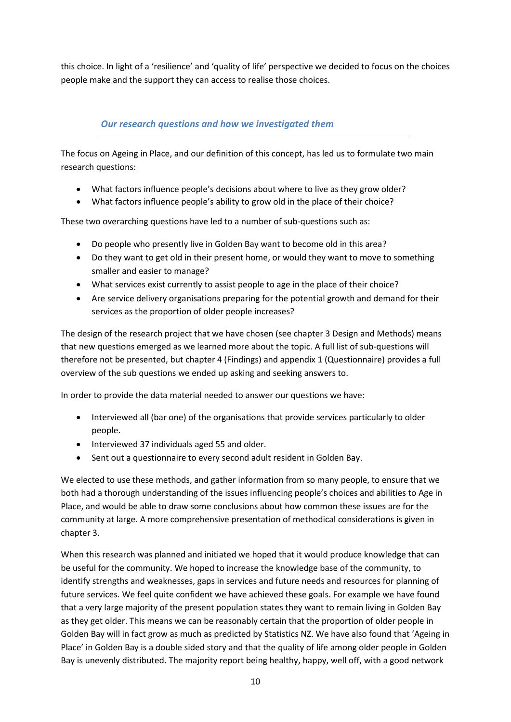this choice. In light of a 'resilience' and 'quality of life' perspective we decided to focus on the choices people make and the support they can access to realise those choices.

# *Our research questions and how we investigated them*

The focus on Ageing in Place, and our definition of this concept, has led us to formulate two main research questions:

- What factors influence people's decisions about where to live as they grow older?
- What factors influence people's ability to grow old in the place of their choice?

These two overarching questions have led to a number of sub-questions such as:

- Do people who presently live in Golden Bay want to become old in this area?
- Do they want to get old in their present home, or would they want to move to something smaller and easier to manage?
- What services exist currently to assist people to age in the place of their choice?
- Are service delivery organisations preparing for the potential growth and demand for their services as the proportion of older people increases?

The design of the research project that we have chosen (see chapter 3 Design and Methods) means that new questions emerged as we learned more about the topic. A full list of sub-questions will therefore not be presented, but chapter 4 (Findings) and appendix 1 (Questionnaire) provides a full overview of the sub questions we ended up asking and seeking answers to.

In order to provide the data material needed to answer our questions we have:

- Interviewed all (bar one) of the organisations that provide services particularly to older people.
- Interviewed 37 individuals aged 55 and older.
- Sent out a questionnaire to every second adult resident in Golden Bay.

We elected to use these methods, and gather information from so many people, to ensure that we both had a thorough understanding of the issues influencing people's choices and abilities to Age in Place, and would be able to draw some conclusions about how common these issues are for the community at large. A more comprehensive presentation of methodical considerations is given in chapter 3.

When this research was planned and initiated we hoped that it would produce knowledge that can be useful for the community. We hoped to increase the knowledge base of the community, to identify strengths and weaknesses, gaps in services and future needs and resources for planning of future services. We feel quite confident we have achieved these goals. For example we have found that a very large majority of the present population states they want to remain living in Golden Bay as they get older. This means we can be reasonably certain that the proportion of older people in Golden Bay will in fact grow as much as predicted by Statistics NZ. We have also found that 'Ageing in Place' in Golden Bay is a double sided story and that the quality of life among older people in Golden Bay is unevenly distributed. The majority report being healthy, happy, well off, with a good network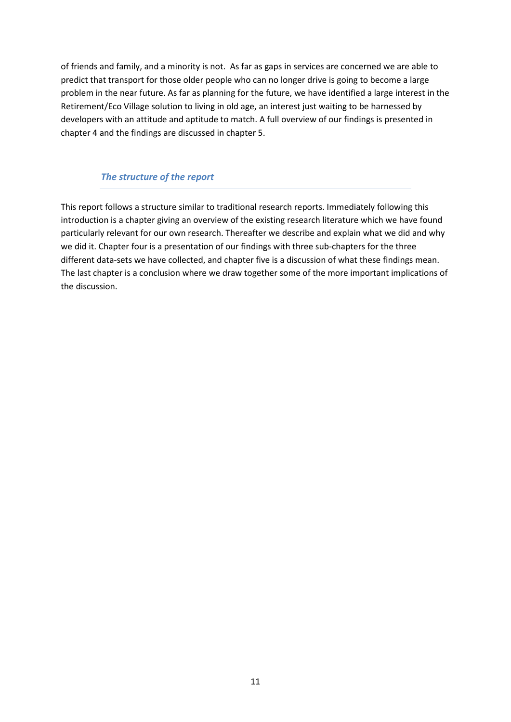of friends and family, and a minority is not. As far as gaps in services are concerned we are able to predict that transport for those older people who can no longer drive is going to become a large problem in the near future. As far as planning for the future, we have identified a large interest in the Retirement/Eco Village solution to living in old age, an interest just waiting to be harnessed by developers with an attitude and aptitude to match. A full overview of our findings is presented in chapter 4 and the findings are discussed in chapter 5.

# *The structure of the report*

This report follows a structure similar to traditional research reports. Immediately following this introduction is a chapter giving an overview of the existing research literature which we have found particularly relevant for our own research. Thereafter we describe and explain what we did and why we did it. Chapter four is a presentation of our findings with three sub-chapters for the three different data-sets we have collected, and chapter five is a discussion of what these findings mean. The last chapter is a conclusion where we draw together some of the more important implications of the discussion.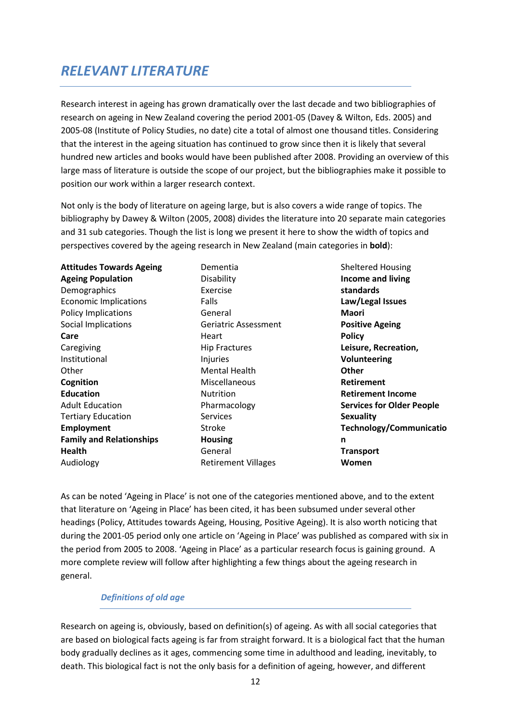# *RELEVANT LITERATURE*

Research interest in ageing has grown dramatically over the last decade and two bibliographies of research on ageing in New Zealand covering the period 2001-05 (Davey & Wilton, Eds. 2005) and 2005-08 (Institute of Policy Studies, no date) cite a total of almost one thousand titles. Considering that the interest in the ageing situation has continued to grow since then it is likely that several hundred new articles and books would have been published after 2008. Providing an overview of this large mass of literature is outside the scope of our project, but the bibliographies make it possible to position our work within a larger research context.

Not only is the body of literature on ageing large, but is also covers a wide range of topics. The bibliography by Dawey & Wilton (2005, 2008) divides the literature into 20 separate main categories and 31 sub categories. Though the list is long we present it here to show the width of topics and perspectives covered by the ageing research in New Zealand (main categories in **bold**):

Dementia Disability Exercise Falls General Geriatric Assessment Heart Hip Fractures **Injuries** Mental Health Miscellaneous **Nutrition** Pharmacology Services Stroke **Housing**  General Retirement Villages

Sheltered Housing **Income and living standards Law/Legal Issues Maori Positive Ageing Policy Leisure, Recreation, Volunteering Other Retirement Retirement Income Services for Older People Sexuality Technology/Communicatio n Transport Women** 

As can be noted 'Ageing in Place' is not one of the categories mentioned above, and to the extent that literature on 'Ageing in Place' has been cited, it has been subsumed under several other headings (Policy, Attitudes towards Ageing, Housing, Positive Ageing). It is also worth noticing that during the 2001-05 period only one article on 'Ageing in Place' was published as compared with six in the period from 2005 to 2008. 'Ageing in Place' as a particular research focus is gaining ground. A more complete review will follow after highlighting a few things about the ageing research in general.

# *Definitions of old age*

Research on ageing is, obviously, based on definition(s) of ageing. As with all social categories that are based on biological facts ageing is far from straight forward. It is a biological fact that the human body gradually declines as it ages, commencing some time in adulthood and leading, inevitably, to death. This biological fact is not the only basis for a definition of ageing, however, and different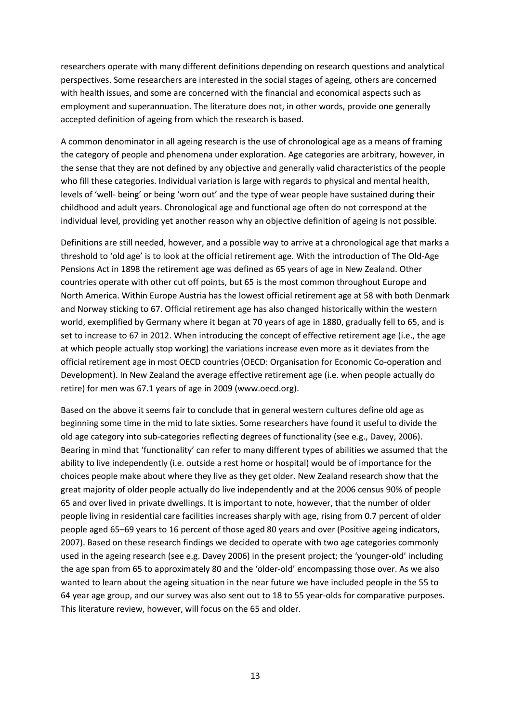researchers operate with many different definitions depending on research questions and analytical perspectives. Some researchers are interested in the social stages of ageing, others are concerned with health issues, and some are concerned with the financial and economical aspects such as employment and superannuation. The literature does not, in other words, provide one generally accepted definition of ageing from which the research is based.

A common denominator in all ageing research is the use of chronological age as a means of framing the category of people and phenomena under exploration. Age categories are arbitrary, however, in the sense that they are not defined by any objective and generally valid characteristics of the people who fill these categories. Individual variation is large with regards to physical and mental health, levels of 'well- being' or being 'worn out' and the type of wear people have sustained during their childhood and adult years. Chronological age and functional age often do not correspond at the individual level, providing yet another reason why an objective definition of ageing is not possible.

Definitions are still needed, however, and a possible way to arrive at a chronological age that marks a threshold to 'old age' is to look at the official retirement age. With the introduction of The Old-Age Pensions Act in 1898 the retirement age was defined as 65 years of age in New Zealand. Other countries operate with other cut off points, but 65 is the most common throughout Europe and North America. Within Europe Austria has the lowest official retirement age at 58 with both Denmark and Norway sticking to 67. Official retirement age has also changed historically within the western world, exemplified by Germany where it began at 70 years of age in 1880, gradually fell to 65, and is set to increase to 67 in 2012. When introducing the concept of effective retirement age (i.e., the age at which people actually stop working) the variations increase even more as it deviates from the official retirement age in most OECD countries (OECD: Organisation for Economic Co-operation and Development). In New Zealand the average effective retirement age (i.e. when people actually do retire) for men was 67.1 years of age in 2009 (www.oecd.org).

Based on the above it seems fair to conclude that in general western cultures define old age as beginning some time in the mid to late sixties. Some researchers have found it useful to divide the old age category into sub-categories reflecting degrees of functionality (see e.g., Davey, 2006). Bearing in mind that 'functionality' can refer to many different types of abilities we assumed that the ability to live independently (i.e. outside a rest home or hospital) would be of importance for the choices people make about where they live as they get older. New Zealand research show that the great majority of older people actually do live independently and at the 2006 census 90% of people 65 and over lived in private dwellings. It is important to note, however, that the number of older people living in residential care facilities increases sharply with age, rising from 0.7 percent of older people aged 65–69 years to 16 percent of those aged 80 years and over (Positive ageing indicators, 2007). Based on these research findings we decided to operate with two age categories commonly used in the ageing research (see e.g. Davey 2006) in the present project; the 'younger-old' including the age span from 65 to approximately 80 and the 'older-old' encompassing those over. As we also wanted to learn about the ageing situation in the near future we have included people in the 55 to 64 year age group, and our survey was also sent out to 18 to 55 year-olds for comparative purposes. This literature review, however, will focus on the 65 and older.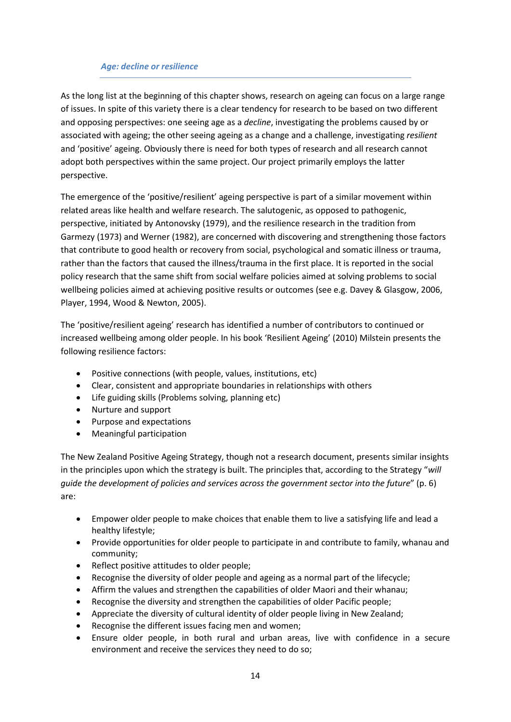### *Age: decline or resilience*

As the long list at the beginning of this chapter shows, research on ageing can focus on a large range of issues. In spite of this variety there is a clear tendency for research to be based on two different and opposing perspectives: one seeing age as a *decline*, investigating the problems caused by or associated with ageing; the other seeing ageing as a change and a challenge, investigating *resilient* and 'positive' ageing. Obviously there is need for both types of research and all research cannot adopt both perspectives within the same project. Our project primarily employs the latter perspective.

The emergence of the 'positive/resilient' ageing perspective is part of a similar movement within related areas like health and welfare research. The salutogenic, as opposed to pathogenic, perspective, initiated by Antonovsky (1979), and the resilience research in the tradition from Garmezy (1973) and Werner (1982), are concerned with discovering and strengthening those factors that contribute to good health or recovery from social, psychological and somatic illness or trauma, rather than the factors that caused the illness/trauma in the first place. It is reported in the social policy research that the same shift from social welfare policies aimed at solving problems to social wellbeing policies aimed at achieving positive results or outcomes (see e.g. Davey & Glasgow, 2006, Player, 1994, Wood & Newton, 2005).

The 'positive/resilient ageing' research has identified a number of contributors to continued or increased wellbeing among older people. In his book 'Resilient Ageing' (2010) Milstein presents the following resilience factors:

- Positive connections (with people, values, institutions, etc)
- Clear, consistent and appropriate boundaries in relationships with others
- Life guiding skills (Problems solving, planning etc)
- Nurture and support
- Purpose and expectations
- Meaningful participation

The New Zealand Positive Ageing Strategy, though not a research document, presents similar insights in the principles upon which the strategy is built. The principles that, according to the Strategy "*will guide the development of policies and services across the government sector into the future*" (p. 6) are:

- Empower older people to make choices that enable them to live a satisfying life and lead a healthy lifestyle;
- Provide opportunities for older people to participate in and contribute to family, whanau and community;
- Reflect positive attitudes to older people;
- Recognise the diversity of older people and ageing as a normal part of the lifecycle;
- Affirm the values and strengthen the capabilities of older Maori and their whanau;
- Recognise the diversity and strengthen the capabilities of older Pacific people;
- Appreciate the diversity of cultural identity of older people living in New Zealand;
- Recognise the different issues facing men and women;
- Ensure older people, in both rural and urban areas, live with confidence in a secure environment and receive the services they need to do so;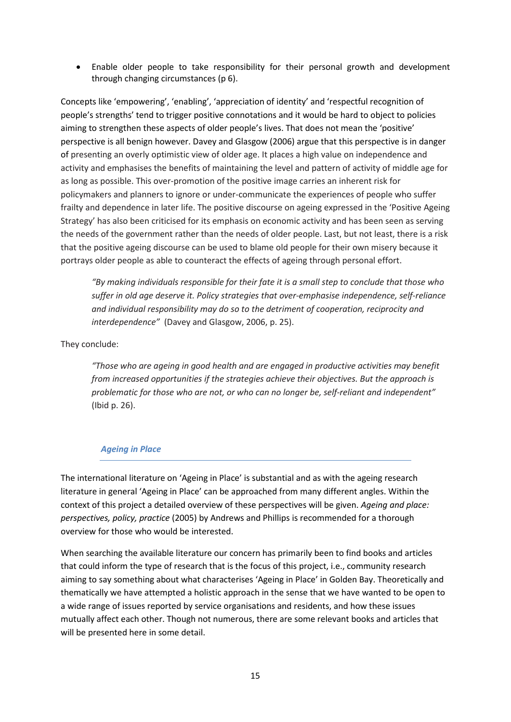• Enable older people to take responsibility for their personal growth and development through changing circumstances (p 6).

Concepts like 'empowering', 'enabling', 'appreciation of identity' and 'respectful recognition of people's strengths' tend to trigger positive connotations and it would be hard to object to policies aiming to strengthen these aspects of older people's lives. That does not mean the 'positive' perspective is all benign however. Davey and Glasgow (2006) argue that this perspective is in danger of presenting an overly optimistic view of older age. It places a high value on independence and activity and emphasises the benefits of maintaining the level and pattern of activity of middle age for as long as possible. This over-promotion of the positive image carries an inherent risk for policymakers and planners to ignore or under-communicate the experiences of people who suffer frailty and dependence in later life. The positive discourse on ageing expressed in the 'Positive Ageing Strategy' has also been criticised for its emphasis on economic activity and has been seen as serving the needs of the government rather than the needs of older people. Last, but not least, there is a risk that the positive ageing discourse can be used to blame old people for their own misery because it portrays older people as able to counteract the effects of ageing through personal effort.

*"By making individuals responsible for their fate it is a small step to conclude that those who suffer in old age deserve it. Policy strategies that over-emphasise independence, self-reliance and individual responsibility may do so to the detriment of cooperation, reciprocity and interdependence"* (Davey and Glasgow, 2006, p. 25).

# They conclude:

*"Those who are ageing in good health and are engaged in productive activities may benefit from increased opportunities if the strategies achieve their objectives. But the approach is problematic for those who are not, or who can no longer be, self-reliant and independent"* (Ibid p. 26).

#### *Ageing in Place*

The international literature on 'Ageing in Place' is substantial and as with the ageing research literature in general 'Ageing in Place' can be approached from many different angles. Within the context of this project a detailed overview of these perspectives will be given. *Ageing and place: perspectives, policy, practice* (2005) by Andrews and Phillips is recommended for a thorough overview for those who would be interested.

When searching the available literature our concern has primarily been to find books and articles that could inform the type of research that is the focus of this project, i.e., community research aiming to say something about what characterises 'Ageing in Place' in Golden Bay. Theoretically and thematically we have attempted a holistic approach in the sense that we have wanted to be open to a wide range of issues reported by service organisations and residents, and how these issues mutually affect each other. Though not numerous, there are some relevant books and articles that will be presented here in some detail.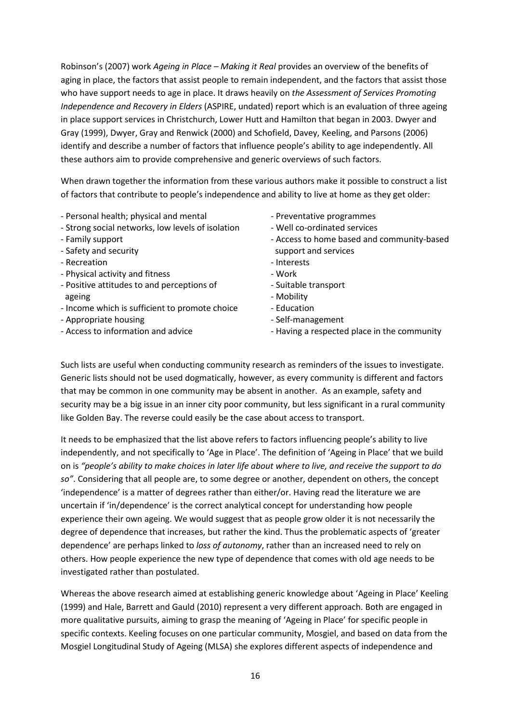Robinson's (2007) work *Ageing in Place – Making it Real* provides an overview of the benefits of aging in place, the factors that assist people to remain independent, and the factors that assist those who have support needs to age in place. It draws heavily on *the Assessment of Services Promoting Independence and Recovery in Elders* (ASPIRE, undated) report which is an evaluation of three ageing in place support services in Christchurch, Lower Hutt and Hamilton that began in 2003. Dwyer and Gray (1999), Dwyer, Gray and Renwick (2000) and Schofield, Davey, Keeling, and Parsons (2006) identify and describe a number of factors that influence people's ability to age independently. All these authors aim to provide comprehensive and generic overviews of such factors.

When drawn together the information from these various authors make it possible to construct a list of factors that contribute to people's independence and ability to live at home as they get older:

- Personal health; physical and mental
- Strong social networks, low levels of isolation
- Family support
- Safety and security
- Recreation
- Physical activity and fitness
- Positive attitudes to and perceptions of ageing
- Income which is sufficient to promote choice
- Appropriate housing
- Access to information and advice
- Preventative programmes
- Well co-ordinated services
- Access to home based and community-based support and services
- Interests
- Work
- Suitable transport
- Mobility
- Education
- Self-management
- Having a respected place in the community

Such lists are useful when conducting community research as reminders of the issues to investigate. Generic lists should not be used dogmatically, however, as every community is different and factors that may be common in one community may be absent in another. As an example, safety and security may be a big issue in an inner city poor community, but less significant in a rural community like Golden Bay. The reverse could easily be the case about access to transport.

It needs to be emphasized that the list above refers to factors influencing people's ability to live independently, and not specifically to 'Age in Place'. The definition of 'Ageing in Place' that we build on is *"people's ability to make choices in later life about where to live, and receive the support to do so"*. Considering that all people are, to some degree or another, dependent on others, the concept 'independence' is a matter of degrees rather than either/or. Having read the literature we are uncertain if 'in/dependence' is the correct analytical concept for understanding how people experience their own ageing. We would suggest that as people grow older it is not necessarily the degree of dependence that increases, but rather the kind. Thus the problematic aspects of 'greater dependence' are perhaps linked to *loss of autonomy*, rather than an increased need to rely on others. How people experience the new type of dependence that comes with old age needs to be investigated rather than postulated.

Whereas the above research aimed at establishing generic knowledge about 'Ageing in Place' Keeling (1999) and Hale, Barrett and Gauld (2010) represent a very different approach. Both are engaged in more qualitative pursuits, aiming to grasp the meaning of 'Ageing in Place' for specific people in specific contexts. Keeling focuses on one particular community, Mosgiel, and based on data from the Mosgiel Longitudinal Study of Ageing (MLSA) she explores different aspects of independence and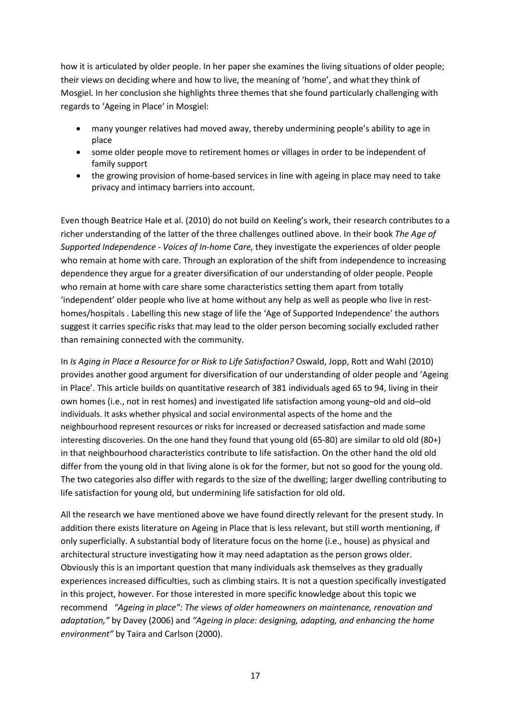how it is articulated by older people. In her paper she examines the living situations of older people; their views on deciding where and how to live, the meaning of 'home', and what they think of Mosgiel. In her conclusion she highlights three themes that she found particularly challenging with regards to 'Ageing in Place' in Mosgiel:

- many younger relatives had moved away, thereby undermining people's ability to age in place
- some older people move to retirement homes or villages in order to be independent of family support
- the growing provision of home-based services in line with ageing in place may need to take privacy and intimacy barriers into account.

Even though Beatrice Hale et al. (2010) do not build on Keeling's work, their research contributes to a richer understanding of the latter of the three challenges outlined above. In their book *The Age of Supported Independence - Voices of In-home Care,* they investigate the experiences of older people who remain at home with care. Through an exploration of the shift from independence to increasing dependence they argue for a greater diversification of our understanding of older people. People who remain at home with care share some characteristics setting them apart from totally 'independent' older people who live at home without any help as well as people who live in resthomes/hospitals . Labelling this new stage of life the 'Age of Supported Independence' the authors suggest it carries specific risks that may lead to the older person becoming socially excluded rather than remaining connected with the community.

In *Is Aging in Place a Resource for or Risk to Life Satisfaction?* Oswald, Jopp, Rott and Wahl (2010) provides another good argument for diversification of our understanding of older people and 'Ageing in Place'. This article builds on quantitative research of 381 individuals aged 65 to 94, living in their own homes (i.e., not in rest homes) and investigated life satisfaction among young–old and old–old individuals. It asks whether physical and social environmental aspects of the home and the neighbourhood represent resources or risks for increased or decreased satisfaction and made some interesting discoveries. On the one hand they found that young old (65-80) are similar to old old (80+) in that neighbourhood characteristics contribute to life satisfaction. On the other hand the old old differ from the young old in that living alone is ok for the former, but not so good for the young old. The two categories also differ with regards to the size of the dwelling; larger dwelling contributing to life satisfaction for young old, but undermining life satisfaction for old old.

All the research we have mentioned above we have found directly relevant for the present study. In addition there exists literature on Ageing in Place that is less relevant, but still worth mentioning, if only superficially. A substantial body of literature focus on the home (i.e., house) as physical and architectural structure investigating how it may need adaptation as the person grows older. Obviously this is an important question that many individuals ask themselves as they gradually experiences increased difficulties, such as climbing stairs. It is not a question specifically investigated in this project, however. For those interested in more specific knowledge about this topic we recommend *"Ageing in place": The views of older homeowners on maintenance, renovation and adaptation,"* by Davey (2006) and *"Ageing in place: designing, adapting, and enhancing the home environment"* by Taira and Carlson (2000).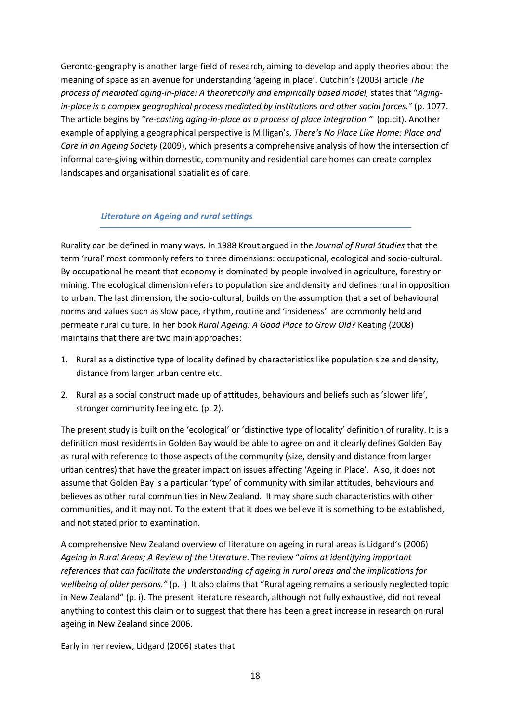Geronto-geography is another large field of research, aiming to develop and apply theories about the meaning of space as an avenue for understanding 'ageing in place'. Cutchin's (2003) article *The*  process of mediated aging-in-place: A theoretically and empirically based model, states that "Aging*in-place is a complex geographical process mediated by institutions and other social forces."* (p. 1077. The article begins by *"re-casting aging-in-place as a process of place integration."* (op.cit). Another example of applying a geographical perspective is Milligan's, *There's No Place Like Home: Place and Care in an Ageing Society* (2009), which presents a comprehensive analysis of how the intersection of informal care-giving within domestic, community and residential care homes can create complex landscapes and organisational spatialities of care.

#### *Literature on Ageing and rural settings*

Rurality can be defined in many ways. In 1988 Krout argued in the *Journal of Rural Studies* that the term 'rural' most commonly refers to three dimensions: occupational, ecological and socio-cultural. By occupational he meant that economy is dominated by people involved in agriculture, forestry or mining. The ecological dimension refers to population size and density and defines rural in opposition to urban. The last dimension, the socio-cultural, builds on the assumption that a set of behavioural norms and values such as slow pace, rhythm, routine and 'insideness' are commonly held and permeate rural culture. In her book *Rural Ageing: A Good Place to Grow Old?* Keating (2008) maintains that there are two main approaches:

- 1. Rural as a distinctive type of locality defined by characteristics like population size and density, distance from larger urban centre etc.
- 2. Rural as a social construct made up of attitudes, behaviours and beliefs such as 'slower life', stronger community feeling etc. (p. 2).

The present study is built on the 'ecological' or 'distinctive type of locality' definition of rurality. It is a definition most residents in Golden Bay would be able to agree on and it clearly defines Golden Bay as rural with reference to those aspects of the community (size, density and distance from larger urban centres) that have the greater impact on issues affecting 'Ageing in Place'. Also, it does not assume that Golden Bay is a particular 'type' of community with similar attitudes, behaviours and believes as other rural communities in New Zealand. It may share such characteristics with other communities, and it may not. To the extent that it does we believe it is something to be established, and not stated prior to examination.

A comprehensive New Zealand overview of literature on ageing in rural areas is Lidgard's (2006) *Ageing in Rural Areas; A Review of the Literature*. The review "*aims at identifying important references that can facilitate the understanding of ageing in rural areas and the implications for wellbeing of older persons."* (p. i) It also claims that "Rural ageing remains a seriously neglected topic in New Zealand" (p. i). The present literature research, although not fully exhaustive, did not reveal anything to contest this claim or to suggest that there has been a great increase in research on rural ageing in New Zealand since 2006.

Early in her review, Lidgard (2006) states that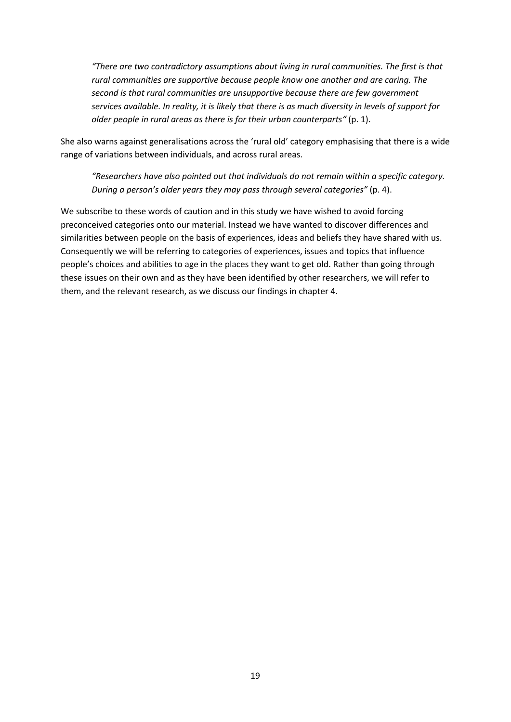*"There are two contradictory assumptions about living in rural communities. The first is that rural communities are supportive because people know one another and are caring. The second is that rural communities are unsupportive because there are few government services available. In reality, it is likely that there is as much diversity in levels of support for older people in rural areas as there is for their urban counterparts"* (p. 1).

She also warns against generalisations across the 'rural old' category emphasising that there is a wide range of variations between individuals, and across rural areas.

*"Researchers have also pointed out that individuals do not remain within a specific category. During a person's older years they may pass through several categories"* (p. 4).

We subscribe to these words of caution and in this study we have wished to avoid forcing preconceived categories onto our material. Instead we have wanted to discover differences and similarities between people on the basis of experiences, ideas and beliefs they have shared with us. Consequently we will be referring to categories of experiences, issues and topics that influence people's choices and abilities to age in the places they want to get old. Rather than going through these issues on their own and as they have been identified by other researchers, we will refer to them, and the relevant research, as we discuss our findings in chapter 4.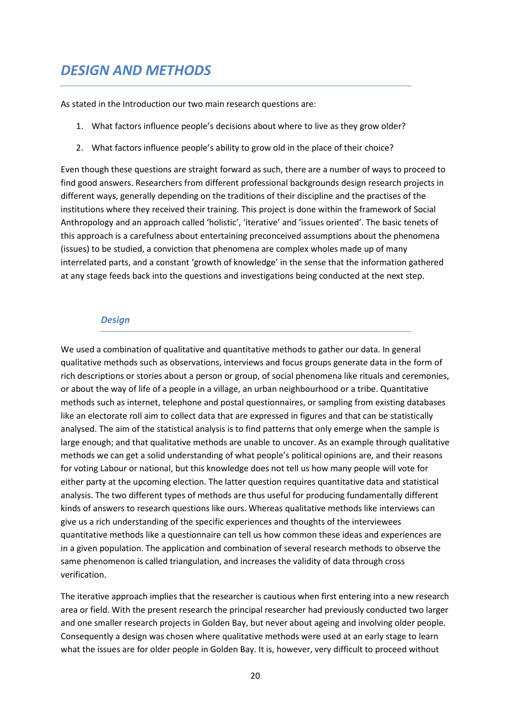# *DESIGN AND METHODS*

As stated in the Introduction our two main research questions are:

- 1. What factors influence people's decisions about where to live as they grow older?
- 2. What factors influence people's ability to grow old in the place of their choice?

Even though these questions are straight forward as such, there are a number of ways to proceed to find good answers. Researchers from different professional backgrounds design research projects in different ways, generally depending on the traditions of their discipline and the practises of the institutions where they received their training. This project is done within the framework of Social Anthropology and an approach called 'holistic', 'iterative' and 'issues oriented'. The basic tenets of this approach is a carefulness about entertaining preconceived assumptions about the phenomena (issues) to be studied, a conviction that phenomena are complex wholes made up of many interrelated parts, and a constant 'growth of knowledge' in the sense that the information gathered at any stage feeds back into the questions and investigations being conducted at the next step.

#### *Design*

We used a combination of qualitative and quantitative methods to gather our data. In general qualitative methods such as observations, interviews and focus groups generate data in the form of rich descriptions or stories about a person or group, of social phenomena like rituals and ceremonies, or about the way of life of a people in a village, an urban neighbourhood or a tribe. Quantitative methods such as internet, telephone and postal questionnaires, or sampling from existing databases like an electorate roll aim to collect data that are expressed in figures and that can be statistically analysed. The aim of the statistical analysis is to find patterns that only emerge when the sample is large enough; and that qualitative methods are unable to uncover. As an example through qualitative methods we can get a solid understanding of what people's political opinions are, and their reasons for voting Labour or national, but this knowledge does not tell us how many people will vote for either party at the upcoming election. The latter question requires quantitative data and statistical analysis. The two different types of methods are thus useful for producing fundamentally different kinds of answers to research questions like ours. Whereas qualitative methods like interviews can give us a rich understanding of the specific experiences and thoughts of the interviewees quantitative methods like a questionnaire can tell us how common these ideas and experiences are in a given population. The application and combination of several research methods to observe the same phenomenon is called triangulation, and increases the validity of data through cross verification.

The iterative approach implies that the researcher is cautious when first entering into a new research area or field. With the present research the principal researcher had previously conducted two larger and one smaller research projects in Golden Bay, but never about ageing and involving older people. Consequently a design was chosen where qualitative methods were used at an early stage to learn what the issues are for older people in Golden Bay. It is, however, very difficult to proceed without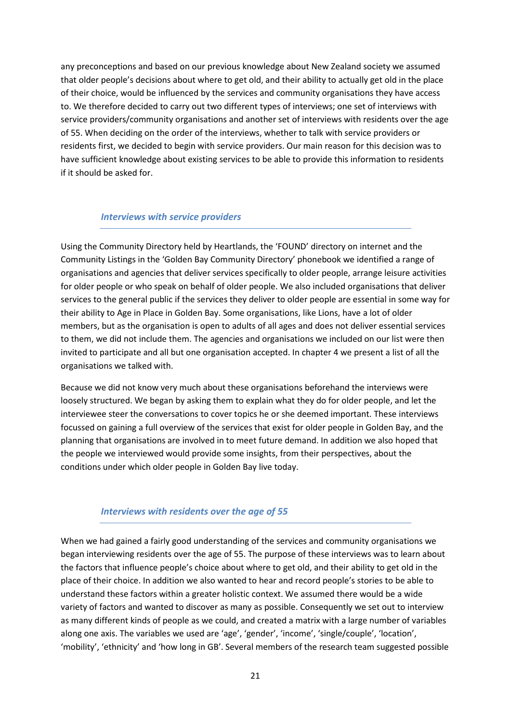any preconceptions and based on our previous knowledge about New Zealand society we assumed that older people's decisions about where to get old, and their ability to actually get old in the place of their choice, would be influenced by the services and community organisations they have access to. We therefore decided to carry out two different types of interviews; one set of interviews with service providers/community organisations and another set of interviews with residents over the age of 55. When deciding on the order of the interviews, whether to talk with service providers or residents first, we decided to begin with service providers. Our main reason for this decision was to have sufficient knowledge about existing services to be able to provide this information to residents if it should be asked for.

#### *Interviews with service providers*

Using the Community Directory held by Heartlands, the 'FOUND' directory on internet and the Community Listings in the 'Golden Bay Community Directory' phonebook we identified a range of organisations and agencies that deliver services specifically to older people, arrange leisure activities for older people or who speak on behalf of older people. We also included organisations that deliver services to the general public if the services they deliver to older people are essential in some way for their ability to Age in Place in Golden Bay. Some organisations, like Lions, have a lot of older members, but as the organisation is open to adults of all ages and does not deliver essential services to them, we did not include them. The agencies and organisations we included on our list were then invited to participate and all but one organisation accepted. In chapter 4 we present a list of all the organisations we talked with.

Because we did not know very much about these organisations beforehand the interviews were loosely structured. We began by asking them to explain what they do for older people, and let the interviewee steer the conversations to cover topics he or she deemed important. These interviews focussed on gaining a full overview of the services that exist for older people in Golden Bay, and the planning that organisations are involved in to meet future demand. In addition we also hoped that the people we interviewed would provide some insights, from their perspectives, about the conditions under which older people in Golden Bay live today.

# *Interviews with residents over the age of 55*

When we had gained a fairly good understanding of the services and community organisations we began interviewing residents over the age of 55. The purpose of these interviews was to learn about the factors that influence people's choice about where to get old, and their ability to get old in the place of their choice. In addition we also wanted to hear and record people's stories to be able to understand these factors within a greater holistic context. We assumed there would be a wide variety of factors and wanted to discover as many as possible. Consequently we set out to interview as many different kinds of people as we could, and created a matrix with a large number of variables along one axis. The variables we used are 'age', 'gender', 'income', 'single/couple', 'location', 'mobility', 'ethnicity' and 'how long in GB'. Several members of the research team suggested possible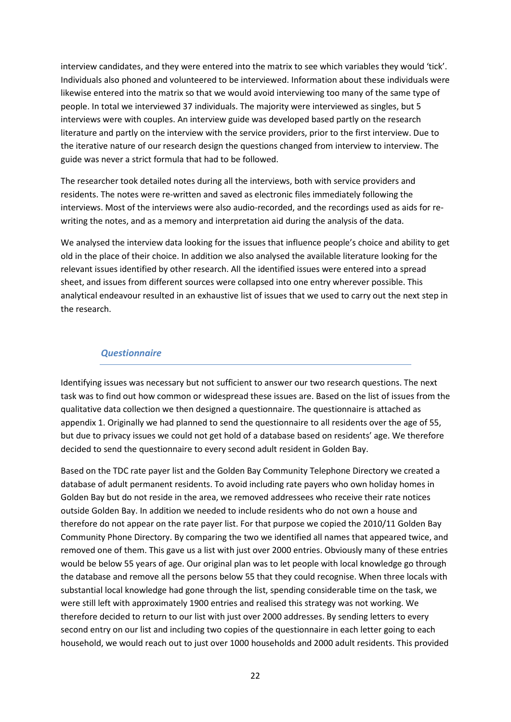interview candidates, and they were entered into the matrix to see which variables they would 'tick'. Individuals also phoned and volunteered to be interviewed. Information about these individuals were likewise entered into the matrix so that we would avoid interviewing too many of the same type of people. In total we interviewed 37 individuals. The majority were interviewed as singles, but 5 interviews were with couples. An interview guide was developed based partly on the research literature and partly on the interview with the service providers, prior to the first interview. Due to the iterative nature of our research design the questions changed from interview to interview. The guide was never a strict formula that had to be followed.

The researcher took detailed notes during all the interviews, both with service providers and residents. The notes were re-written and saved as electronic files immediately following the interviews. Most of the interviews were also audio-recorded, and the recordings used as aids for rewriting the notes, and as a memory and interpretation aid during the analysis of the data.

We analysed the interview data looking for the issues that influence people's choice and ability to get old in the place of their choice. In addition we also analysed the available literature looking for the relevant issues identified by other research. All the identified issues were entered into a spread sheet, and issues from different sources were collapsed into one entry wherever possible. This analytical endeavour resulted in an exhaustive list of issues that we used to carry out the next step in the research.

#### *Questionnaire*

Identifying issues was necessary but not sufficient to answer our two research questions. The next task was to find out how common or widespread these issues are. Based on the list of issues from the qualitative data collection we then designed a questionnaire. The questionnaire is attached as appendix 1. Originally we had planned to send the questionnaire to all residents over the age of 55, but due to privacy issues we could not get hold of a database based on residents' age. We therefore decided to send the questionnaire to every second adult resident in Golden Bay.

Based on the TDC rate payer list and the Golden Bay Community Telephone Directory we created a database of adult permanent residents. To avoid including rate payers who own holiday homes in Golden Bay but do not reside in the area, we removed addressees who receive their rate notices outside Golden Bay. In addition we needed to include residents who do not own a house and therefore do not appear on the rate payer list. For that purpose we copied the 2010/11 Golden Bay Community Phone Directory. By comparing the two we identified all names that appeared twice, and removed one of them. This gave us a list with just over 2000 entries. Obviously many of these entries would be below 55 years of age. Our original plan was to let people with local knowledge go through the database and remove all the persons below 55 that they could recognise. When three locals with substantial local knowledge had gone through the list, spending considerable time on the task, we were still left with approximately 1900 entries and realised this strategy was not working. We therefore decided to return to our list with just over 2000 addresses. By sending letters to every second entry on our list and including two copies of the questionnaire in each letter going to each household, we would reach out to just over 1000 households and 2000 adult residents. This provided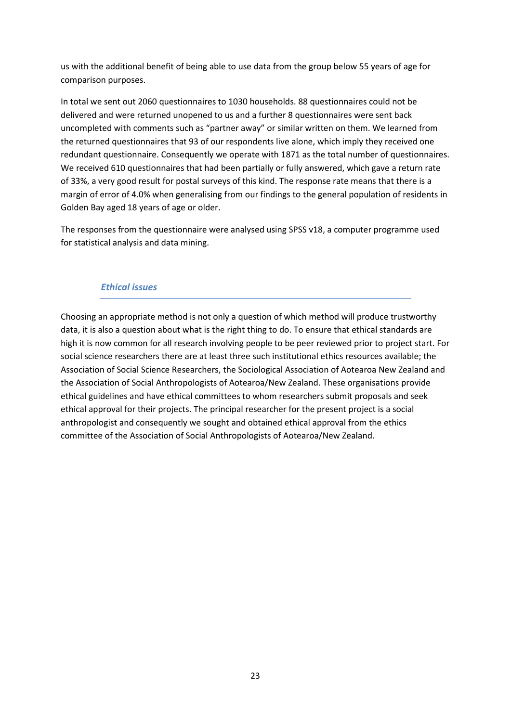us with the additional benefit of being able to use data from the group below 55 years of age for comparison purposes.

In total we sent out 2060 questionnaires to 1030 households. 88 questionnaires could not be delivered and were returned unopened to us and a further 8 questionnaires were sent back uncompleted with comments such as "partner away" or similar written on them. We learned from the returned questionnaires that 93 of our respondents live alone, which imply they received one redundant questionnaire. Consequently we operate with 1871 as the total number of questionnaires. We received 610 questionnaires that had been partially or fully answered, which gave a return rate of 33%, a very good result for postal surveys of this kind. The response rate means that there is a margin of error of 4.0% when generalising from our findings to the general population of residents in Golden Bay aged 18 years of age or older.

The responses from the questionnaire were analysed using SPSS v18, a computer programme used for statistical analysis and data mining.

# *Ethical issues*

Choosing an appropriate method is not only a question of which method will produce trustworthy data, it is also a question about what is the right thing to do. To ensure that ethical standards are high it is now common for all research involving people to be peer reviewed prior to project start. For social science researchers there are at least three such institutional ethics resources available; the Association of Social Science Researchers, the Sociological Association of Aotearoa New Zealand and the Association of Social Anthropologists of Aotearoa/New Zealand. These organisations provide ethical guidelines and have ethical committees to whom researchers submit proposals and seek ethical approval for their projects. The principal researcher for the present project is a social anthropologist and consequently we sought and obtained ethical approval from the ethics committee of the Association of Social Anthropologists of Aotearoa/New Zealand.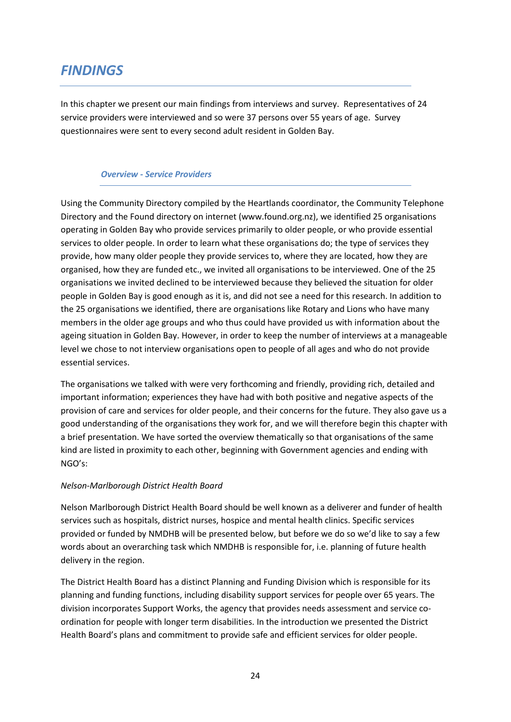# *FINDINGS*

In this chapter we present our main findings from interviews and survey. Representatives of 24 service providers were interviewed and so were 37 persons over 55 years of age. Survey questionnaires were sent to every second adult resident in Golden Bay.

#### *Overview - Service Providers*

Using the Community Directory compiled by the Heartlands coordinator, the Community Telephone Directory and the Found directory on internet (www.found.org.nz), we identified 25 organisations operating in Golden Bay who provide services primarily to older people, or who provide essential services to older people. In order to learn what these organisations do; the type of services they provide, how many older people they provide services to, where they are located, how they are organised, how they are funded etc., we invited all organisations to be interviewed. One of the 25 organisations we invited declined to be interviewed because they believed the situation for older people in Golden Bay is good enough as it is, and did not see a need for this research. In addition to the 25 organisations we identified, there are organisations like Rotary and Lions who have many members in the older age groups and who thus could have provided us with information about the ageing situation in Golden Bay. However, in order to keep the number of interviews at a manageable level we chose to not interview organisations open to people of all ages and who do not provide essential services.

The organisations we talked with were very forthcoming and friendly, providing rich, detailed and important information; experiences they have had with both positive and negative aspects of the provision of care and services for older people, and their concerns for the future. They also gave us a good understanding of the organisations they work for, and we will therefore begin this chapter with a brief presentation. We have sorted the overview thematically so that organisations of the same kind are listed in proximity to each other, beginning with Government agencies and ending with NGO's:

# *Nelson-Marlborough District Health Board*

Nelson Marlborough District Health Board should be well known as a deliverer and funder of health services such as hospitals, district nurses, hospice and mental health clinics. Specific services provided or funded by NMDHB will be presented below, but before we do so we'd like to say a few words about an overarching task which NMDHB is responsible for, i.e. planning of future health delivery in the region.

The District Health Board has a distinct Planning and Funding Division which is responsible for its planning and funding functions, including disability support services for people over 65 years. The division incorporates Support Works, the agency that provides needs assessment and service coordination for people with longer term disabilities. In the introduction we presented the District Health Board's plans and commitment to provide safe and efficient services for older people.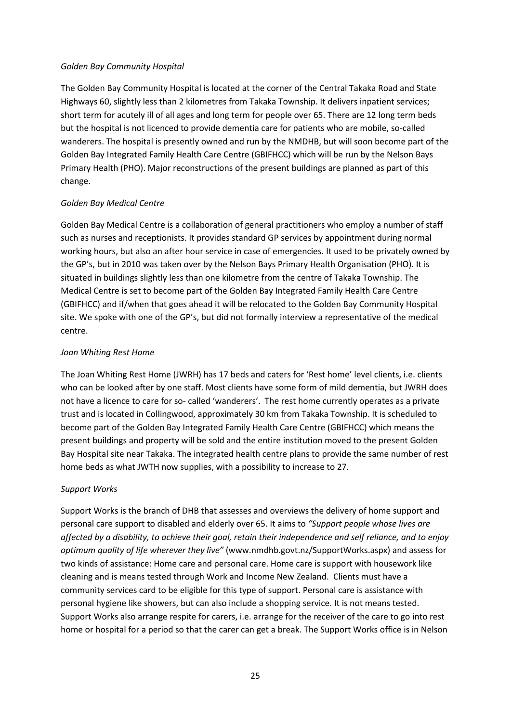#### *Golden Bay Community Hospital*

The Golden Bay Community Hospital is located at the corner of the Central Takaka Road and State Highways 60, slightly less than 2 kilometres from Takaka Township. It delivers inpatient services; short term for acutely ill of all ages and long term for people over 65. There are 12 long term beds but the hospital is not licenced to provide dementia care for patients who are mobile, so-called wanderers. The hospital is presently owned and run by the NMDHB, but will soon become part of the Golden Bay Integrated Family Health Care Centre (GBIFHCC) which will be run by the Nelson Bays Primary Health (PHO). Major reconstructions of the present buildings are planned as part of this change.

# *Golden Bay Medical Centre*

Golden Bay Medical Centre is a collaboration of general practitioners who employ a number of staff such as nurses and receptionists. It provides standard GP services by appointment during normal working hours, but also an after hour service in case of emergencies. It used to be privately owned by the GP's, but in 2010 was taken over by the Nelson Bays Primary Health Organisation (PHO). It is situated in buildings slightly less than one kilometre from the centre of Takaka Township. The Medical Centre is set to become part of the Golden Bay Integrated Family Health Care Centre (GBIFHCC) and if/when that goes ahead it will be relocated to the Golden Bay Community Hospital site. We spoke with one of the GP's, but did not formally interview a representative of the medical centre.

# *Joan Whiting Rest Home*

The Joan Whiting Rest Home (JWRH) has 17 beds and caters for 'Rest home' level clients, i.e. clients who can be looked after by one staff. Most clients have some form of mild dementia, but JWRH does not have a licence to care for so- called 'wanderers'. The rest home currently operates as a private trust and is located in Collingwood, approximately 30 km from Takaka Township. It is scheduled to become part of the Golden Bay Integrated Family Health Care Centre (GBIFHCC) which means the present buildings and property will be sold and the entire institution moved to the present Golden Bay Hospital site near Takaka. The integrated health centre plans to provide the same number of rest home beds as what JWTH now supplies, with a possibility to increase to 27.

# *Support Works*

Support Works is the branch of DHB that assesses and overviews the delivery of home support and personal care support to disabled and elderly over 65. It aims to *"Support people whose lives are affected by a disability, to achieve their goal, retain their independence and self reliance, and to enjoy optimum quality of life wherever they live"* (www.nmdhb.govt.nz/SupportWorks.aspx) and assess for two kinds of assistance: Home care and personal care. Home care is support with housework like cleaning and is means tested through Work and Income New Zealand. Clients must have a community services card to be eligible for this type of support. Personal care is assistance with personal hygiene like showers, but can also include a shopping service. It is not means tested. Support Works also arrange respite for carers, i.e. arrange for the receiver of the care to go into rest home or hospital for a period so that the carer can get a break. The Support Works office is in Nelson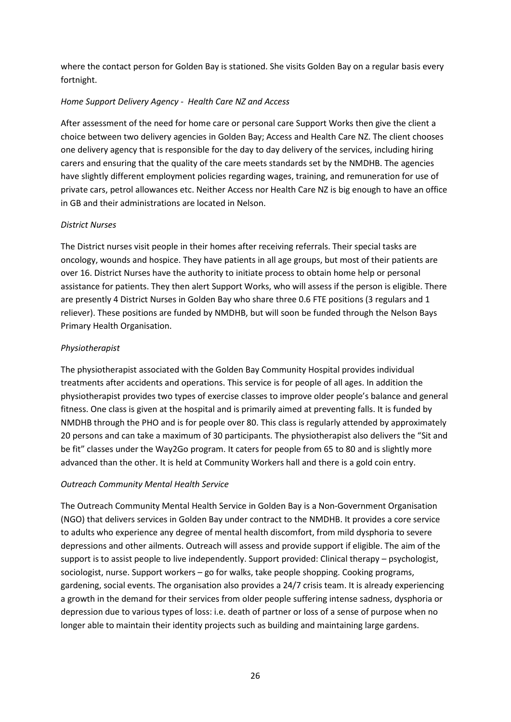where the contact person for Golden Bay is stationed. She visits Golden Bay on a regular basis every fortnight.

# *Home Support Delivery Agency - Health Care NZ and Access*

After assessment of the need for home care or personal care Support Works then give the client a choice between two delivery agencies in Golden Bay; Access and Health Care NZ. The client chooses one delivery agency that is responsible for the day to day delivery of the services, including hiring carers and ensuring that the quality of the care meets standards set by the NMDHB. The agencies have slightly different employment policies regarding wages, training, and remuneration for use of private cars, petrol allowances etc. Neither Access nor Health Care NZ is big enough to have an office in GB and their administrations are located in Nelson.

# *District Nurses*

The District nurses visit people in their homes after receiving referrals. Their special tasks are oncology, wounds and hospice. They have patients in all age groups, but most of their patients are over 16. District Nurses have the authority to initiate process to obtain home help or personal assistance for patients. They then alert Support Works, who will assess if the person is eligible. There are presently 4 District Nurses in Golden Bay who share three 0.6 FTE positions (3 regulars and 1 reliever). These positions are funded by NMDHB, but will soon be funded through the Nelson Bays Primary Health Organisation.

# *Physiotherapist*

The physiotherapist associated with the Golden Bay Community Hospital provides individual treatments after accidents and operations. This service is for people of all ages. In addition the physiotherapist provides two types of exercise classes to improve older people's balance and general fitness. One class is given at the hospital and is primarily aimed at preventing falls. It is funded by NMDHB through the PHO and is for people over 80. This class is regularly attended by approximately 20 persons and can take a maximum of 30 participants. The physiotherapist also delivers the "Sit and be fit" classes under the Way2Go program. It caters for people from 65 to 80 and is slightly more advanced than the other. It is held at Community Workers hall and there is a gold coin entry.

# *Outreach Community Mental Health Service*

The Outreach Community Mental Health Service in Golden Bay is a Non-Government Organisation (NGO) that delivers services in Golden Bay under contract to the NMDHB. It provides a core service to adults who experience any degree of mental health discomfort, from mild dysphoria to severe depressions and other ailments. Outreach will assess and provide support if eligible. The aim of the support is to assist people to live independently. Support provided: Clinical therapy – psychologist, sociologist, nurse. Support workers – go for walks, take people shopping. Cooking programs, gardening, social events. The organisation also provides a 24/7 crisis team. It is already experiencing a growth in the demand for their services from older people suffering intense sadness, dysphoria or depression due to various types of loss: i.e. death of partner or loss of a sense of purpose when no longer able to maintain their identity projects such as building and maintaining large gardens.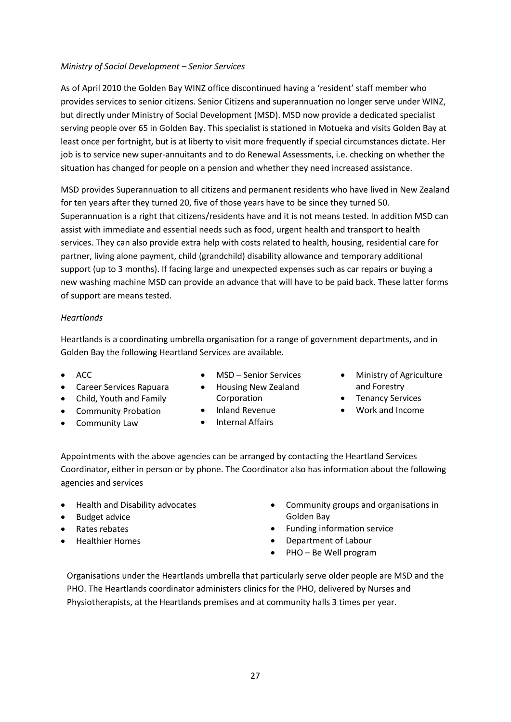#### *Ministry of Social Development – Senior Services*

As of April 2010 the Golden Bay WINZ office discontinued having a 'resident' staff member who provides services to senior citizens. Senior Citizens and superannuation no longer serve under WINZ, but directly under Ministry of Social Development (MSD). MSD now provide a dedicated specialist serving people over 65 in Golden Bay. This specialist is stationed in Motueka and visits Golden Bay at least once per fortnight, but is at liberty to visit more frequently if special circumstances dictate. Her job is to service new super-annuitants and to do Renewal Assessments, i.e. checking on whether the situation has changed for people on a pension and whether they need increased assistance.

MSD provides Superannuation to all citizens and permanent residents who have lived in New Zealand for ten years after they turned 20, five of those years have to be since they turned 50. Superannuation is a right that citizens/residents have and it is not means tested. In addition MSD can assist with immediate and essential needs such as food, urgent health and transport to health services. They can also provide extra help with costs related to health, housing, residential care for partner, living alone payment, child (grandchild) disability allowance and temporary additional support (up to 3 months). If facing large and unexpected expenses such as car repairs or buying a new washing machine MSD can provide an advance that will have to be paid back. These latter forms of support are means tested.

#### *Heartlands*

Heartlands is a coordinating umbrella organisation for a range of government departments, and in Golden Bay the following Heartland Services are available.

• ACC

• MSD – Senior Services

• Housing New Zealand

- Career Services Rapuara
- Child, Youth and Family
- Community Probation
- Community Law
- Corporation
- Inland Revenue
- Internal Affairs
- Ministry of Agriculture and Forestry
- Tenancy Services
- Work and Income

Appointments with the above agencies can be arranged by contacting the Heartland Services Coordinator, either in person or by phone. The Coordinator also has information about the following agencies and services

- Health and Disability advocates
- Budget advice
- Rates rebates
- Healthier Homes
- Community groups and organisations in Golden Bay
- Funding information service
- Department of Labour
- PHO Be Well program

Organisations under the Heartlands umbrella that particularly serve older people are MSD and the PHO. The Heartlands coordinator administers clinics for the PHO, delivered by Nurses and Physiotherapists, at the Heartlands premises and at community halls 3 times per year.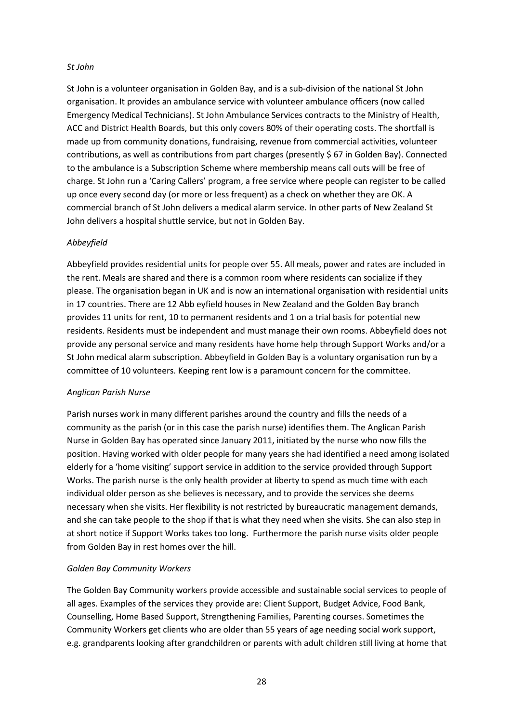#### *St John*

St John is a volunteer organisation in Golden Bay, and is a sub-division of the national St John organisation. It provides an ambulance service with volunteer ambulance officers (now called Emergency Medical Technicians). St John Ambulance Services contracts to the Ministry of Health, ACC and District Health Boards, but this only covers 80% of their operating costs. The shortfall is made up from community donations, fundraising, revenue from commercial activities, volunteer contributions, as well as contributions from part charges (presently \$ 67 in Golden Bay). Connected to the ambulance is a Subscription Scheme where membership means call outs will be free of charge. St John run a 'Caring Callers' program, a free service where people can register to be called up once every second day (or more or less frequent) as a check on whether they are OK. A commercial branch of St John delivers a medical alarm service. In other parts of New Zealand St John delivers a hospital shuttle service, but not in Golden Bay.

#### *Abbeyfield*

Abbeyfield provides residential units for people over 55. All meals, power and rates are included in the rent. Meals are shared and there is a common room where residents can socialize if they please. The organisation began in UK and is now an international organisation with residential units in 17 countries. There are 12 Abb eyfield houses in New Zealand and the Golden Bay branch provides 11 units for rent, 10 to permanent residents and 1 on a trial basis for potential new residents. Residents must be independent and must manage their own rooms. Abbeyfield does not provide any personal service and many residents have home help through Support Works and/or a St John medical alarm subscription. Abbeyfield in Golden Bay is a voluntary organisation run by a committee of 10 volunteers. Keeping rent low is a paramount concern for the committee.

# *Anglican Parish Nurse*

Parish nurses work in many different parishes around the country and fills the needs of a community as the parish (or in this case the parish nurse) identifies them. The Anglican Parish Nurse in Golden Bay has operated since January 2011, initiated by the nurse who now fills the position. Having worked with older people for many years she had identified a need among isolated elderly for a 'home visiting' support service in addition to the service provided through Support Works. The parish nurse is the only health provider at liberty to spend as much time with each individual older person as she believes is necessary, and to provide the services she deems necessary when she visits. Her flexibility is not restricted by bureaucratic management demands, and she can take people to the shop if that is what they need when she visits. She can also step in at short notice if Support Works takes too long. Furthermore the parish nurse visits older people from Golden Bay in rest homes over the hill.

# *Golden Bay Community Workers*

The Golden Bay Community workers provide accessible and sustainable social services to people of all ages. Examples of the services they provide are: Client Support, Budget Advice, Food Bank, Counselling, Home Based Support, Strengthening Families, Parenting courses. Sometimes the Community Workers get clients who are older than 55 years of age needing social work support, e.g. grandparents looking after grandchildren or parents with adult children still living at home that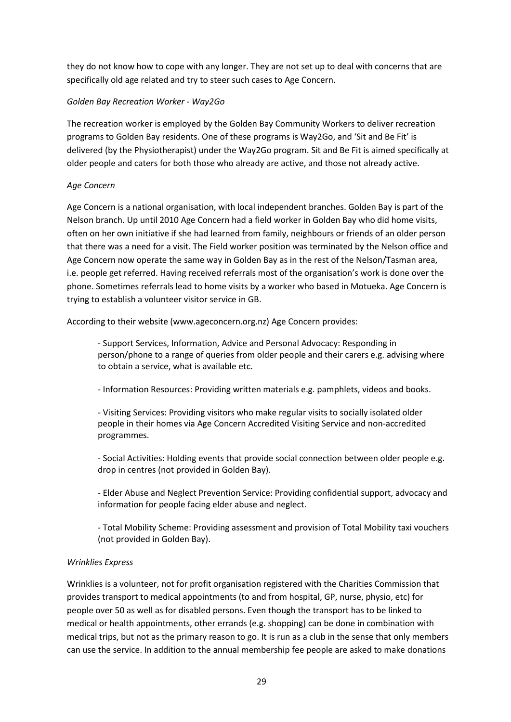they do not know how to cope with any longer. They are not set up to deal with concerns that are specifically old age related and try to steer such cases to Age Concern.

# *Golden Bay Recreation Worker - Way2Go*

The recreation worker is employed by the Golden Bay Community Workers to deliver recreation programs to Golden Bay residents. One of these programs is Way2Go, and 'Sit and Be Fit' is delivered (by the Physiotherapist) under the Way2Go program. Sit and Be Fit is aimed specifically at older people and caters for both those who already are active, and those not already active.

# *Age Concern*

Age Concern is a national organisation, with local independent branches. Golden Bay is part of the Nelson branch. Up until 2010 Age Concern had a field worker in Golden Bay who did home visits, often on her own initiative if she had learned from family, neighbours or friends of an older person that there was a need for a visit. The Field worker position was terminated by the Nelson office and Age Concern now operate the same way in Golden Bay as in the rest of the Nelson/Tasman area, i.e. people get referred. Having received referrals most of the organisation's work is done over the phone. Sometimes referrals lead to home visits by a worker who based in Motueka. Age Concern is trying to establish a volunteer visitor service in GB.

According to their website (www.ageconcern.org.nz) Age Concern provides:

- Support Services, Information, Advice and Personal Advocacy: Responding in person/phone to a range of queries from older people and their carers e.g. advising where to obtain a service, what is available etc.

- Information Resources: Providing written materials e.g. pamphlets, videos and books.

- Visiting Services: Providing visitors who make regular visits to socially isolated older people in their homes via Age Concern Accredited Visiting Service and non-accredited programmes.

- Social Activities: Holding events that provide social connection between older people e.g. drop in centres (not provided in Golden Bay).

- Elder Abuse and Neglect Prevention Service: Providing confidential support, advocacy and information for people facing elder abuse and neglect.

- Total Mobility Scheme: Providing assessment and provision of Total Mobility taxi vouchers (not provided in Golden Bay).

# *Wrinklies Express*

Wrinklies is a volunteer, not for profit organisation registered with the Charities Commission that provides transport to medical appointments (to and from hospital, GP, nurse, physio, etc) for people over 50 as well as for disabled persons. Even though the transport has to be linked to medical or health appointments, other errands (e.g. shopping) can be done in combination with medical trips, but not as the primary reason to go. It is run as a club in the sense that only members can use the service. In addition to the annual membership fee people are asked to make donations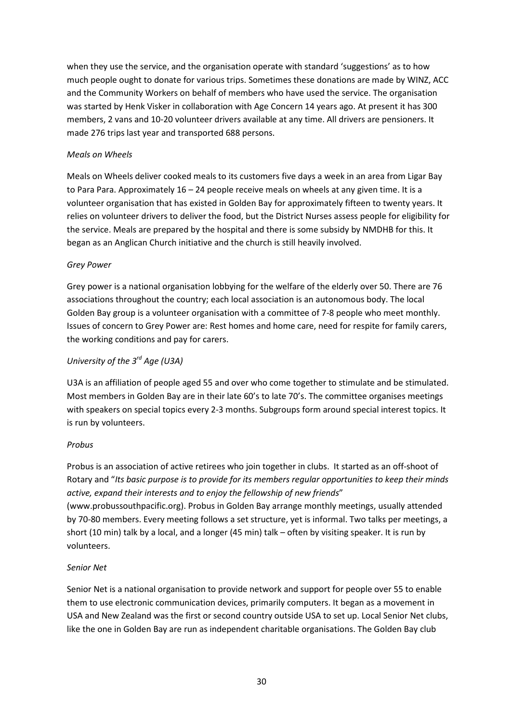when they use the service, and the organisation operate with standard 'suggestions' as to how much people ought to donate for various trips. Sometimes these donations are made by WINZ, ACC and the Community Workers on behalf of members who have used the service. The organisation was started by Henk Visker in collaboration with Age Concern 14 years ago. At present it has 300 members, 2 vans and 10-20 volunteer drivers available at any time. All drivers are pensioners. It made 276 trips last year and transported 688 persons.

#### *Meals on Wheels*

Meals on Wheels deliver cooked meals to its customers five days a week in an area from Ligar Bay to Para Para. Approximately 16 – 24 people receive meals on wheels at any given time. It is a volunteer organisation that has existed in Golden Bay for approximately fifteen to twenty years. It relies on volunteer drivers to deliver the food, but the District Nurses assess people for eligibility for the service. Meals are prepared by the hospital and there is some subsidy by NMDHB for this. It began as an Anglican Church initiative and the church is still heavily involved.

# *Grey Power*

Grey power is a national organisation lobbying for the welfare of the elderly over 50. There are 76 associations throughout the country; each local association is an autonomous body. The local Golden Bay group is a volunteer organisation with a committee of 7-8 people who meet monthly. Issues of concern to Grey Power are: Rest homes and home care, need for respite for family carers, the working conditions and pay for carers.

# *University of the 3rd Age (U3A)*

U3A is an affiliation of people aged 55 and over who come together to stimulate and be stimulated. Most members in Golden Bay are in their late 60's to late 70's. The committee organises meetings with speakers on special topics every 2-3 months. Subgroups form around special interest topics. It is run by volunteers.

#### *Probus*

Probus is an association of active retirees who join together in clubs. It started as an off-shoot of Rotary and "*Its basic purpose is to provide for its members regular opportunities to keep their minds active, expand their interests and to enjoy the fellowship of new friends*"

(www.probussouthpacific.org). Probus in Golden Bay arrange monthly meetings, usually attended by 70-80 members. Every meeting follows a set structure, yet is informal. Two talks per meetings, a short (10 min) talk by a local, and a longer (45 min) talk – often by visiting speaker. It is run by volunteers.

# *Senior Net*

Senior Net is a national organisation to provide network and support for people over 55 to enable them to use electronic communication devices, primarily computers. It began as a movement in USA and New Zealand was the first or second country outside USA to set up. Local Senior Net clubs, like the one in Golden Bay are run as independent charitable organisations. The Golden Bay club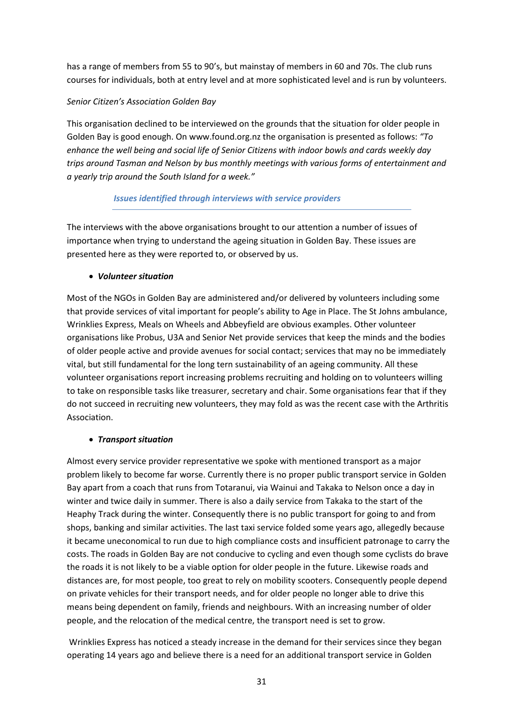has a range of members from 55 to 90's, but mainstay of members in 60 and 70s. The club runs courses for individuals, both at entry level and at more sophisticated level and is run by volunteers.

# *Senior Citizen's Association Golden Bay*

This organisation declined to be interviewed on the grounds that the situation for older people in Golden Bay is good enough. On www.found.org.nz the organisation is presented as follows: *"To enhance the well being and social life of Senior Citizens with indoor bowls and cards weekly day trips around Tasman and Nelson by bus monthly meetings with various forms of entertainment and a yearly trip around the South Island for a week."* 

# *Issues identified through interviews with service providers*

The interviews with the above organisations brought to our attention a number of issues of importance when trying to understand the ageing situation in Golden Bay. These issues are presented here as they were reported to, or observed by us.

# • *Volunteer situation*

Most of the NGOs in Golden Bay are administered and/or delivered by volunteers including some that provide services of vital important for people's ability to Age in Place. The St Johns ambulance, Wrinklies Express, Meals on Wheels and Abbeyfield are obvious examples. Other volunteer organisations like Probus, U3A and Senior Net provide services that keep the minds and the bodies of older people active and provide avenues for social contact; services that may no be immediately vital, but still fundamental for the long tern sustainability of an ageing community. All these volunteer organisations report increasing problems recruiting and holding on to volunteers willing to take on responsible tasks like treasurer, secretary and chair. Some organisations fear that if they do not succeed in recruiting new volunteers, they may fold as was the recent case with the Arthritis Association.

# • *Transport situation*

Almost every service provider representative we spoke with mentioned transport as a major problem likely to become far worse. Currently there is no proper public transport service in Golden Bay apart from a coach that runs from Totaranui, via Wainui and Takaka to Nelson once a day in winter and twice daily in summer. There is also a daily service from Takaka to the start of the Heaphy Track during the winter. Consequently there is no public transport for going to and from shops, banking and similar activities. The last taxi service folded some years ago, allegedly because it became uneconomical to run due to high compliance costs and insufficient patronage to carry the costs. The roads in Golden Bay are not conducive to cycling and even though some cyclists do brave the roads it is not likely to be a viable option for older people in the future. Likewise roads and distances are, for most people, too great to rely on mobility scooters. Consequently people depend on private vehicles for their transport needs, and for older people no longer able to drive this means being dependent on family, friends and neighbours. With an increasing number of older people, and the relocation of the medical centre, the transport need is set to grow.

 Wrinklies Express has noticed a steady increase in the demand for their services since they began operating 14 years ago and believe there is a need for an additional transport service in Golden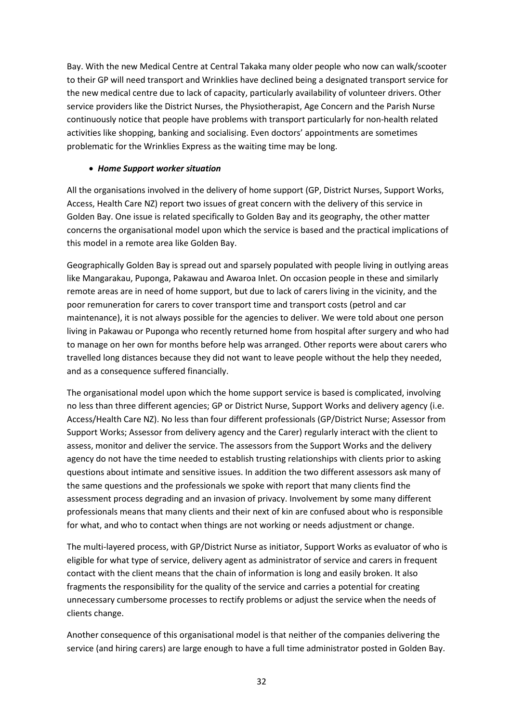Bay. With the new Medical Centre at Central Takaka many older people who now can walk/scooter to their GP will need transport and Wrinklies have declined being a designated transport service for the new medical centre due to lack of capacity, particularly availability of volunteer drivers. Other service providers like the District Nurses, the Physiotherapist, Age Concern and the Parish Nurse continuously notice that people have problems with transport particularly for non-health related activities like shopping, banking and socialising. Even doctors' appointments are sometimes problematic for the Wrinklies Express as the waiting time may be long.

# • *Home Support worker situation*

All the organisations involved in the delivery of home support (GP, District Nurses, Support Works, Access, Health Care NZ) report two issues of great concern with the delivery of this service in Golden Bay. One issue is related specifically to Golden Bay and its geography, the other matter concerns the organisational model upon which the service is based and the practical implications of this model in a remote area like Golden Bay.

Geographically Golden Bay is spread out and sparsely populated with people living in outlying areas like Mangarakau, Puponga, Pakawau and Awaroa Inlet. On occasion people in these and similarly remote areas are in need of home support, but due to lack of carers living in the vicinity, and the poor remuneration for carers to cover transport time and transport costs (petrol and car maintenance), it is not always possible for the agencies to deliver. We were told about one person living in Pakawau or Puponga who recently returned home from hospital after surgery and who had to manage on her own for months before help was arranged. Other reports were about carers who travelled long distances because they did not want to leave people without the help they needed, and as a consequence suffered financially.

The organisational model upon which the home support service is based is complicated, involving no less than three different agencies; GP or District Nurse, Support Works and delivery agency (i.e. Access/Health Care NZ). No less than four different professionals (GP/District Nurse; Assessor from Support Works; Assessor from delivery agency and the Carer) regularly interact with the client to assess, monitor and deliver the service. The assessors from the Support Works and the delivery agency do not have the time needed to establish trusting relationships with clients prior to asking questions about intimate and sensitive issues. In addition the two different assessors ask many of the same questions and the professionals we spoke with report that many clients find the assessment process degrading and an invasion of privacy. Involvement by some many different professionals means that many clients and their next of kin are confused about who is responsible for what, and who to contact when things are not working or needs adjustment or change.

The multi-layered process, with GP/District Nurse as initiator, Support Works as evaluator of who is eligible for what type of service, delivery agent as administrator of service and carers in frequent contact with the client means that the chain of information is long and easily broken. It also fragments the responsibility for the quality of the service and carries a potential for creating unnecessary cumbersome processes to rectify problems or adjust the service when the needs of clients change.

Another consequence of this organisational model is that neither of the companies delivering the service (and hiring carers) are large enough to have a full time administrator posted in Golden Bay.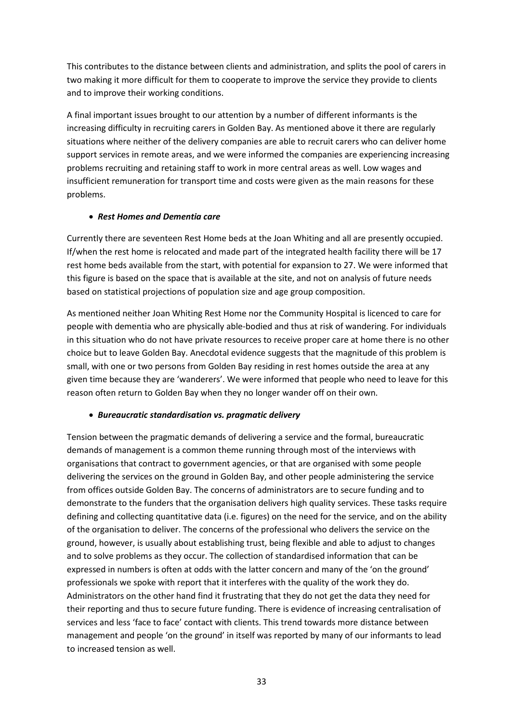This contributes to the distance between clients and administration, and splits the pool of carers in two making it more difficult for them to cooperate to improve the service they provide to clients and to improve their working conditions.

A final important issues brought to our attention by a number of different informants is the increasing difficulty in recruiting carers in Golden Bay. As mentioned above it there are regularly situations where neither of the delivery companies are able to recruit carers who can deliver home support services in remote areas, and we were informed the companies are experiencing increasing problems recruiting and retaining staff to work in more central areas as well. Low wages and insufficient remuneration for transport time and costs were given as the main reasons for these problems.

## • *Rest Homes and Dementia care*

Currently there are seventeen Rest Home beds at the Joan Whiting and all are presently occupied. If/when the rest home is relocated and made part of the integrated health facility there will be 17 rest home beds available from the start, with potential for expansion to 27. We were informed that this figure is based on the space that is available at the site, and not on analysis of future needs based on statistical projections of population size and age group composition.

As mentioned neither Joan Whiting Rest Home nor the Community Hospital is licenced to care for people with dementia who are physically able-bodied and thus at risk of wandering. For individuals in this situation who do not have private resources to receive proper care at home there is no other choice but to leave Golden Bay. Anecdotal evidence suggests that the magnitude of this problem is small, with one or two persons from Golden Bay residing in rest homes outside the area at any given time because they are 'wanderers'. We were informed that people who need to leave for this reason often return to Golden Bay when they no longer wander off on their own.

# • *Bureaucratic standardisation vs. pragmatic delivery*

Tension between the pragmatic demands of delivering a service and the formal, bureaucratic demands of management is a common theme running through most of the interviews with organisations that contract to government agencies, or that are organised with some people delivering the services on the ground in Golden Bay, and other people administering the service from offices outside Golden Bay. The concerns of administrators are to secure funding and to demonstrate to the funders that the organisation delivers high quality services. These tasks require defining and collecting quantitative data (i.e. figures) on the need for the service, and on the ability of the organisation to deliver. The concerns of the professional who delivers the service on the ground, however, is usually about establishing trust, being flexible and able to adjust to changes and to solve problems as they occur. The collection of standardised information that can be expressed in numbers is often at odds with the latter concern and many of the 'on the ground' professionals we spoke with report that it interferes with the quality of the work they do. Administrators on the other hand find it frustrating that they do not get the data they need for their reporting and thus to secure future funding. There is evidence of increasing centralisation of services and less 'face to face' contact with clients. This trend towards more distance between management and people 'on the ground' in itself was reported by many of our informants to lead to increased tension as well.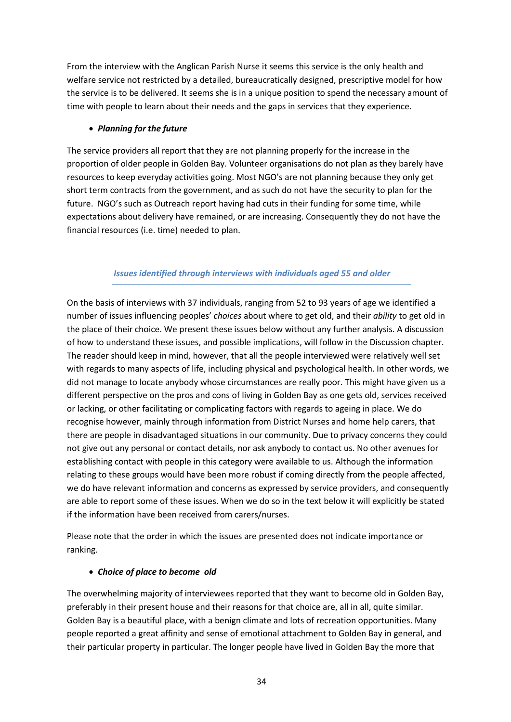From the interview with the Anglican Parish Nurse it seems this service is the only health and welfare service not restricted by a detailed, bureaucratically designed, prescriptive model for how the service is to be delivered. It seems she is in a unique position to spend the necessary amount of time with people to learn about their needs and the gaps in services that they experience.

## • *Planning for the future*

The service providers all report that they are not planning properly for the increase in the proportion of older people in Golden Bay. Volunteer organisations do not plan as they barely have resources to keep everyday activities going. Most NGO's are not planning because they only get short term contracts from the government, and as such do not have the security to plan for the future. NGO's such as Outreach report having had cuts in their funding for some time, while expectations about delivery have remained, or are increasing. Consequently they do not have the financial resources (i.e. time) needed to plan.

# *Issues identified through interviews with individuals aged 55 and older*

On the basis of interviews with 37 individuals, ranging from 52 to 93 years of age we identified a number of issues influencing peoples' *choices* about where to get old, and their *ability* to get old in the place of their choice. We present these issues below without any further analysis. A discussion of how to understand these issues, and possible implications, will follow in the Discussion chapter. The reader should keep in mind, however, that all the people interviewed were relatively well set with regards to many aspects of life, including physical and psychological health. In other words, we did not manage to locate anybody whose circumstances are really poor. This might have given us a different perspective on the pros and cons of living in Golden Bay as one gets old, services received or lacking, or other facilitating or complicating factors with regards to ageing in place. We do recognise however, mainly through information from District Nurses and home help carers, that there are people in disadvantaged situations in our community. Due to privacy concerns they could not give out any personal or contact details, nor ask anybody to contact us. No other avenues for establishing contact with people in this category were available to us. Although the information relating to these groups would have been more robust if coming directly from the people affected, we do have relevant information and concerns as expressed by service providers, and consequently are able to report some of these issues. When we do so in the text below it will explicitly be stated if the information have been received from carers/nurses.

Please note that the order in which the issues are presented does not indicate importance or ranking.

# • *Choice of place to become old*

The overwhelming majority of interviewees reported that they want to become old in Golden Bay, preferably in their present house and their reasons for that choice are, all in all, quite similar. Golden Bay is a beautiful place, with a benign climate and lots of recreation opportunities. Many people reported a great affinity and sense of emotional attachment to Golden Bay in general, and their particular property in particular. The longer people have lived in Golden Bay the more that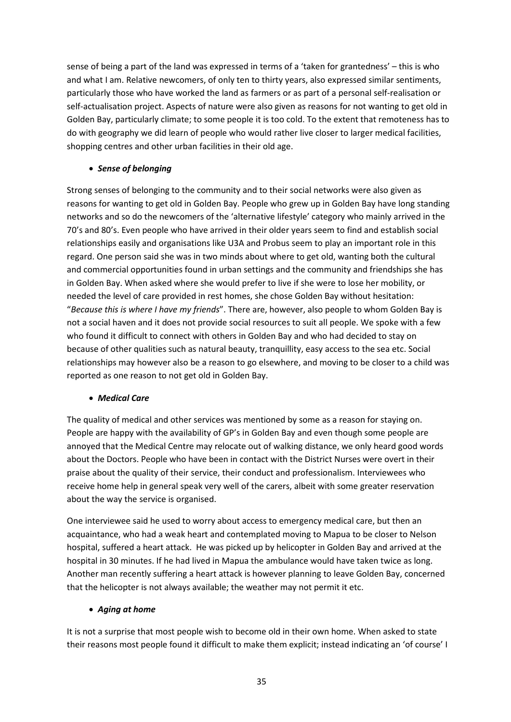sense of being a part of the land was expressed in terms of a 'taken for grantedness' – this is who and what I am. Relative newcomers, of only ten to thirty years, also expressed similar sentiments, particularly those who have worked the land as farmers or as part of a personal self-realisation or self-actualisation project. Aspects of nature were also given as reasons for not wanting to get old in Golden Bay, particularly climate; to some people it is too cold. To the extent that remoteness has to do with geography we did learn of people who would rather live closer to larger medical facilities, shopping centres and other urban facilities in their old age.

## • *Sense of belonging*

Strong senses of belonging to the community and to their social networks were also given as reasons for wanting to get old in Golden Bay. People who grew up in Golden Bay have long standing networks and so do the newcomers of the 'alternative lifestyle' category who mainly arrived in the 70's and 80's. Even people who have arrived in their older years seem to find and establish social relationships easily and organisations like U3A and Probus seem to play an important role in this regard. One person said she was in two minds about where to get old, wanting both the cultural and commercial opportunities found in urban settings and the community and friendships she has in Golden Bay. When asked where she would prefer to live if she were to lose her mobility, or needed the level of care provided in rest homes, she chose Golden Bay without hesitation: "*Because this is where I have my friends*". There are, however, also people to whom Golden Bay is not a social haven and it does not provide social resources to suit all people. We spoke with a few who found it difficult to connect with others in Golden Bay and who had decided to stay on because of other qualities such as natural beauty, tranquillity, easy access to the sea etc. Social relationships may however also be a reason to go elsewhere, and moving to be closer to a child was reported as one reason to not get old in Golden Bay.

#### • *Medical Care*

The quality of medical and other services was mentioned by some as a reason for staying on. People are happy with the availability of GP's in Golden Bay and even though some people are annoyed that the Medical Centre may relocate out of walking distance, we only heard good words about the Doctors. People who have been in contact with the District Nurses were overt in their praise about the quality of their service, their conduct and professionalism. Interviewees who receive home help in general speak very well of the carers, albeit with some greater reservation about the way the service is organised.

One interviewee said he used to worry about access to emergency medical care, but then an acquaintance, who had a weak heart and contemplated moving to Mapua to be closer to Nelson hospital, suffered a heart attack. He was picked up by helicopter in Golden Bay and arrived at the hospital in 30 minutes. If he had lived in Mapua the ambulance would have taken twice as long. Another man recently suffering a heart attack is however planning to leave Golden Bay, concerned that the helicopter is not always available; the weather may not permit it etc.

# • *Aging at home*

It is not a surprise that most people wish to become old in their own home. When asked to state their reasons most people found it difficult to make them explicit; instead indicating an 'of course' I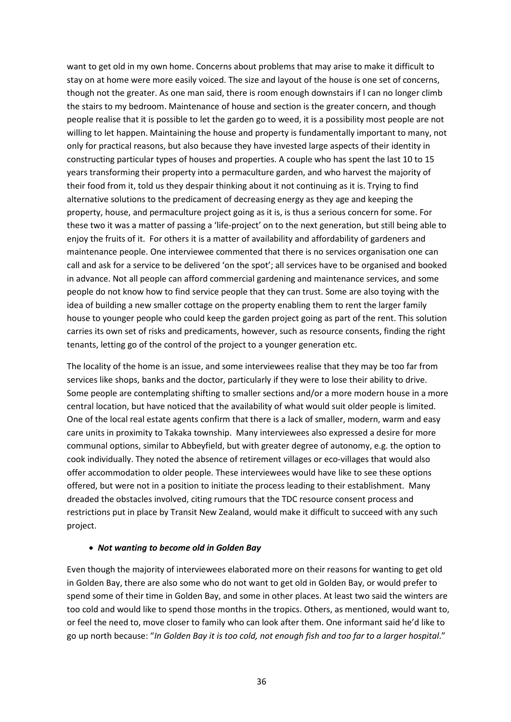want to get old in my own home. Concerns about problems that may arise to make it difficult to stay on at home were more easily voiced. The size and layout of the house is one set of concerns, though not the greater. As one man said, there is room enough downstairs if I can no longer climb the stairs to my bedroom. Maintenance of house and section is the greater concern, and though people realise that it is possible to let the garden go to weed, it is a possibility most people are not willing to let happen. Maintaining the house and property is fundamentally important to many, not only for practical reasons, but also because they have invested large aspects of their identity in constructing particular types of houses and properties. A couple who has spent the last 10 to 15 years transforming their property into a permaculture garden, and who harvest the majority of their food from it, told us they despair thinking about it not continuing as it is. Trying to find alternative solutions to the predicament of decreasing energy as they age and keeping the property, house, and permaculture project going as it is, is thus a serious concern for some. For these two it was a matter of passing a 'life-project' on to the next generation, but still being able to enjoy the fruits of it. For others it is a matter of availability and affordability of gardeners and maintenance people. One interviewee commented that there is no services organisation one can call and ask for a service to be delivered 'on the spot'; all services have to be organised and booked in advance. Not all people can afford commercial gardening and maintenance services, and some people do not know how to find service people that they can trust. Some are also toying with the idea of building a new smaller cottage on the property enabling them to rent the larger family house to younger people who could keep the garden project going as part of the rent. This solution carries its own set of risks and predicaments, however, such as resource consents, finding the right tenants, letting go of the control of the project to a younger generation etc.

The locality of the home is an issue, and some interviewees realise that they may be too far from services like shops, banks and the doctor, particularly if they were to lose their ability to drive. Some people are contemplating shifting to smaller sections and/or a more modern house in a more central location, but have noticed that the availability of what would suit older people is limited. One of the local real estate agents confirm that there is a lack of smaller, modern, warm and easy care units in proximity to Takaka township. Many interviewees also expressed a desire for more communal options, similar to Abbeyfield, but with greater degree of autonomy, e.g. the option to cook individually. They noted the absence of retirement villages or eco-villages that would also offer accommodation to older people. These interviewees would have like to see these options offered, but were not in a position to initiate the process leading to their establishment. Many dreaded the obstacles involved, citing rumours that the TDC resource consent process and restrictions put in place by Transit New Zealand, would make it difficult to succeed with any such project.

#### • *Not wanting to become old in Golden Bay*

Even though the majority of interviewees elaborated more on their reasons for wanting to get old in Golden Bay, there are also some who do not want to get old in Golden Bay, or would prefer to spend some of their time in Golden Bay, and some in other places. At least two said the winters are too cold and would like to spend those months in the tropics. Others, as mentioned, would want to, or feel the need to, move closer to family who can look after them. One informant said he'd like to go up north because: "*In Golden Bay it is too cold, not enough fish and too far to a larger hospital*."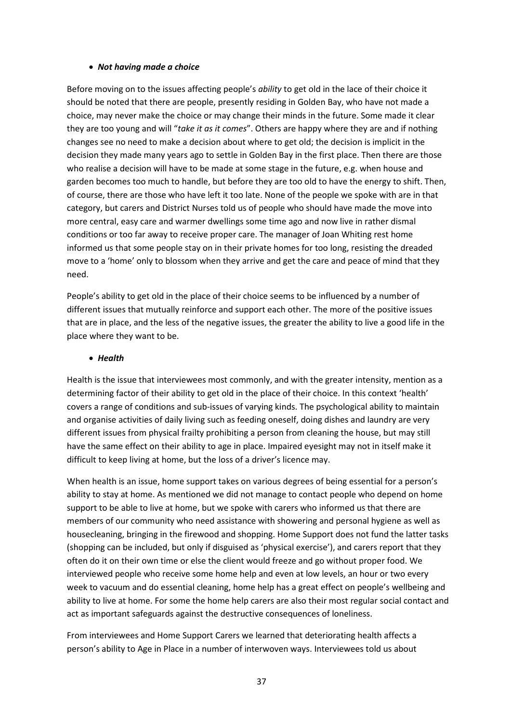#### • *Not having made a choice*

Before moving on to the issues affecting people's *ability* to get old in the lace of their choice it should be noted that there are people, presently residing in Golden Bay, who have not made a choice, may never make the choice or may change their minds in the future. Some made it clear they are too young and will "*take it as it comes*". Others are happy where they are and if nothing changes see no need to make a decision about where to get old; the decision is implicit in the decision they made many years ago to settle in Golden Bay in the first place. Then there are those who realise a decision will have to be made at some stage in the future, e.g. when house and garden becomes too much to handle, but before they are too old to have the energy to shift. Then, of course, there are those who have left it too late. None of the people we spoke with are in that category, but carers and District Nurses told us of people who should have made the move into more central, easy care and warmer dwellings some time ago and now live in rather dismal conditions or too far away to receive proper care. The manager of Joan Whiting rest home informed us that some people stay on in their private homes for too long, resisting the dreaded move to a 'home' only to blossom when they arrive and get the care and peace of mind that they need.

People's ability to get old in the place of their choice seems to be influenced by a number of different issues that mutually reinforce and support each other. The more of the positive issues that are in place, and the less of the negative issues, the greater the ability to live a good life in the place where they want to be.

#### • *Health*

Health is the issue that interviewees most commonly, and with the greater intensity, mention as a determining factor of their ability to get old in the place of their choice. In this context 'health' covers a range of conditions and sub-issues of varying kinds. The psychological ability to maintain and organise activities of daily living such as feeding oneself, doing dishes and laundry are very different issues from physical frailty prohibiting a person from cleaning the house, but may still have the same effect on their ability to age in place. Impaired eyesight may not in itself make it difficult to keep living at home, but the loss of a driver's licence may.

When health is an issue, home support takes on various degrees of being essential for a person's ability to stay at home. As mentioned we did not manage to contact people who depend on home support to be able to live at home, but we spoke with carers who informed us that there are members of our community who need assistance with showering and personal hygiene as well as housecleaning, bringing in the firewood and shopping. Home Support does not fund the latter tasks (shopping can be included, but only if disguised as 'physical exercise'), and carers report that they often do it on their own time or else the client would freeze and go without proper food. We interviewed people who receive some home help and even at low levels, an hour or two every week to vacuum and do essential cleaning, home help has a great effect on people's wellbeing and ability to live at home. For some the home help carers are also their most regular social contact and act as important safeguards against the destructive consequences of loneliness.

From interviewees and Home Support Carers we learned that deteriorating health affects a person's ability to Age in Place in a number of interwoven ways. Interviewees told us about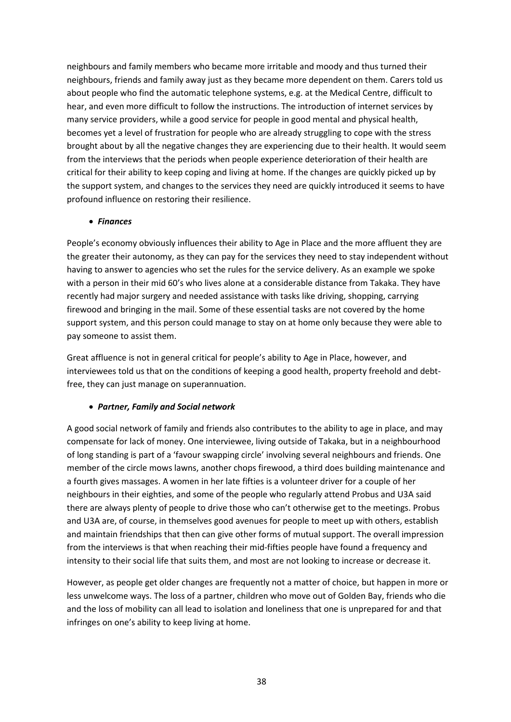neighbours and family members who became more irritable and moody and thus turned their neighbours, friends and family away just as they became more dependent on them. Carers told us about people who find the automatic telephone systems, e.g. at the Medical Centre, difficult to hear, and even more difficult to follow the instructions. The introduction of internet services by many service providers, while a good service for people in good mental and physical health, becomes yet a level of frustration for people who are already struggling to cope with the stress brought about by all the negative changes they are experiencing due to their health. It would seem from the interviews that the periods when people experience deterioration of their health are critical for their ability to keep coping and living at home. If the changes are quickly picked up by the support system, and changes to the services they need are quickly introduced it seems to have profound influence on restoring their resilience.

#### • *Finances*

People's economy obviously influences their ability to Age in Place and the more affluent they are the greater their autonomy, as they can pay for the services they need to stay independent without having to answer to agencies who set the rules for the service delivery. As an example we spoke with a person in their mid 60's who lives alone at a considerable distance from Takaka. They have recently had major surgery and needed assistance with tasks like driving, shopping, carrying firewood and bringing in the mail. Some of these essential tasks are not covered by the home support system, and this person could manage to stay on at home only because they were able to pay someone to assist them.

Great affluence is not in general critical for people's ability to Age in Place, however, and interviewees told us that on the conditions of keeping a good health, property freehold and debtfree, they can just manage on superannuation.

# • *Partner, Family and Social network*

A good social network of family and friends also contributes to the ability to age in place, and may compensate for lack of money. One interviewee, living outside of Takaka, but in a neighbourhood of long standing is part of a 'favour swapping circle' involving several neighbours and friends. One member of the circle mows lawns, another chops firewood, a third does building maintenance and a fourth gives massages. A women in her late fifties is a volunteer driver for a couple of her neighbours in their eighties, and some of the people who regularly attend Probus and U3A said there are always plenty of people to drive those who can't otherwise get to the meetings. Probus and U3A are, of course, in themselves good avenues for people to meet up with others, establish and maintain friendships that then can give other forms of mutual support. The overall impression from the interviews is that when reaching their mid-fifties people have found a frequency and intensity to their social life that suits them, and most are not looking to increase or decrease it.

However, as people get older changes are frequently not a matter of choice, but happen in more or less unwelcome ways. The loss of a partner, children who move out of Golden Bay, friends who die and the loss of mobility can all lead to isolation and loneliness that one is unprepared for and that infringes on one's ability to keep living at home.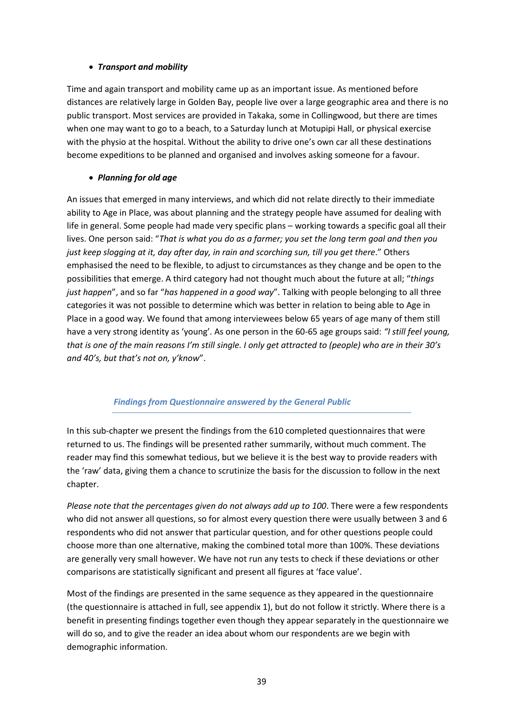#### • *Transport and mobility*

Time and again transport and mobility came up as an important issue. As mentioned before distances are relatively large in Golden Bay, people live over a large geographic area and there is no public transport. Most services are provided in Takaka, some in Collingwood, but there are times when one may want to go to a beach, to a Saturday lunch at Motupipi Hall, or physical exercise with the physio at the hospital. Without the ability to drive one's own car all these destinations become expeditions to be planned and organised and involves asking someone for a favour.

# • *Planning for old age*

An issues that emerged in many interviews, and which did not relate directly to their immediate ability to Age in Place, was about planning and the strategy people have assumed for dealing with life in general. Some people had made very specific plans – working towards a specific goal all their lives. One person said: "*That is what you do as a farmer; you set the long term goal and then you just keep slogging at it, day after day, in rain and scorching sun, till you get there*." Others emphasised the need to be flexible, to adjust to circumstances as they change and be open to the possibilities that emerge. A third category had not thought much about the future at all; "*things just happen*", and so far "*has happened in a good way*". Talking with people belonging to all three categories it was not possible to determine which was better in relation to being able to Age in Place in a good way. We found that among interviewees below 65 years of age many of them still have a very strong identity as 'young'. As one person in the 60-65 age groups said: *"I still feel young, that is one of the main reasons I'm still single. I only get attracted to (people) who are in their 30's and 40's, but that's not on, y'know*".

# *Findings from Questionnaire answered by the General Public*

In this sub-chapter we present the findings from the 610 completed questionnaires that were returned to us. The findings will be presented rather summarily, without much comment. The reader may find this somewhat tedious, but we believe it is the best way to provide readers with the 'raw' data, giving them a chance to scrutinize the basis for the discussion to follow in the next chapter.

*Please note that the percentages given do not always add up to 100*. There were a few respondents who did not answer all questions, so for almost every question there were usually between 3 and 6 respondents who did not answer that particular question, and for other questions people could choose more than one alternative, making the combined total more than 100%. These deviations are generally very small however. We have not run any tests to check if these deviations or other comparisons are statistically significant and present all figures at 'face value'.

Most of the findings are presented in the same sequence as they appeared in the questionnaire (the questionnaire is attached in full, see appendix 1), but do not follow it strictly. Where there is a benefit in presenting findings together even though they appear separately in the questionnaire we will do so, and to give the reader an idea about whom our respondents are we begin with demographic information.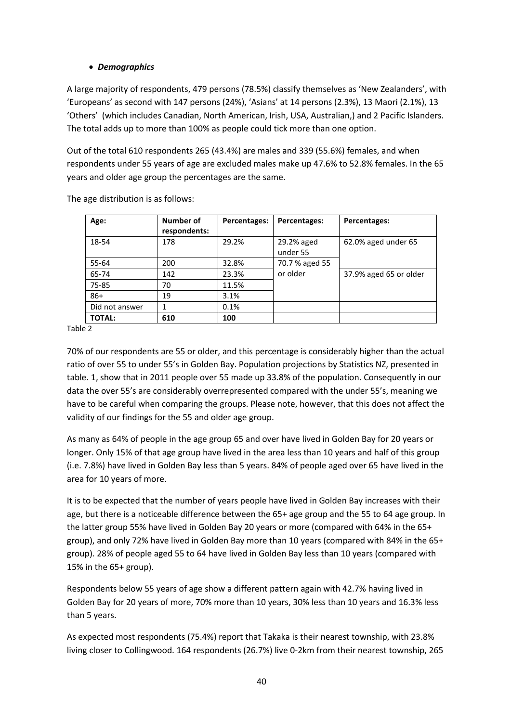## • *Demographics*

A large majority of respondents, 479 persons (78.5%) classify themselves as 'New Zealanders', with 'Europeans' as second with 147 persons (24%), 'Asians' at 14 persons (2.3%), 13 Maori (2.1%), 13 'Others' (which includes Canadian, North American, Irish, USA, Australian,) and 2 Pacific Islanders. The total adds up to more than 100% as people could tick more than one option.

Out of the total 610 respondents 265 (43.4%) are males and 339 (55.6%) females, and when respondents under 55 years of age are excluded males make up 47.6% to 52.8% females. In the 65 years and older age group the percentages are the same.

| Age:           | Number of<br>respondents: | Percentages: | Percentages:           | Percentages:           |
|----------------|---------------------------|--------------|------------------------|------------------------|
| 18-54          | 178                       | 29.2%        | 29.2% aged<br>under 55 | 62.0% aged under 65    |
| 55-64          | 200                       | 32.8%        | 70.7 % aged 55         |                        |
| 65-74          | 142                       | 23.3%        | or older               | 37.9% aged 65 or older |
| 75-85          | 70                        | 11.5%        |                        |                        |
| $86+$          | 19                        | 3.1%         |                        |                        |
| Did not answer |                           | 0.1%         |                        |                        |
| <b>TOTAL:</b>  | 610                       | 100          |                        |                        |

The age distribution is as follows:

Table 2

70% of our respondents are 55 or older, and this percentage is considerably higher than the actual ratio of over 55 to under 55's in Golden Bay. Population projections by Statistics NZ, presented in table. 1, show that in 2011 people over 55 made up 33.8% of the population. Consequently in our data the over 55's are considerably overrepresented compared with the under 55's, meaning we have to be careful when comparing the groups. Please note, however, that this does not affect the validity of our findings for the 55 and older age group.

As many as 64% of people in the age group 65 and over have lived in Golden Bay for 20 years or longer. Only 15% of that age group have lived in the area less than 10 years and half of this group (i.e. 7.8%) have lived in Golden Bay less than 5 years. 84% of people aged over 65 have lived in the area for 10 years of more.

It is to be expected that the number of years people have lived in Golden Bay increases with their age, but there is a noticeable difference between the 65+ age group and the 55 to 64 age group. In the latter group 55% have lived in Golden Bay 20 years or more (compared with 64% in the 65+ group), and only 72% have lived in Golden Bay more than 10 years (compared with 84% in the 65+ group). 28% of people aged 55 to 64 have lived in Golden Bay less than 10 years (compared with 15% in the 65+ group).

Respondents below 55 years of age show a different pattern again with 42.7% having lived in Golden Bay for 20 years of more, 70% more than 10 years, 30% less than 10 years and 16.3% less than 5 years.

As expected most respondents (75.4%) report that Takaka is their nearest township, with 23.8% living closer to Collingwood. 164 respondents (26.7%) live 0-2km from their nearest township, 265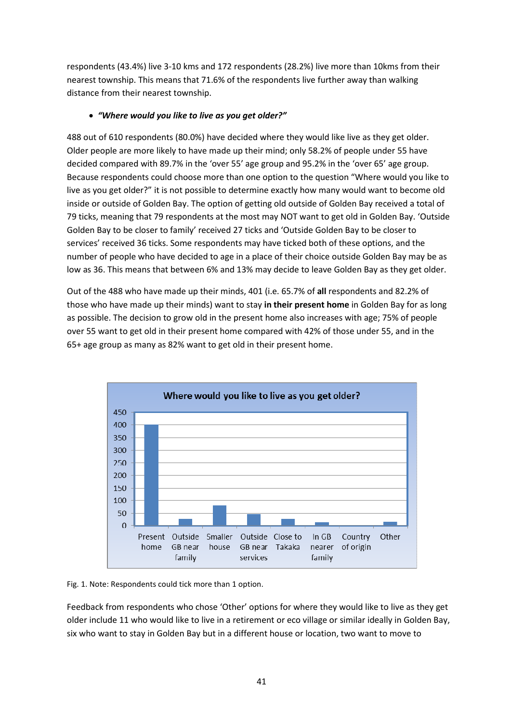respondents (43.4%) live 3-10 kms and 172 respondents (28.2%) live more than 10kms from their nearest township. This means that 71.6% of the respondents live further away than walking distance from their nearest township.

## • *"Where would you like to live as you get older?"*

488 out of 610 respondents (80.0%) have decided where they would like live as they get older. Older people are more likely to have made up their mind; only 58.2% of people under 55 have decided compared with 89.7% in the 'over 55' age group and 95.2% in the 'over 65' age group. Because respondents could choose more than one option to the question "Where would you like to live as you get older?" it is not possible to determine exactly how many would want to become old inside or outside of Golden Bay. The option of getting old outside of Golden Bay received a total of 79 ticks, meaning that 79 respondents at the most may NOT want to get old in Golden Bay. 'Outside Golden Bay to be closer to family' received 27 ticks and 'Outside Golden Bay to be closer to services' received 36 ticks. Some respondents may have ticked both of these options, and the number of people who have decided to age in a place of their choice outside Golden Bay may be as low as 36. This means that between 6% and 13% may decide to leave Golden Bay as they get older.

Out of the 488 who have made up their minds, 401 (i.e. 65.7% of **all** respondents and 82.2% of those who have made up their minds) want to stay **in their present home** in Golden Bay for as long as possible. The decision to grow old in the present home also increases with age; 75% of people over 55 want to get old in their present home compared with 42% of those under 55, and in the 65+ age group as many as 82% want to get old in their present home.



Fig. 1. Note: Respondents could tick more than 1 option.

Feedback from respondents who chose 'Other' options for where they would like to live as they get older include 11 who would like to live in a retirement or eco village or similar ideally in Golden Bay, six who want to stay in Golden Bay but in a different house or location, two want to move to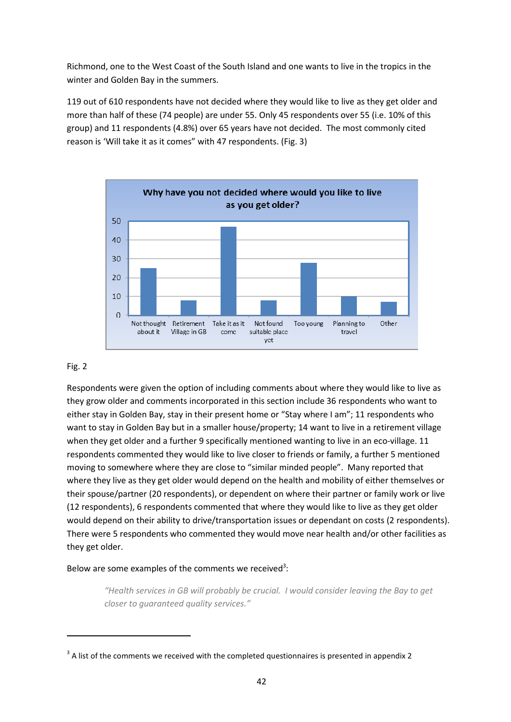Richmond, one to the West Coast of the South Island and one wants to live in the tropics in the winter and Golden Bay in the summers.

119 out of 610 respondents have not decided where they would like to live as they get older and more than half of these (74 people) are under 55. Only 45 respondents over 55 (i.e. 10% of this group) and 11 respondents (4.8%) over 65 years have not decided. The most commonly cited reason is 'Will take it as it comes" with 47 respondents. (Fig. 3)



#### Fig. 2

-

Respondents were given the option of including comments about where they would like to live as they grow older and comments incorporated in this section include 36 respondents who want to either stay in Golden Bay, stay in their present home or "Stay where I am"; 11 respondents who want to stay in Golden Bay but in a smaller house/property; 14 want to live in a retirement village when they get older and a further 9 specifically mentioned wanting to live in an eco-village. 11 respondents commented they would like to live closer to friends or family, a further 5 mentioned moving to somewhere where they are close to "similar minded people". Many reported that where they live as they get older would depend on the health and mobility of either themselves or their spouse/partner (20 respondents), or dependent on where their partner or family work or live (12 respondents), 6 respondents commented that where they would like to live as they get older would depend on their ability to drive/transportation issues or dependant on costs (2 respondents). There were 5 respondents who commented they would move near health and/or other facilities as they get older.

#### Below are some examples of the comments we received<sup>3</sup>:

*"Health services in GB will probably be crucial. I would consider leaving the Bay to get closer to guaranteed quality services."* 

 $3$  A list of the comments we received with the completed questionnaires is presented in appendix 2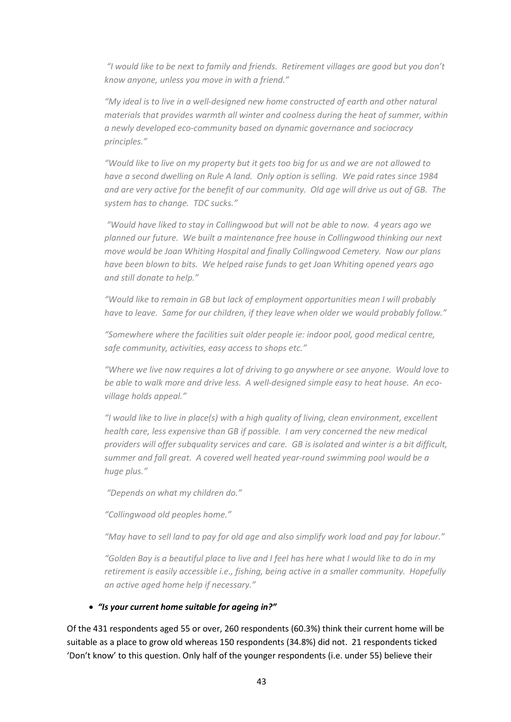*"I would like to be next to family and friends. Retirement villages are good but you don't know anyone, unless you move in with a friend."* 

*"My ideal is to live in a well-designed new home constructed of earth and other natural materials that provides warmth all winter and coolness during the heat of summer, within a newly developed eco-community based on dynamic governance and sociocracy principles."* 

*"Would like to live on my property but it gets too big for us and we are not allowed to have a second dwelling on Rule A land. Only option is selling. We paid rates since 1984 and are very active for the benefit of our community. Old age will drive us out of GB. The system has to change. TDC sucks."* 

 *"Would have liked to stay in Collingwood but will not be able to now. 4 years ago we planned our future. We built a maintenance free house in Collingwood thinking our next move would be Joan Whiting Hospital and finally Collingwood Cemetery. Now our plans have been blown to bits. We helped raise funds to get Joan Whiting opened years ago and still donate to help."* 

*"Would like to remain in GB but lack of employment opportunities mean I will probably have to leave. Same for our children, if they leave when older we would probably follow."* 

*"Somewhere where the facilities suit older people ie: indoor pool, good medical centre, safe community, activities, easy access to shops etc."* 

*"Where we live now requires a lot of driving to go anywhere or see anyone. Would love to be able to walk more and drive less. A well-designed simple easy to heat house. An ecovillage holds appeal."* 

*"I would like to live in place(s) with a high quality of living, clean environment, excellent health care, less expensive than GB if possible. I am very concerned the new medical providers will offer subquality services and care. GB is isolated and winter is a bit difficult, summer and fall great. A covered well heated year-round swimming pool would be a huge plus."* 

 *"Depends on what my children do."* 

*"Collingwood old peoples home."* 

*"May have to sell land to pay for old age and also simplify work load and pay for labour."* 

*"Golden Bay is a beautiful place to live and I feel has here what I would like to do in my retirement is easily accessible i.e., fishing, being active in a smaller community. Hopefully an active aged home help if necessary."* 

#### • *"Is your current home suitable for ageing in?"*

Of the 431 respondents aged 55 or over, 260 respondents (60.3%) think their current home will be suitable as a place to grow old whereas 150 respondents (34.8%) did not. 21 respondents ticked 'Don't know' to this question. Only half of the younger respondents (i.e. under 55) believe their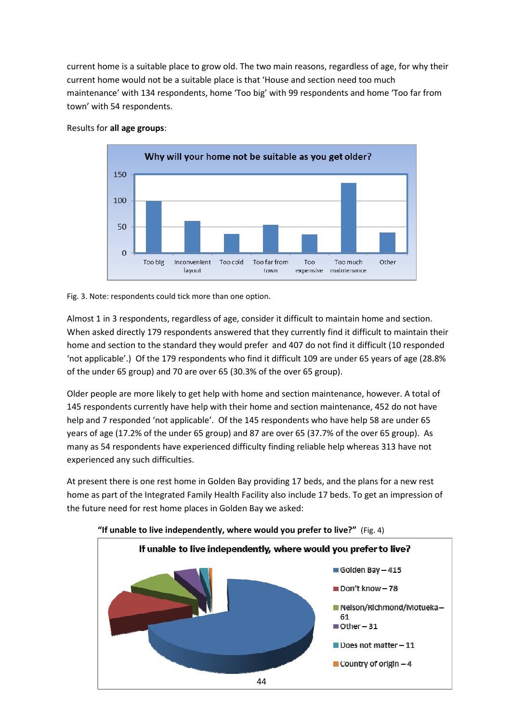current home is a suitable place to grow old. The two main reasons, regardless of age, for why their current home would not be a suitable place is that 'House and section need too much maintenance' with 134 respondents, home 'Too big' with 99 respondents and home 'Too far from town' with 54 respondents.



#### Results for **all age groups**:

#### Fig. 3. Note: respondents could tick more than one option.

Almost 1 in 3 respondents, regardless of age, consider it difficult to maintain home and section. When asked directly 179 respondents answered that they currently find it difficult to maintain their home and section to the standard they would prefer and 407 do not find it difficult (10 responded 'not applicable'.) Of the 179 respondents who find it difficult 109 are under 65 years of age (28.8% of the under 65 group) and 70 are over 65 (30.3% of the over 65 group).

Older people are more likely to get help with home and section maintenance, however. A total of 145 respondents currently have help with their home and section maintenance, 452 do not have help and 7 responded 'not applicable'. Of the 145 respondents who have help 58 are under 65 years of age (17.2% of the under 65 group) and 87 are over 65 (37.7% of the over 65 group). As many as 54 respondents have experienced difficulty finding reliable help whereas 313 have not experienced any such difficulties.

At present there is one rest home in Golden Bay providing 17 beds, and the plans for a new rest home as part of the Integrated Family Health Facility also include 17 beds. To get an impression of the future need for rest home places in Golden Bay we asked:

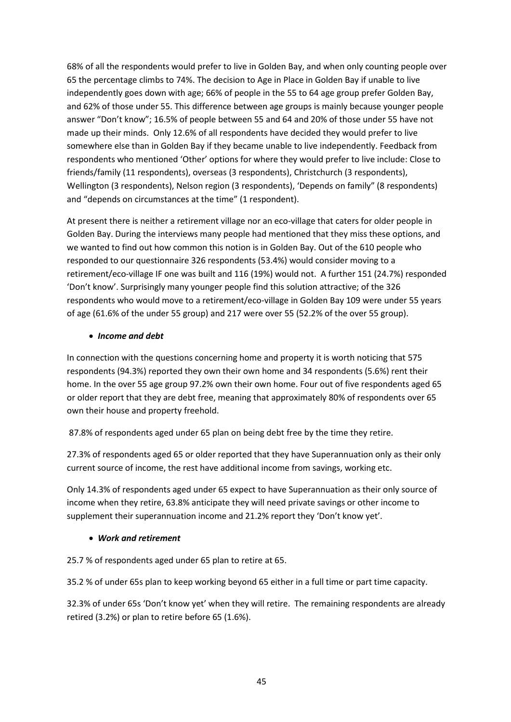68% of all the respondents would prefer to live in Golden Bay, and when only counting people over 65 the percentage climbs to 74%. The decision to Age in Place in Golden Bay if unable to live independently goes down with age; 66% of people in the 55 to 64 age group prefer Golden Bay, and 62% of those under 55. This difference between age groups is mainly because younger people answer "Don't know"; 16.5% of people between 55 and 64 and 20% of those under 55 have not made up their minds. Only 12.6% of all respondents have decided they would prefer to live somewhere else than in Golden Bay if they became unable to live independently. Feedback from respondents who mentioned 'Other' options for where they would prefer to live include: Close to friends/family (11 respondents), overseas (3 respondents), Christchurch (3 respondents), Wellington (3 respondents), Nelson region (3 respondents), 'Depends on family" (8 respondents) and "depends on circumstances at the time" (1 respondent).

At present there is neither a retirement village nor an eco-village that caters for older people in Golden Bay. During the interviews many people had mentioned that they miss these options, and we wanted to find out how common this notion is in Golden Bay. Out of the 610 people who responded to our questionnaire 326 respondents (53.4%) would consider moving to a retirement/eco-village IF one was built and 116 (19%) would not. A further 151 (24.7%) responded 'Don't know'. Surprisingly many younger people find this solution attractive; of the 326 respondents who would move to a retirement/eco-village in Golden Bay 109 were under 55 years of age (61.6% of the under 55 group) and 217 were over 55 (52.2% of the over 55 group).

#### • *Income and debt*

In connection with the questions concerning home and property it is worth noticing that 575 respondents (94.3%) reported they own their own home and 34 respondents (5.6%) rent their home. In the over 55 age group 97.2% own their own home. Four out of five respondents aged 65 or older report that they are debt free, meaning that approximately 80% of respondents over 65 own their house and property freehold.

87.8% of respondents aged under 65 plan on being debt free by the time they retire.

27.3% of respondents aged 65 or older reported that they have Superannuation only as their only current source of income, the rest have additional income from savings, working etc.

Only 14.3% of respondents aged under 65 expect to have Superannuation as their only source of income when they retire, 63.8% anticipate they will need private savings or other income to supplement their superannuation income and 21.2% report they 'Don't know yet'.

#### • *Work and retirement*

25.7 % of respondents aged under 65 plan to retire at 65.

35.2 % of under 65s plan to keep working beyond 65 either in a full time or part time capacity.

32.3% of under 65s 'Don't know yet' when they will retire. The remaining respondents are already retired (3.2%) or plan to retire before 65 (1.6%).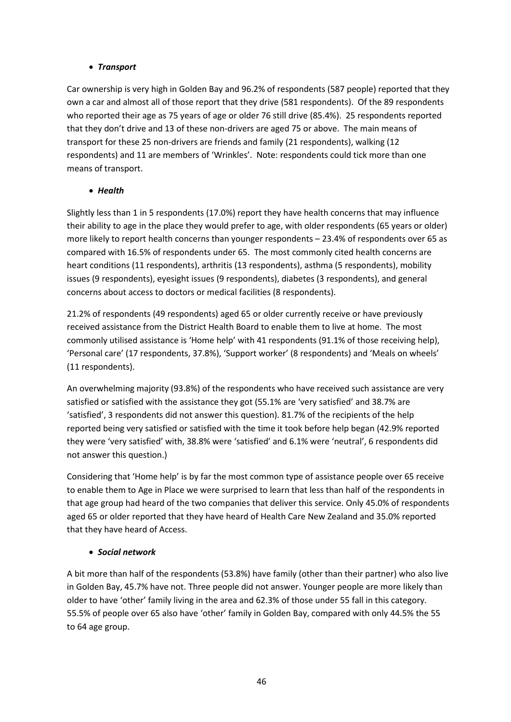## • *Transport*

Car ownership is very high in Golden Bay and 96.2% of respondents (587 people) reported that they own a car and almost all of those report that they drive (581 respondents). Of the 89 respondents who reported their age as 75 years of age or older 76 still drive (85.4%). 25 respondents reported that they don't drive and 13 of these non-drivers are aged 75 or above. The main means of transport for these 25 non-drivers are friends and family (21 respondents), walking (12 respondents) and 11 are members of 'Wrinkles'. Note: respondents could tick more than one means of transport.

# • *Health*

Slightly less than 1 in 5 respondents (17.0%) report they have health concerns that may influence their ability to age in the place they would prefer to age, with older respondents (65 years or older) more likely to report health concerns than younger respondents – 23.4% of respondents over 65 as compared with 16.5% of respondents under 65. The most commonly cited health concerns are heart conditions (11 respondents), arthritis (13 respondents), asthma (5 respondents), mobility issues (9 respondents), eyesight issues (9 respondents), diabetes (3 respondents), and general concerns about access to doctors or medical facilities (8 respondents).

21.2% of respondents (49 respondents) aged 65 or older currently receive or have previously received assistance from the District Health Board to enable them to live at home. The most commonly utilised assistance is 'Home help' with 41 respondents (91.1% of those receiving help), 'Personal care' (17 respondents, 37.8%), 'Support worker' (8 respondents) and 'Meals on wheels' (11 respondents).

An overwhelming majority (93.8%) of the respondents who have received such assistance are very satisfied or satisfied with the assistance they got (55.1% are 'very satisfied' and 38.7% are 'satisfied', 3 respondents did not answer this question). 81.7% of the recipients of the help reported being very satisfied or satisfied with the time it took before help began (42.9% reported they were 'very satisfied' with, 38.8% were 'satisfied' and 6.1% were 'neutral', 6 respondents did not answer this question.)

Considering that 'Home help' is by far the most common type of assistance people over 65 receive to enable them to Age in Place we were surprised to learn that less than half of the respondents in that age group had heard of the two companies that deliver this service. Only 45.0% of respondents aged 65 or older reported that they have heard of Health Care New Zealand and 35.0% reported that they have heard of Access.

# • *Social network*

A bit more than half of the respondents (53.8%) have family (other than their partner) who also live in Golden Bay, 45.7% have not. Three people did not answer. Younger people are more likely than older to have 'other' family living in the area and 62.3% of those under 55 fall in this category. 55.5% of people over 65 also have 'other' family in Golden Bay, compared with only 44.5% the 55 to 64 age group.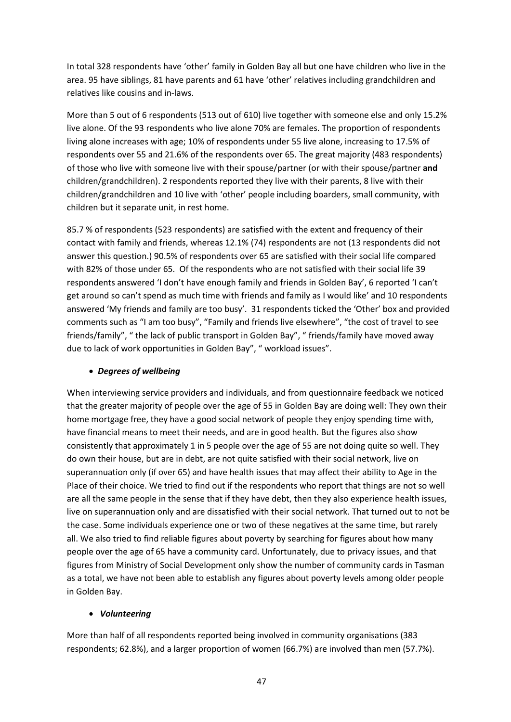In total 328 respondents have 'other' family in Golden Bay all but one have children who live in the area. 95 have siblings, 81 have parents and 61 have 'other' relatives including grandchildren and relatives like cousins and in-laws.

More than 5 out of 6 respondents (513 out of 610) live together with someone else and only 15.2% live alone. Of the 93 respondents who live alone 70% are females. The proportion of respondents living alone increases with age; 10% of respondents under 55 live alone, increasing to 17.5% of respondents over 55 and 21.6% of the respondents over 65. The great majority (483 respondents) of those who live with someone live with their spouse/partner (or with their spouse/partner **and** children/grandchildren). 2 respondents reported they live with their parents, 8 live with their children/grandchildren and 10 live with 'other' people including boarders, small community, with children but it separate unit, in rest home.

85.7 % of respondents (523 respondents) are satisfied with the extent and frequency of their contact with family and friends, whereas 12.1% (74) respondents are not (13 respondents did not answer this question.) 90.5% of respondents over 65 are satisfied with their social life compared with 82% of those under 65. Of the respondents who are not satisfied with their social life 39 respondents answered 'I don't have enough family and friends in Golden Bay', 6 reported 'I can't get around so can't spend as much time with friends and family as I would like' and 10 respondents answered 'My friends and family are too busy'. 31 respondents ticked the 'Other' box and provided comments such as "I am too busy", "Family and friends live elsewhere", "the cost of travel to see friends/family", " the lack of public transport in Golden Bay", " friends/family have moved away due to lack of work opportunities in Golden Bay", " workload issues".

# • *Degrees of wellbeing*

When interviewing service providers and individuals, and from questionnaire feedback we noticed that the greater majority of people over the age of 55 in Golden Bay are doing well: They own their home mortgage free, they have a good social network of people they enjoy spending time with, have financial means to meet their needs, and are in good health. But the figures also show consistently that approximately 1 in 5 people over the age of 55 are not doing quite so well. They do own their house, but are in debt, are not quite satisfied with their social network, live on superannuation only (if over 65) and have health issues that may affect their ability to Age in the Place of their choice. We tried to find out if the respondents who report that things are not so well are all the same people in the sense that if they have debt, then they also experience health issues, live on superannuation only and are dissatisfied with their social network. That turned out to not be the case. Some individuals experience one or two of these negatives at the same time, but rarely all. We also tried to find reliable figures about poverty by searching for figures about how many people over the age of 65 have a community card. Unfortunately, due to privacy issues, and that figures from Ministry of Social Development only show the number of community cards in Tasman as a total, we have not been able to establish any figures about poverty levels among older people in Golden Bay.

# • *Volunteering*

More than half of all respondents reported being involved in community organisations (383 respondents; 62.8%), and a larger proportion of women (66.7%) are involved than men (57.7%).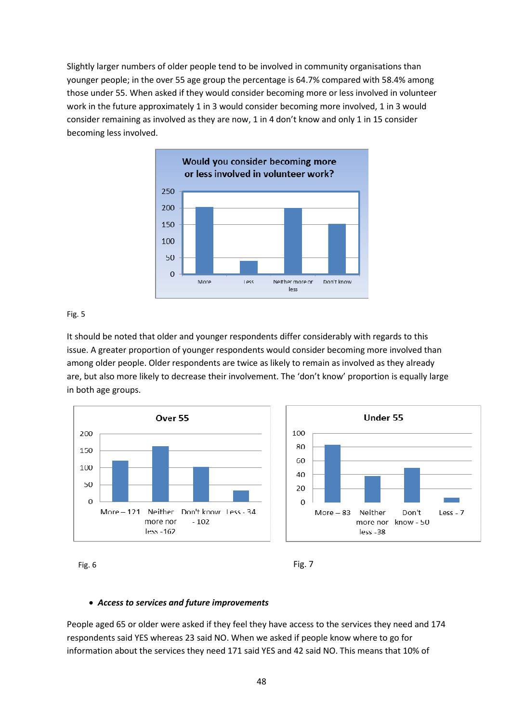Slightly larger numbers of older people tend to be involved in community organisations than younger people; in the over 55 age group the percentage is 64.7% compared with 58.4% among those under 55. When asked if they would consider becoming more or less involved in volunteer work in the future approximately 1 in 3 would consider becoming more involved, 1 in 3 would consider remaining as involved as they are now, 1 in 4 don't know and only 1 in 15 consider becoming less involved.



#### Fig. 5

It should be noted that older and younger respondents differ considerably with regards to this issue. A greater proportion of younger respondents would consider becoming more involved than among older people. Older respondents are twice as likely to remain as involved as they already are, but also more likely to decrease their involvement. The 'don't know' proportion is equally large in both age groups.







#### • *Access to services and future improvements*

People aged 65 or older were asked if they feel they have access to the services they need and 174 respondents said YES whereas 23 said NO. When we asked if people know where to go for information about the services they need 171 said YES and 42 said NO. This means that 10% of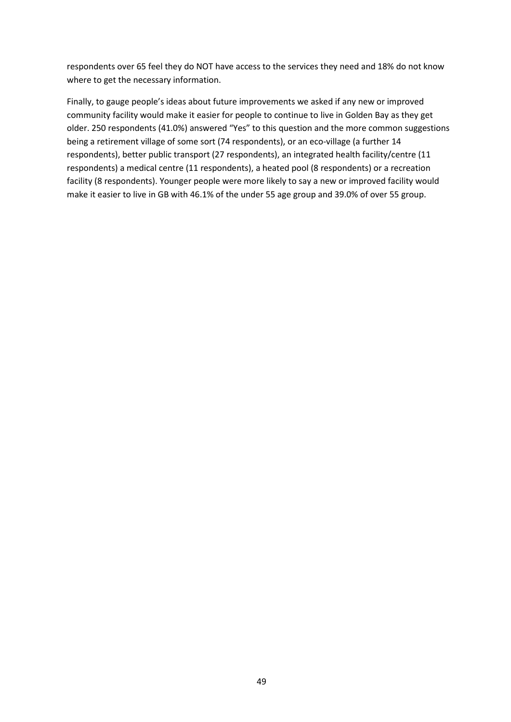respondents over 65 feel they do NOT have access to the services they need and 18% do not know where to get the necessary information.

Finally, to gauge people's ideas about future improvements we asked if any new or improved community facility would make it easier for people to continue to live in Golden Bay as they get older. 250 respondents (41.0%) answered "Yes" to this question and the more common suggestions being a retirement village of some sort (74 respondents), or an eco-village (a further 14 respondents), better public transport (27 respondents), an integrated health facility/centre (11 respondents) a medical centre (11 respondents), a heated pool (8 respondents) or a recreation facility (8 respondents). Younger people were more likely to say a new or improved facility would make it easier to live in GB with 46.1% of the under 55 age group and 39.0% of over 55 group.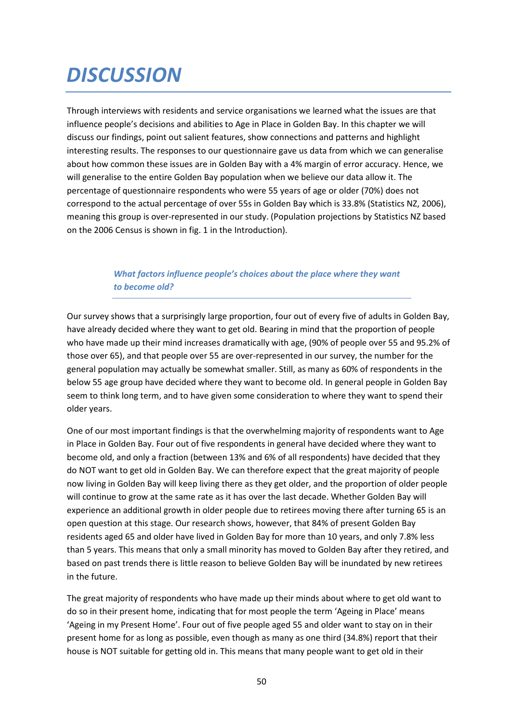# *DISCUSSION*

Through interviews with residents and service organisations we learned what the issues are that influence people's decisions and abilities to Age in Place in Golden Bay. In this chapter we will discuss our findings, point out salient features, show connections and patterns and highlight interesting results. The responses to our questionnaire gave us data from which we can generalise about how common these issues are in Golden Bay with a 4% margin of error accuracy. Hence, we will generalise to the entire Golden Bay population when we believe our data allow it. The percentage of questionnaire respondents who were 55 years of age or older (70%) does not correspond to the actual percentage of over 55s in Golden Bay which is 33.8% (Statistics NZ, 2006), meaning this group is over-represented in our study. (Population projections by Statistics NZ based on the 2006 Census is shown in fig. 1 in the Introduction).

# *What factors influence people's choices about the place where they want to become old?*

Our survey shows that a surprisingly large proportion, four out of every five of adults in Golden Bay, have already decided where they want to get old. Bearing in mind that the proportion of people who have made up their mind increases dramatically with age, (90% of people over 55 and 95.2% of those over 65), and that people over 55 are over-represented in our survey, the number for the general population may actually be somewhat smaller. Still, as many as 60% of respondents in the below 55 age group have decided where they want to become old. In general people in Golden Bay seem to think long term, and to have given some consideration to where they want to spend their older years.

One of our most important findings is that the overwhelming majority of respondents want to Age in Place in Golden Bay. Four out of five respondents in general have decided where they want to become old, and only a fraction (between 13% and 6% of all respondents) have decided that they do NOT want to get old in Golden Bay. We can therefore expect that the great majority of people now living in Golden Bay will keep living there as they get older, and the proportion of older people will continue to grow at the same rate as it has over the last decade. Whether Golden Bay will experience an additional growth in older people due to retirees moving there after turning 65 is an open question at this stage. Our research shows, however, that 84% of present Golden Bay residents aged 65 and older have lived in Golden Bay for more than 10 years, and only 7.8% less than 5 years. This means that only a small minority has moved to Golden Bay after they retired, and based on past trends there is little reason to believe Golden Bay will be inundated by new retirees in the future.

The great majority of respondents who have made up their minds about where to get old want to do so in their present home, indicating that for most people the term 'Ageing in Place' means 'Ageing in my Present Home'. Four out of five people aged 55 and older want to stay on in their present home for as long as possible, even though as many as one third (34.8%) report that their house is NOT suitable for getting old in. This means that many people want to get old in their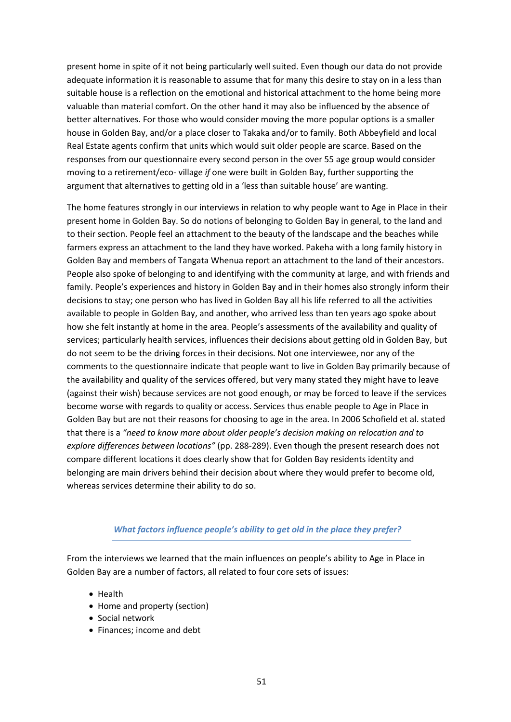present home in spite of it not being particularly well suited. Even though our data do not provide adequate information it is reasonable to assume that for many this desire to stay on in a less than suitable house is a reflection on the emotional and historical attachment to the home being more valuable than material comfort. On the other hand it may also be influenced by the absence of better alternatives. For those who would consider moving the more popular options is a smaller house in Golden Bay, and/or a place closer to Takaka and/or to family. Both Abbeyfield and local Real Estate agents confirm that units which would suit older people are scarce. Based on the responses from our questionnaire every second person in the over 55 age group would consider moving to a retirement/eco- village *if* one were built in Golden Bay, further supporting the argument that alternatives to getting old in a 'less than suitable house' are wanting.

The home features strongly in our interviews in relation to why people want to Age in Place in their present home in Golden Bay. So do notions of belonging to Golden Bay in general, to the land and to their section. People feel an attachment to the beauty of the landscape and the beaches while farmers express an attachment to the land they have worked. Pakeha with a long family history in Golden Bay and members of Tangata Whenua report an attachment to the land of their ancestors. People also spoke of belonging to and identifying with the community at large, and with friends and family. People's experiences and history in Golden Bay and in their homes also strongly inform their decisions to stay; one person who has lived in Golden Bay all his life referred to all the activities available to people in Golden Bay, and another, who arrived less than ten years ago spoke about how she felt instantly at home in the area. People's assessments of the availability and quality of services; particularly health services, influences their decisions about getting old in Golden Bay, but do not seem to be the driving forces in their decisions. Not one interviewee, nor any of the comments to the questionnaire indicate that people want to live in Golden Bay primarily because of the availability and quality of the services offered, but very many stated they might have to leave (against their wish) because services are not good enough, or may be forced to leave if the services become worse with regards to quality or access. Services thus enable people to Age in Place in Golden Bay but are not their reasons for choosing to age in the area. In 2006 Schofield et al. stated that there is a *"need to know more about older people's decision making on relocation and to explore differences between locations"* (pp. 288-289). Even though the present research does not compare different locations it does clearly show that for Golden Bay residents identity and belonging are main drivers behind their decision about where they would prefer to become old, whereas services determine their ability to do so.

#### *What factors influence people's ability to get old in the place they prefer?*

From the interviews we learned that the main influences on people's ability to Age in Place in Golden Bay are a number of factors, all related to four core sets of issues:

- Health
- Home and property (section)
- Social network
- Finances; income and debt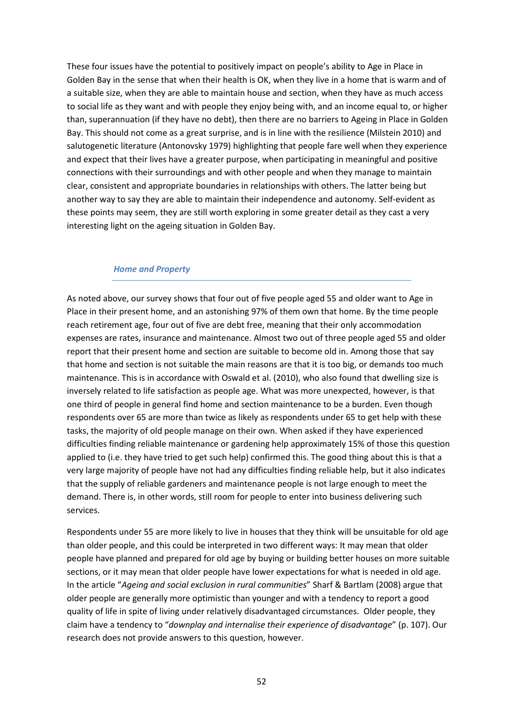These four issues have the potential to positively impact on people's ability to Age in Place in Golden Bay in the sense that when their health is OK, when they live in a home that is warm and of a suitable size, when they are able to maintain house and section, when they have as much access to social life as they want and with people they enjoy being with, and an income equal to, or higher than, superannuation (if they have no debt), then there are no barriers to Ageing in Place in Golden Bay. This should not come as a great surprise, and is in line with the resilience (Milstein 2010) and salutogenetic literature (Antonovsky 1979) highlighting that people fare well when they experience and expect that their lives have a greater purpose, when participating in meaningful and positive connections with their surroundings and with other people and when they manage to maintain clear, consistent and appropriate boundaries in relationships with others. The latter being but another way to say they are able to maintain their independence and autonomy. Self-evident as these points may seem, they are still worth exploring in some greater detail as they cast a very interesting light on the ageing situation in Golden Bay.

#### *Home and Property*

As noted above, our survey shows that four out of five people aged 55 and older want to Age in Place in their present home, and an astonishing 97% of them own that home. By the time people reach retirement age, four out of five are debt free, meaning that their only accommodation expenses are rates, insurance and maintenance. Almost two out of three people aged 55 and older report that their present home and section are suitable to become old in. Among those that say that home and section is not suitable the main reasons are that it is too big, or demands too much maintenance. This is in accordance with Oswald et al. (2010), who also found that dwelling size is inversely related to life satisfaction as people age. What was more unexpected, however, is that one third of people in general find home and section maintenance to be a burden. Even though respondents over 65 are more than twice as likely as respondents under 65 to get help with these tasks, the majority of old people manage on their own. When asked if they have experienced difficulties finding reliable maintenance or gardening help approximately 15% of those this question applied to (i.e. they have tried to get such help) confirmed this. The good thing about this is that a very large majority of people have not had any difficulties finding reliable help, but it also indicates that the supply of reliable gardeners and maintenance people is not large enough to meet the demand. There is, in other words, still room for people to enter into business delivering such services.

Respondents under 55 are more likely to live in houses that they think will be unsuitable for old age than older people, and this could be interpreted in two different ways: It may mean that older people have planned and prepared for old age by buying or building better houses on more suitable sections, or it may mean that older people have lower expectations for what is needed in old age. In the article "*Ageing and social exclusion in rural communities*" Sharf & Bartlam (2008) argue that older people are generally more optimistic than younger and with a tendency to report a good quality of life in spite of living under relatively disadvantaged circumstances. Older people, they claim have a tendency to "*downplay and internalise their experience of disadvantage*" (p. 107). Our research does not provide answers to this question, however.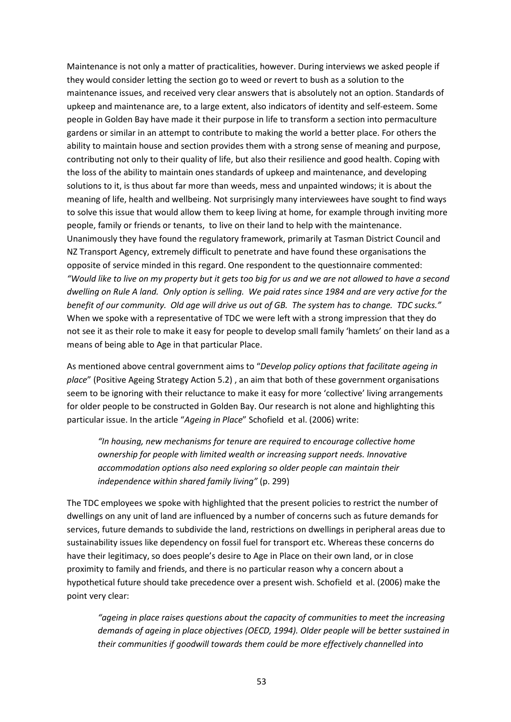Maintenance is not only a matter of practicalities, however. During interviews we asked people if they would consider letting the section go to weed or revert to bush as a solution to the maintenance issues, and received very clear answers that is absolutely not an option. Standards of upkeep and maintenance are, to a large extent, also indicators of identity and self-esteem. Some people in Golden Bay have made it their purpose in life to transform a section into permaculture gardens or similar in an attempt to contribute to making the world a better place. For others the ability to maintain house and section provides them with a strong sense of meaning and purpose, contributing not only to their quality of life, but also their resilience and good health. Coping with the loss of the ability to maintain ones standards of upkeep and maintenance, and developing solutions to it, is thus about far more than weeds, mess and unpainted windows; it is about the meaning of life, health and wellbeing. Not surprisingly many interviewees have sought to find ways to solve this issue that would allow them to keep living at home, for example through inviting more people, family or friends or tenants, to live on their land to help with the maintenance. Unanimously they have found the regulatory framework, primarily at Tasman District Council and NZ Transport Agency, extremely difficult to penetrate and have found these organisations the opposite of service minded in this regard. One respondent to the questionnaire commented: *"Would like to live on my property but it gets too big for us and we are not allowed to have a second dwelling on Rule A land. Only option is selling. We paid rates since 1984 and are very active for the benefit of our community. Old age will drive us out of GB. The system has to change. TDC sucks."* When we spoke with a representative of TDC we were left with a strong impression that they do not see it as their role to make it easy for people to develop small family 'hamlets' on their land as a means of being able to Age in that particular Place.

As mentioned above central government aims to "*Develop policy options that facilitate ageing in place*" (Positive Ageing Strategy Action 5.2) , an aim that both of these government organisations seem to be ignoring with their reluctance to make it easy for more 'collective' living arrangements for older people to be constructed in Golden Bay. Our research is not alone and highlighting this particular issue. In the article "*Ageing in Place*" Schofield et al. (2006) write:

*"In housing, new mechanisms for tenure are required to encourage collective home ownership for people with limited wealth or increasing support needs. Innovative accommodation options also need exploring so older people can maintain their independence within shared family living"* (p. 299)

The TDC employees we spoke with highlighted that the present policies to restrict the number of dwellings on any unit of land are influenced by a number of concerns such as future demands for services, future demands to subdivide the land, restrictions on dwellings in peripheral areas due to sustainability issues like dependency on fossil fuel for transport etc. Whereas these concerns do have their legitimacy, so does people's desire to Age in Place on their own land, or in close proximity to family and friends, and there is no particular reason why a concern about a hypothetical future should take precedence over a present wish. Schofield et al. (2006) make the point very clear:

*"ageing in place raises questions about the capacity of communities to meet the increasing demands of ageing in place objectives (OECD, 1994). Older people will be better sustained in their communities if goodwill towards them could be more effectively channelled into*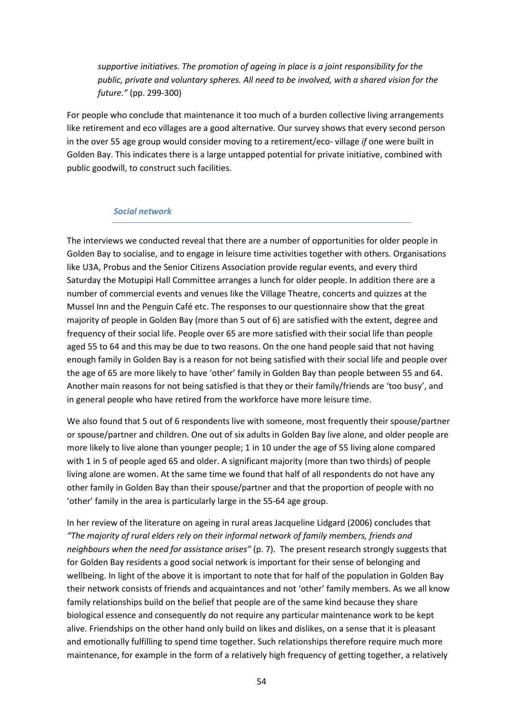*supportive initiatives. The promotion of ageing in place is a joint responsibility for the public, private and voluntary spheres. All need to be involved, with a shared vision for the future."* (pp. 299-300)

For people who conclude that maintenance it too much of a burden collective living arrangements like retirement and eco villages are a good alternative. Our survey shows that every second person in the over 55 age group would consider moving to a retirement/eco- village *if* one were built in Golden Bay. This indicates there is a large untapped potential for private initiative, combined with public goodwill, to construct such facilities.

#### *Social network*

The interviews we conducted reveal that there are a number of opportunities for older people in Golden Bay to socialise, and to engage in leisure time activities together with others. Organisations like U3A, Probus and the Senior Citizens Association provide regular events, and every third Saturday the Motupipi Hall Committee arranges a lunch for older people. In addition there are a number of commercial events and venues like the Village Theatre, concerts and quizzes at the Mussel Inn and the Penguin Café etc. The responses to our questionnaire show that the great majority of people in Golden Bay (more than 5 out of 6) are satisfied with the extent, degree and frequency of their social life. People over 65 are more satisfied with their social life than people aged 55 to 64 and this may be due to two reasons. On the one hand people said that not having enough family in Golden Bay is a reason for not being satisfied with their social life and people over the age of 65 are more likely to have 'other' family in Golden Bay than people between 55 and 64. Another main reasons for not being satisfied is that they or their family/friends are 'too busy', and in general people who have retired from the workforce have more leisure time.

We also found that 5 out of 6 respondents live with someone, most frequently their spouse/partner or spouse/partner and children. One out of six adults in Golden Bay live alone, and older people are more likely to live alone than younger people; 1 in 10 under the age of 55 living alone compared with 1 in 5 of people aged 65 and older. A significant majority (more than two thirds) of people living alone are women. At the same time we found that half of all respondents do not have any other family in Golden Bay than their spouse/partner and that the proportion of people with no 'other' family in the area is particularly large in the 55-64 age group.

In her review of the literature on ageing in rural areas Jacqueline Lidgard (2006) concludes that *"The majority of rural elders rely on their informal network of family members, friends and neighbours when the need for assistance arises"* (p. 7). The present research strongly suggests that for Golden Bay residents a good social network is important for their sense of belonging and wellbeing. In light of the above it is important to note that for half of the population in Golden Bay their network consists of friends and acquaintances and not 'other' family members. As we all know family relationships build on the belief that people are of the same kind because they share biological essence and consequently do not require any particular maintenance work to be kept alive. Friendships on the other hand only build on likes and dislikes, on a sense that it is pleasant and emotionally fulfilling to spend time together. Such relationships therefore require much more maintenance, for example in the form of a relatively high frequency of getting together, a relatively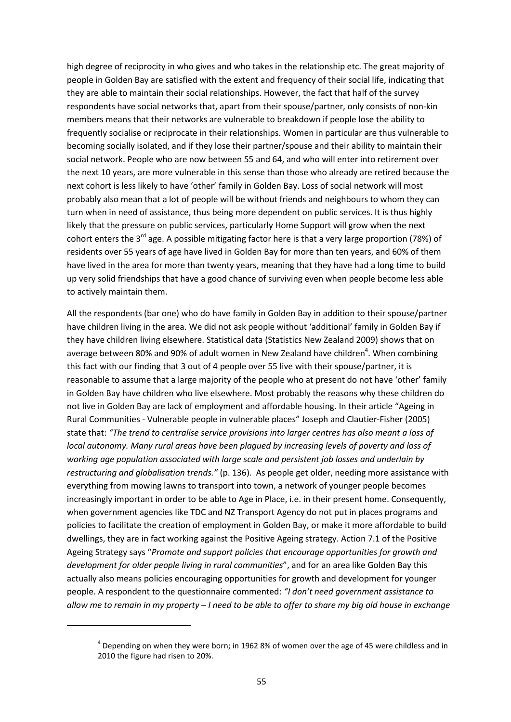high degree of reciprocity in who gives and who takes in the relationship etc. The great majority of people in Golden Bay are satisfied with the extent and frequency of their social life, indicating that they are able to maintain their social relationships. However, the fact that half of the survey respondents have social networks that, apart from their spouse/partner, only consists of non-kin members means that their networks are vulnerable to breakdown if people lose the ability to frequently socialise or reciprocate in their relationships. Women in particular are thus vulnerable to becoming socially isolated, and if they lose their partner/spouse and their ability to maintain their social network. People who are now between 55 and 64, and who will enter into retirement over the next 10 years, are more vulnerable in this sense than those who already are retired because the next cohort is less likely to have 'other' family in Golden Bay. Loss of social network will most probably also mean that a lot of people will be without friends and neighbours to whom they can turn when in need of assistance, thus being more dependent on public services. It is thus highly likely that the pressure on public services, particularly Home Support will grow when the next cohort enters the 3<sup>rd</sup> age. A possible mitigating factor here is that a very large proportion (78%) of residents over 55 years of age have lived in Golden Bay for more than ten years, and 60% of them have lived in the area for more than twenty years, meaning that they have had a long time to build up very solid friendships that have a good chance of surviving even when people become less able to actively maintain them.

All the respondents (bar one) who do have family in Golden Bay in addition to their spouse/partner have children living in the area. We did not ask people without 'additional' family in Golden Bay if they have children living elsewhere. Statistical data (Statistics New Zealand 2009) shows that on average between 80% and 90% of adult women in New Zealand have children<sup>4</sup>. When combining this fact with our finding that 3 out of 4 people over 55 live with their spouse/partner, it is reasonable to assume that a large majority of the people who at present do not have 'other' family in Golden Bay have children who live elsewhere. Most probably the reasons why these children do not live in Golden Bay are lack of employment and affordable housing. In their article "Ageing in Rural Communities - Vulnerable people in vulnerable places" Joseph and Clautier-Fisher (2005) state that: *"The trend to centralise service provisions into larger centres has also meant a loss of local autonomy. Many rural areas have been plagued by increasing levels of poverty and loss of working age population associated with large scale and persistent job losses and underlain by restructuring and globalisation trends."* (p. 136). As people get older, needing more assistance with everything from mowing lawns to transport into town, a network of younger people becomes increasingly important in order to be able to Age in Place, i.e. in their present home. Consequently, when government agencies like TDC and NZ Transport Agency do not put in places programs and policies to facilitate the creation of employment in Golden Bay, or make it more affordable to build dwellings, they are in fact working against the Positive Ageing strategy. Action 7.1 of the Positive Ageing Strategy says "*Promote and support policies that encourage opportunities for growth and development for older people living in rural communities*", and for an area like Golden Bay this actually also means policies encouraging opportunities for growth and development for younger people. A respondent to the questionnaire commented: *"I don't need government assistance to allow me to remain in my property – I need to be able to offer to share my big old house in exchange* 

<u>.</u>

 $<sup>4</sup>$  Depending on when they were born; in 1962 8% of women over the age of 45 were childless and in</sup> 2010 the figure had risen to 20%.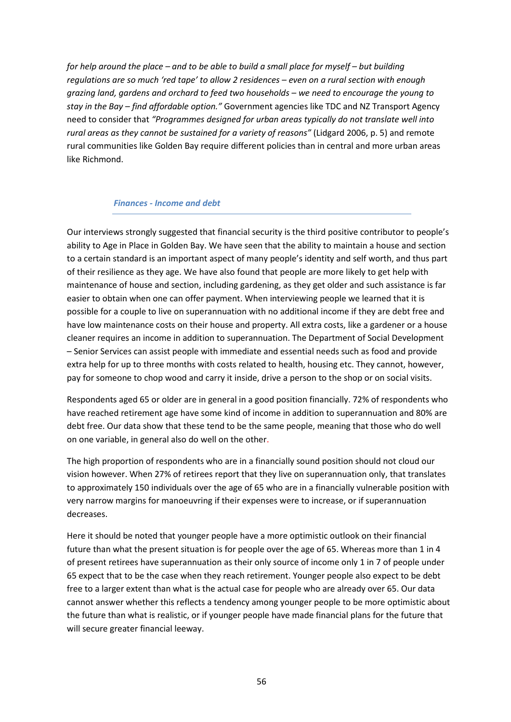*for help around the place – and to be able to build a small place for myself – but building regulations are so much 'red tape' to allow 2 residences – even on a rural section with enough grazing land, gardens and orchard to feed two households – we need to encourage the young to stay in the Bay – find affordable option."* Government agencies like TDC and NZ Transport Agency need to consider that *"Programmes designed for urban areas typically do not translate well into rural areas as they cannot be sustained for a variety of reasons"* (Lidgard 2006, p. 5) and remote rural communities like Golden Bay require different policies than in central and more urban areas like Richmond.

#### *Finances - Income and debt*

Our interviews strongly suggested that financial security is the third positive contributor to people's ability to Age in Place in Golden Bay. We have seen that the ability to maintain a house and section to a certain standard is an important aspect of many people's identity and self worth, and thus part of their resilience as they age. We have also found that people are more likely to get help with maintenance of house and section, including gardening, as they get older and such assistance is far easier to obtain when one can offer payment. When interviewing people we learned that it is possible for a couple to live on superannuation with no additional income if they are debt free and have low maintenance costs on their house and property. All extra costs, like a gardener or a house cleaner requires an income in addition to superannuation. The Department of Social Development – Senior Services can assist people with immediate and essential needs such as food and provide extra help for up to three months with costs related to health, housing etc. They cannot, however, pay for someone to chop wood and carry it inside, drive a person to the shop or on social visits.

Respondents aged 65 or older are in general in a good position financially. 72% of respondents who have reached retirement age have some kind of income in addition to superannuation and 80% are debt free. Our data show that these tend to be the same people, meaning that those who do well on one variable, in general also do well on the other.

The high proportion of respondents who are in a financially sound position should not cloud our vision however. When 27% of retirees report that they live on superannuation only, that translates to approximately 150 individuals over the age of 65 who are in a financially vulnerable position with very narrow margins for manoeuvring if their expenses were to increase, or if superannuation decreases.

Here it should be noted that younger people have a more optimistic outlook on their financial future than what the present situation is for people over the age of 65. Whereas more than 1 in 4 of present retirees have superannuation as their only source of income only 1 in 7 of people under 65 expect that to be the case when they reach retirement. Younger people also expect to be debt free to a larger extent than what is the actual case for people who are already over 65. Our data cannot answer whether this reflects a tendency among younger people to be more optimistic about the future than what is realistic, or if younger people have made financial plans for the future that will secure greater financial leeway.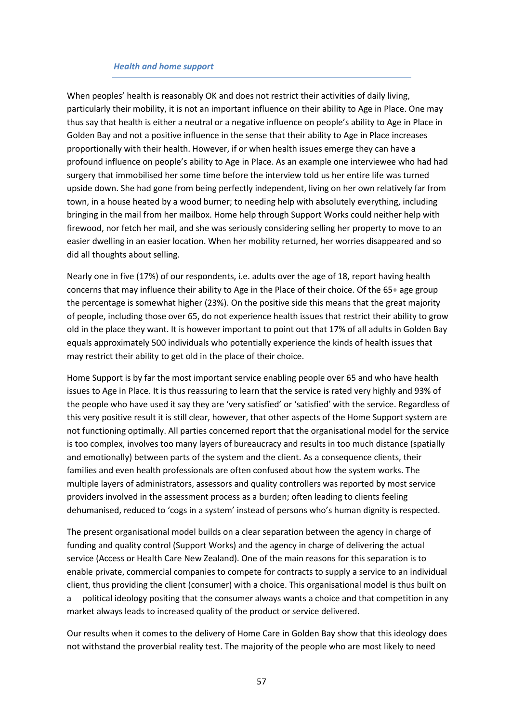#### *Health and home support*

When peoples' health is reasonably OK and does not restrict their activities of daily living, particularly their mobility, it is not an important influence on their ability to Age in Place. One may thus say that health is either a neutral or a negative influence on people's ability to Age in Place in Golden Bay and not a positive influence in the sense that their ability to Age in Place increases proportionally with their health. However, if or when health issues emerge they can have a profound influence on people's ability to Age in Place. As an example one interviewee who had had surgery that immobilised her some time before the interview told us her entire life was turned upside down. She had gone from being perfectly independent, living on her own relatively far from town, in a house heated by a wood burner; to needing help with absolutely everything, including bringing in the mail from her mailbox. Home help through Support Works could neither help with firewood, nor fetch her mail, and she was seriously considering selling her property to move to an easier dwelling in an easier location. When her mobility returned, her worries disappeared and so did all thoughts about selling.

Nearly one in five (17%) of our respondents, i.e. adults over the age of 18, report having health concerns that may influence their ability to Age in the Place of their choice. Of the 65+ age group the percentage is somewhat higher (23%). On the positive side this means that the great majority of people, including those over 65, do not experience health issues that restrict their ability to grow old in the place they want. It is however important to point out that 17% of all adults in Golden Bay equals approximately 500 individuals who potentially experience the kinds of health issues that may restrict their ability to get old in the place of their choice.

Home Support is by far the most important service enabling people over 65 and who have health issues to Age in Place. It is thus reassuring to learn that the service is rated very highly and 93% of the people who have used it say they are 'very satisfied' or 'satisfied' with the service. Regardless of this very positive result it is still clear, however, that other aspects of the Home Support system are not functioning optimally. All parties concerned report that the organisational model for the service is too complex, involves too many layers of bureaucracy and results in too much distance (spatially and emotionally) between parts of the system and the client. As a consequence clients, their families and even health professionals are often confused about how the system works. The multiple layers of administrators, assessors and quality controllers was reported by most service providers involved in the assessment process as a burden; often leading to clients feeling dehumanised, reduced to 'cogs in a system' instead of persons who's human dignity is respected.

The present organisational model builds on a clear separation between the agency in charge of funding and quality control (Support Works) and the agency in charge of delivering the actual service (Access or Health Care New Zealand). One of the main reasons for this separation is to enable private, commercial companies to compete for contracts to supply a service to an individual client, thus providing the client (consumer) with a choice. This organisational model is thus built on a political ideology positing that the consumer always wants a choice and that competition in any market always leads to increased quality of the product or service delivered.

Our results when it comes to the delivery of Home Care in Golden Bay show that this ideology does not withstand the proverbial reality test. The majority of the people who are most likely to need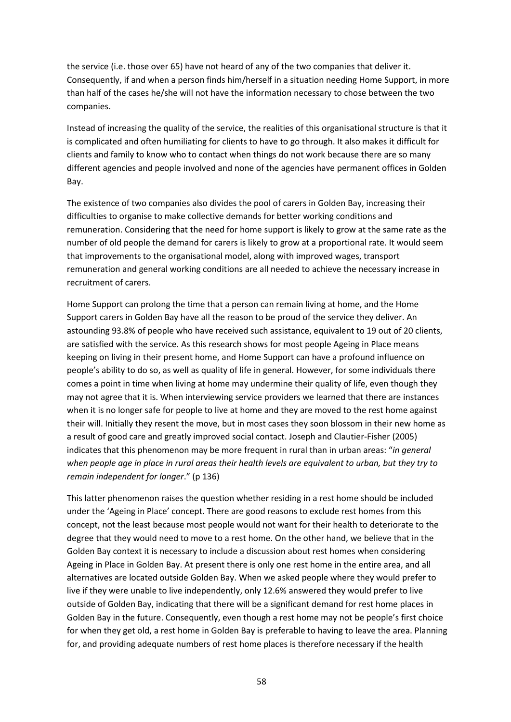the service (i.e. those over 65) have not heard of any of the two companies that deliver it. Consequently, if and when a person finds him/herself in a situation needing Home Support, in more than half of the cases he/she will not have the information necessary to chose between the two companies.

Instead of increasing the quality of the service, the realities of this organisational structure is that it is complicated and often humiliating for clients to have to go through. It also makes it difficult for clients and family to know who to contact when things do not work because there are so many different agencies and people involved and none of the agencies have permanent offices in Golden Bay.

The existence of two companies also divides the pool of carers in Golden Bay, increasing their difficulties to organise to make collective demands for better working conditions and remuneration. Considering that the need for home support is likely to grow at the same rate as the number of old people the demand for carers is likely to grow at a proportional rate. It would seem that improvements to the organisational model, along with improved wages, transport remuneration and general working conditions are all needed to achieve the necessary increase in recruitment of carers.

Home Support can prolong the time that a person can remain living at home, and the Home Support carers in Golden Bay have all the reason to be proud of the service they deliver. An astounding 93.8% of people who have received such assistance, equivalent to 19 out of 20 clients, are satisfied with the service. As this research shows for most people Ageing in Place means keeping on living in their present home, and Home Support can have a profound influence on people's ability to do so, as well as quality of life in general. However, for some individuals there comes a point in time when living at home may undermine their quality of life, even though they may not agree that it is. When interviewing service providers we learned that there are instances when it is no longer safe for people to live at home and they are moved to the rest home against their will. Initially they resent the move, but in most cases they soon blossom in their new home as a result of good care and greatly improved social contact. Joseph and Clautier-Fisher (2005) indicates that this phenomenon may be more frequent in rural than in urban areas: "*in general when people age in place in rural areas their health levels are equivalent to urban, but they try to remain independent for longer*." (p 136)

This latter phenomenon raises the question whether residing in a rest home should be included under the 'Ageing in Place' concept. There are good reasons to exclude rest homes from this concept, not the least because most people would not want for their health to deteriorate to the degree that they would need to move to a rest home. On the other hand, we believe that in the Golden Bay context it is necessary to include a discussion about rest homes when considering Ageing in Place in Golden Bay. At present there is only one rest home in the entire area, and all alternatives are located outside Golden Bay. When we asked people where they would prefer to live if they were unable to live independently, only 12.6% answered they would prefer to live outside of Golden Bay, indicating that there will be a significant demand for rest home places in Golden Bay in the future. Consequently, even though a rest home may not be people's first choice for when they get old, a rest home in Golden Bay is preferable to having to leave the area. Planning for, and providing adequate numbers of rest home places is therefore necessary if the health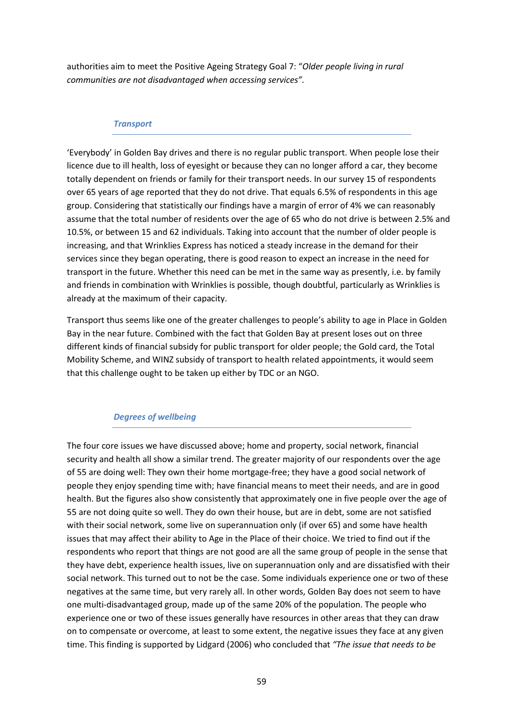authorities aim to meet the Positive Ageing Strategy Goal 7: "*Older people living in rural communities are not disadvantaged when accessing services".* 

#### *Transport*

'Everybody' in Golden Bay drives and there is no regular public transport. When people lose their licence due to ill health, loss of eyesight or because they can no longer afford a car, they become totally dependent on friends or family for their transport needs. In our survey 15 of respondents over 65 years of age reported that they do not drive. That equals 6.5% of respondents in this age group. Considering that statistically our findings have a margin of error of 4% we can reasonably assume that the total number of residents over the age of 65 who do not drive is between 2.5% and 10.5%, or between 15 and 62 individuals. Taking into account that the number of older people is increasing, and that Wrinklies Express has noticed a steady increase in the demand for their services since they began operating, there is good reason to expect an increase in the need for transport in the future. Whether this need can be met in the same way as presently, i.e. by family and friends in combination with Wrinklies is possible, though doubtful, particularly as Wrinklies is already at the maximum of their capacity.

Transport thus seems like one of the greater challenges to people's ability to age in Place in Golden Bay in the near future. Combined with the fact that Golden Bay at present loses out on three different kinds of financial subsidy for public transport for older people; the Gold card, the Total Mobility Scheme, and WINZ subsidy of transport to health related appointments, it would seem that this challenge ought to be taken up either by TDC or an NGO.

#### *Degrees of wellbeing*

The four core issues we have discussed above; home and property, social network, financial security and health all show a similar trend. The greater majority of our respondents over the age of 55 are doing well: They own their home mortgage-free; they have a good social network of people they enjoy spending time with; have financial means to meet their needs, and are in good health. But the figures also show consistently that approximately one in five people over the age of 55 are not doing quite so well. They do own their house, but are in debt, some are not satisfied with their social network, some live on superannuation only (if over 65) and some have health issues that may affect their ability to Age in the Place of their choice. We tried to find out if the respondents who report that things are not good are all the same group of people in the sense that they have debt, experience health issues, live on superannuation only and are dissatisfied with their social network. This turned out to not be the case. Some individuals experience one or two of these negatives at the same time, but very rarely all. In other words, Golden Bay does not seem to have one multi-disadvantaged group, made up of the same 20% of the population. The people who experience one or two of these issues generally have resources in other areas that they can draw on to compensate or overcome, at least to some extent, the negative issues they face at any given time. This finding is supported by Lidgard (2006) who concluded that *"The issue that needs to be*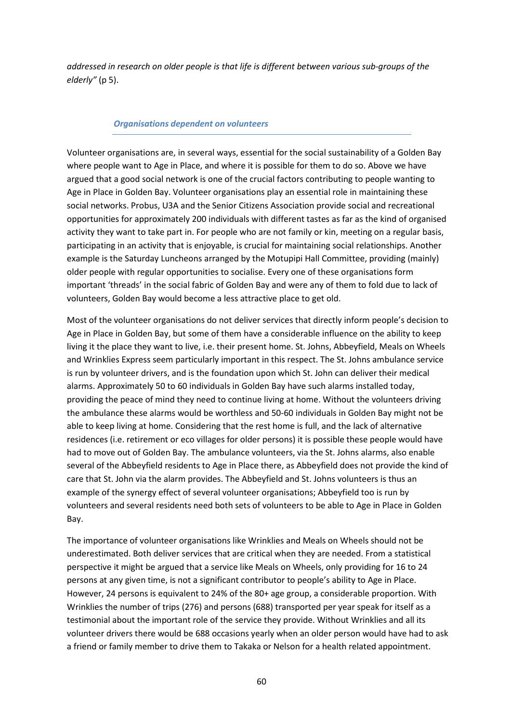*addressed in research on older people is that life is different between various sub-groups of the elderly"* (p 5).

#### *Organisations dependent on volunteers*

Volunteer organisations are, in several ways, essential for the social sustainability of a Golden Bay where people want to Age in Place, and where it is possible for them to do so. Above we have argued that a good social network is one of the crucial factors contributing to people wanting to Age in Place in Golden Bay. Volunteer organisations play an essential role in maintaining these social networks. Probus, U3A and the Senior Citizens Association provide social and recreational opportunities for approximately 200 individuals with different tastes as far as the kind of organised activity they want to take part in. For people who are not family or kin, meeting on a regular basis, participating in an activity that is enjoyable, is crucial for maintaining social relationships. Another example is the Saturday Luncheons arranged by the Motupipi Hall Committee, providing (mainly) older people with regular opportunities to socialise. Every one of these organisations form important 'threads' in the social fabric of Golden Bay and were any of them to fold due to lack of volunteers, Golden Bay would become a less attractive place to get old.

Most of the volunteer organisations do not deliver services that directly inform people's decision to Age in Place in Golden Bay, but some of them have a considerable influence on the ability to keep living it the place they want to live, i.e. their present home. St. Johns, Abbeyfield, Meals on Wheels and Wrinklies Express seem particularly important in this respect. The St. Johns ambulance service is run by volunteer drivers, and is the foundation upon which St. John can deliver their medical alarms. Approximately 50 to 60 individuals in Golden Bay have such alarms installed today, providing the peace of mind they need to continue living at home. Without the volunteers driving the ambulance these alarms would be worthless and 50-60 individuals in Golden Bay might not be able to keep living at home. Considering that the rest home is full, and the lack of alternative residences (i.e. retirement or eco villages for older persons) it is possible these people would have had to move out of Golden Bay. The ambulance volunteers, via the St. Johns alarms, also enable several of the Abbeyfield residents to Age in Place there, as Abbeyfield does not provide the kind of care that St. John via the alarm provides. The Abbeyfield and St. Johns volunteers is thus an example of the synergy effect of several volunteer organisations; Abbeyfield too is run by volunteers and several residents need both sets of volunteers to be able to Age in Place in Golden Bay.

The importance of volunteer organisations like Wrinklies and Meals on Wheels should not be underestimated. Both deliver services that are critical when they are needed. From a statistical perspective it might be argued that a service like Meals on Wheels, only providing for 16 to 24 persons at any given time, is not a significant contributor to people's ability to Age in Place. However, 24 persons is equivalent to 24% of the 80+ age group, a considerable proportion. With Wrinklies the number of trips (276) and persons (688) transported per year speak for itself as a testimonial about the important role of the service they provide. Without Wrinklies and all its volunteer drivers there would be 688 occasions yearly when an older person would have had to ask a friend or family member to drive them to Takaka or Nelson for a health related appointment.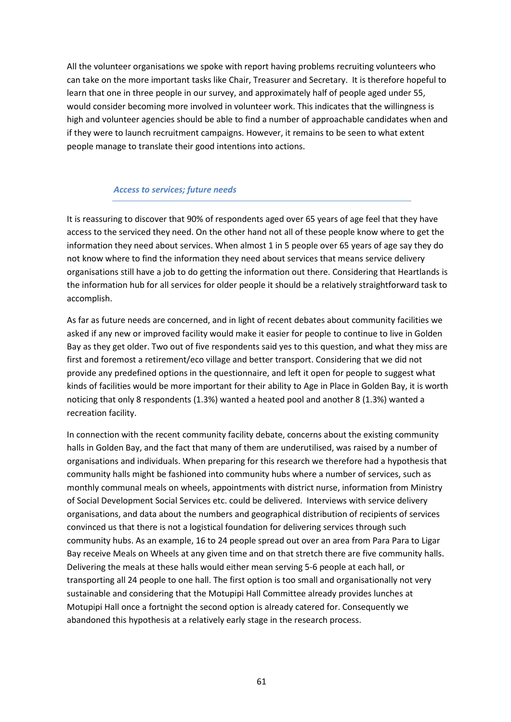All the volunteer organisations we spoke with report having problems recruiting volunteers who can take on the more important tasks like Chair, Treasurer and Secretary. It is therefore hopeful to learn that one in three people in our survey, and approximately half of people aged under 55, would consider becoming more involved in volunteer work. This indicates that the willingness is high and volunteer agencies should be able to find a number of approachable candidates when and if they were to launch recruitment campaigns. However, it remains to be seen to what extent people manage to translate their good intentions into actions.

#### *Access to services; future needs*

It is reassuring to discover that 90% of respondents aged over 65 years of age feel that they have access to the serviced they need. On the other hand not all of these people know where to get the information they need about services. When almost 1 in 5 people over 65 years of age say they do not know where to find the information they need about services that means service delivery organisations still have a job to do getting the information out there. Considering that Heartlands is the information hub for all services for older people it should be a relatively straightforward task to accomplish.

As far as future needs are concerned, and in light of recent debates about community facilities we asked if any new or improved facility would make it easier for people to continue to live in Golden Bay as they get older. Two out of five respondents said yes to this question, and what they miss are first and foremost a retirement/eco village and better transport. Considering that we did not provide any predefined options in the questionnaire, and left it open for people to suggest what kinds of facilities would be more important for their ability to Age in Place in Golden Bay, it is worth noticing that only 8 respondents (1.3%) wanted a heated pool and another 8 (1.3%) wanted a recreation facility.

In connection with the recent community facility debate, concerns about the existing community halls in Golden Bay, and the fact that many of them are underutilised, was raised by a number of organisations and individuals. When preparing for this research we therefore had a hypothesis that community halls might be fashioned into community hubs where a number of services, such as monthly communal meals on wheels, appointments with district nurse, information from Ministry of Social Development Social Services etc. could be delivered. Interviews with service delivery organisations, and data about the numbers and geographical distribution of recipients of services convinced us that there is not a logistical foundation for delivering services through such community hubs. As an example, 16 to 24 people spread out over an area from Para Para to Ligar Bay receive Meals on Wheels at any given time and on that stretch there are five community halls. Delivering the meals at these halls would either mean serving 5-6 people at each hall, or transporting all 24 people to one hall. The first option is too small and organisationally not very sustainable and considering that the Motupipi Hall Committee already provides lunches at Motupipi Hall once a fortnight the second option is already catered for. Consequently we abandoned this hypothesis at a relatively early stage in the research process.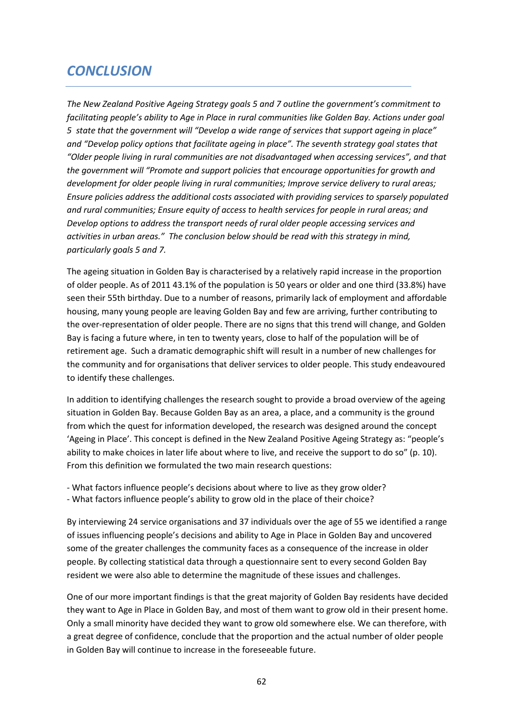# *CONCLUSION*

*The New Zealand Positive Ageing Strategy goals 5 and 7 outline the government's commitment to facilitating people's ability to Age in Place in rural communities like Golden Bay. Actions under goal 5 state that the government will "Develop a wide range of services that support ageing in place" and "Develop policy options that facilitate ageing in place". The seventh strategy goal states that "Older people living in rural communities are not disadvantaged when accessing services", and that the government will "Promote and support policies that encourage opportunities for growth and development for older people living in rural communities; Improve service delivery to rural areas; Ensure policies address the additional costs associated with providing services to sparsely populated and rural communities; Ensure equity of access to health services for people in rural areas; and Develop options to address the transport needs of rural older people accessing services and activities in urban areas." The conclusion below should be read with this strategy in mind, particularly goals 5 and 7.* 

The ageing situation in Golden Bay is characterised by a relatively rapid increase in the proportion of older people. As of 2011 43.1% of the population is 50 years or older and one third (33.8%) have seen their 55th birthday. Due to a number of reasons, primarily lack of employment and affordable housing, many young people are leaving Golden Bay and few are arriving, further contributing to the over-representation of older people. There are no signs that this trend will change, and Golden Bay is facing a future where, in ten to twenty years, close to half of the population will be of retirement age. Such a dramatic demographic shift will result in a number of new challenges for the community and for organisations that deliver services to older people. This study endeavoured to identify these challenges.

In addition to identifying challenges the research sought to provide a broad overview of the ageing situation in Golden Bay. Because Golden Bay as an area, a place, and a community is the ground from which the quest for information developed, the research was designed around the concept 'Ageing in Place'. This concept is defined in the New Zealand Positive Ageing Strategy as: "people's ability to make choices in later life about where to live, and receive the support to do so" (p. 10). From this definition we formulated the two main research questions:

- What factors influence people's decisions about where to live as they grow older? - What factors influence people's ability to grow old in the place of their choice?

By interviewing 24 service organisations and 37 individuals over the age of 55 we identified a range of issues influencing people's decisions and ability to Age in Place in Golden Bay and uncovered some of the greater challenges the community faces as a consequence of the increase in older people. By collecting statistical data through a questionnaire sent to every second Golden Bay resident we were also able to determine the magnitude of these issues and challenges.

One of our more important findings is that the great majority of Golden Bay residents have decided they want to Age in Place in Golden Bay, and most of them want to grow old in their present home. Only a small minority have decided they want to grow old somewhere else. We can therefore, with a great degree of confidence, conclude that the proportion and the actual number of older people in Golden Bay will continue to increase in the foreseeable future.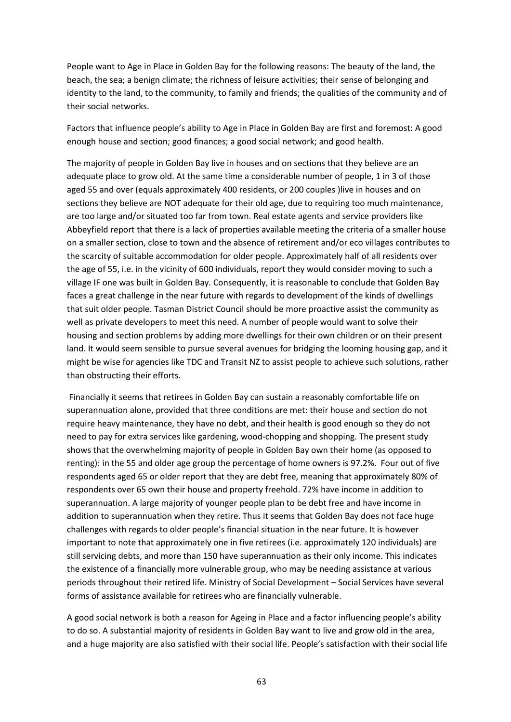People want to Age in Place in Golden Bay for the following reasons: The beauty of the land, the beach, the sea; a benign climate; the richness of leisure activities; their sense of belonging and identity to the land, to the community, to family and friends; the qualities of the community and of their social networks.

Factors that influence people's ability to Age in Place in Golden Bay are first and foremost: A good enough house and section; good finances; a good social network; and good health.

The majority of people in Golden Bay live in houses and on sections that they believe are an adequate place to grow old. At the same time a considerable number of people, 1 in 3 of those aged 55 and over (equals approximately 400 residents, or 200 couples )live in houses and on sections they believe are NOT adequate for their old age, due to requiring too much maintenance, are too large and/or situated too far from town. Real estate agents and service providers like Abbeyfield report that there is a lack of properties available meeting the criteria of a smaller house on a smaller section, close to town and the absence of retirement and/or eco villages contributes to the scarcity of suitable accommodation for older people. Approximately half of all residents over the age of 55, i.e. in the vicinity of 600 individuals, report they would consider moving to such a village IF one was built in Golden Bay. Consequently, it is reasonable to conclude that Golden Bay faces a great challenge in the near future with regards to development of the kinds of dwellings that suit older people. Tasman District Council should be more proactive assist the community as well as private developers to meet this need. A number of people would want to solve their housing and section problems by adding more dwellings for their own children or on their present land. It would seem sensible to pursue several avenues for bridging the looming housing gap, and it might be wise for agencies like TDC and Transit NZ to assist people to achieve such solutions, rather than obstructing their efforts.

 Financially it seems that retirees in Golden Bay can sustain a reasonably comfortable life on superannuation alone, provided that three conditions are met: their house and section do not require heavy maintenance, they have no debt, and their health is good enough so they do not need to pay for extra services like gardening, wood-chopping and shopping. The present study shows that the overwhelming majority of people in Golden Bay own their home (as opposed to renting): in the 55 and older age group the percentage of home owners is 97.2%. Four out of five respondents aged 65 or older report that they are debt free, meaning that approximately 80% of respondents over 65 own their house and property freehold. 72% have income in addition to superannuation. A large majority of younger people plan to be debt free and have income in addition to superannuation when they retire. Thus it seems that Golden Bay does not face huge challenges with regards to older people's financial situation in the near future. It is however important to note that approximately one in five retirees (i.e. approximately 120 individuals) are still servicing debts, and more than 150 have superannuation as their only income. This indicates the existence of a financially more vulnerable group, who may be needing assistance at various periods throughout their retired life. Ministry of Social Development – Social Services have several forms of assistance available for retirees who are financially vulnerable.

A good social network is both a reason for Ageing in Place and a factor influencing people's ability to do so. A substantial majority of residents in Golden Bay want to live and grow old in the area, and a huge majority are also satisfied with their social life. People's satisfaction with their social life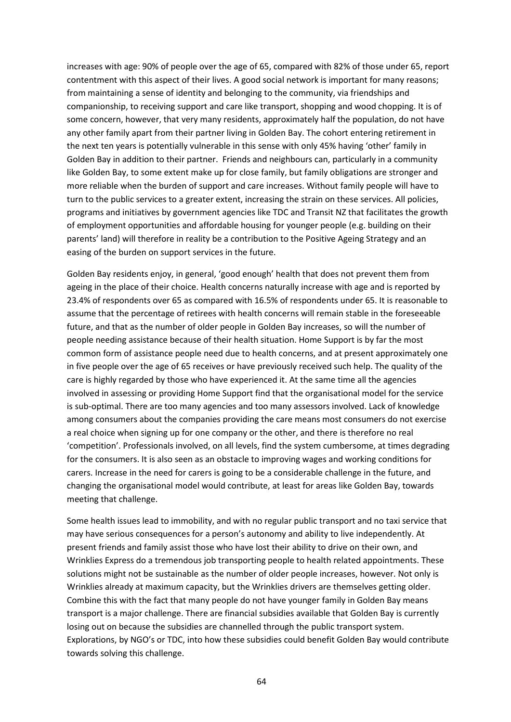increases with age: 90% of people over the age of 65, compared with 82% of those under 65, report contentment with this aspect of their lives. A good social network is important for many reasons; from maintaining a sense of identity and belonging to the community, via friendships and companionship, to receiving support and care like transport, shopping and wood chopping. It is of some concern, however, that very many residents, approximately half the population, do not have any other family apart from their partner living in Golden Bay. The cohort entering retirement in the next ten years is potentially vulnerable in this sense with only 45% having 'other' family in Golden Bay in addition to their partner. Friends and neighbours can, particularly in a community like Golden Bay, to some extent make up for close family, but family obligations are stronger and more reliable when the burden of support and care increases. Without family people will have to turn to the public services to a greater extent, increasing the strain on these services. All policies, programs and initiatives by government agencies like TDC and Transit NZ that facilitates the growth of employment opportunities and affordable housing for younger people (e.g. building on their parents' land) will therefore in reality be a contribution to the Positive Ageing Strategy and an easing of the burden on support services in the future.

Golden Bay residents enjoy, in general, 'good enough' health that does not prevent them from ageing in the place of their choice. Health concerns naturally increase with age and is reported by 23.4% of respondents over 65 as compared with 16.5% of respondents under 65. It is reasonable to assume that the percentage of retirees with health concerns will remain stable in the foreseeable future, and that as the number of older people in Golden Bay increases, so will the number of people needing assistance because of their health situation. Home Support is by far the most common form of assistance people need due to health concerns, and at present approximately one in five people over the age of 65 receives or have previously received such help. The quality of the care is highly regarded by those who have experienced it. At the same time all the agencies involved in assessing or providing Home Support find that the organisational model for the service is sub-optimal. There are too many agencies and too many assessors involved. Lack of knowledge among consumers about the companies providing the care means most consumers do not exercise a real choice when signing up for one company or the other, and there is therefore no real 'competition'. Professionals involved, on all levels, find the system cumbersome, at times degrading for the consumers. It is also seen as an obstacle to improving wages and working conditions for carers. Increase in the need for carers is going to be a considerable challenge in the future, and changing the organisational model would contribute, at least for areas like Golden Bay, towards meeting that challenge.

Some health issues lead to immobility, and with no regular public transport and no taxi service that may have serious consequences for a person's autonomy and ability to live independently. At present friends and family assist those who have lost their ability to drive on their own, and Wrinklies Express do a tremendous job transporting people to health related appointments. These solutions might not be sustainable as the number of older people increases, however. Not only is Wrinklies already at maximum capacity, but the Wrinklies drivers are themselves getting older. Combine this with the fact that many people do not have younger family in Golden Bay means transport is a major challenge. There are financial subsidies available that Golden Bay is currently losing out on because the subsidies are channelled through the public transport system. Explorations, by NGO's or TDC, into how these subsidies could benefit Golden Bay would contribute towards solving this challenge.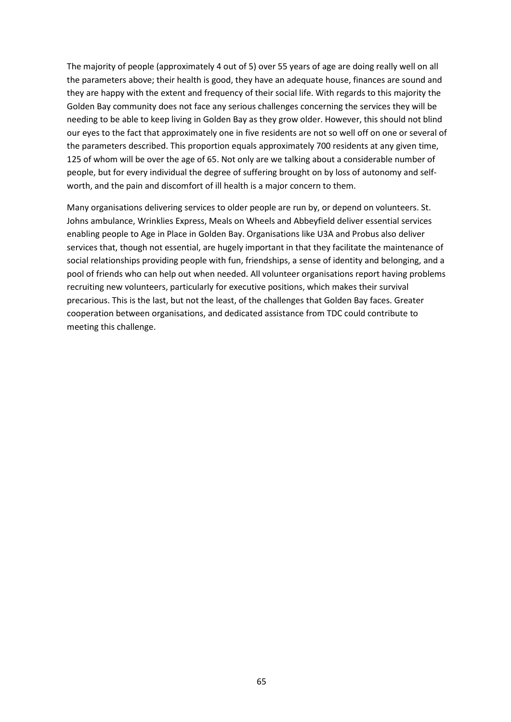The majority of people (approximately 4 out of 5) over 55 years of age are doing really well on all the parameters above; their health is good, they have an adequate house, finances are sound and they are happy with the extent and frequency of their social life. With regards to this majority the Golden Bay community does not face any serious challenges concerning the services they will be needing to be able to keep living in Golden Bay as they grow older. However, this should not blind our eyes to the fact that approximately one in five residents are not so well off on one or several of the parameters described. This proportion equals approximately 700 residents at any given time, 125 of whom will be over the age of 65. Not only are we talking about a considerable number of people, but for every individual the degree of suffering brought on by loss of autonomy and selfworth, and the pain and discomfort of ill health is a major concern to them.

Many organisations delivering services to older people are run by, or depend on volunteers. St. Johns ambulance, Wrinklies Express, Meals on Wheels and Abbeyfield deliver essential services enabling people to Age in Place in Golden Bay. Organisations like U3A and Probus also deliver services that, though not essential, are hugely important in that they facilitate the maintenance of social relationships providing people with fun, friendships, a sense of identity and belonging, and a pool of friends who can help out when needed. All volunteer organisations report having problems recruiting new volunteers, particularly for executive positions, which makes their survival precarious. This is the last, but not the least, of the challenges that Golden Bay faces. Greater cooperation between organisations, and dedicated assistance from TDC could contribute to meeting this challenge.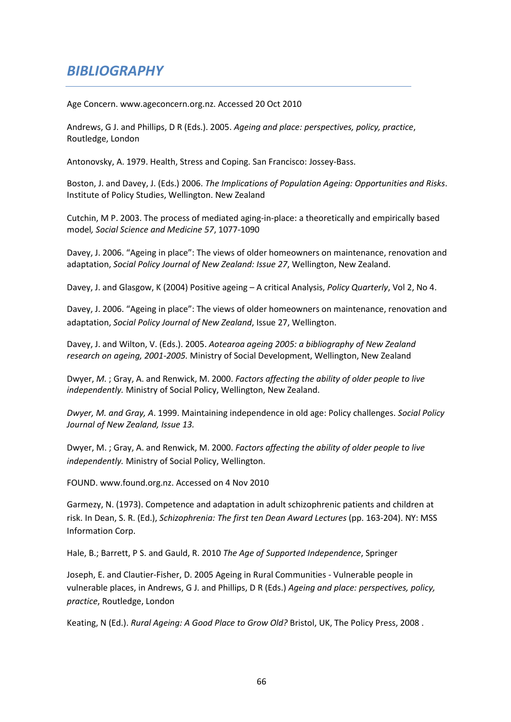# *BIBLIOGRAPHY*

Age Concern. www.ageconcern.org.nz. Accessed 20 Oct 2010

Andrews, G J. and Phillips, D R (Eds.). 2005. *Ageing and place: perspectives, policy, practice*, Routledge, London

Antonovsky, A. 1979. Health, Stress and Coping. San Francisco: Jossey-Bass.

Boston, J. and Davey, J. (Eds.) 2006. *The Implications of Population Ageing: Opportunities and Risks*. Institute of Policy Studies, Wellington. New Zealand

Cutchin, M P. 2003. The process of mediated aging-in-place: a theoretically and empirically based model*, Social Science and Medicine 57*, 1077-1090

Davey, J. 2006. "Ageing in place": The views of older homeowners on maintenance, renovation and adaptation, *Social Policy Journal of New Zealand: Issue 27*, Wellington, New Zealand.

Davey, J. and Glasgow, K (2004) Positive ageing – A critical Analysis, *Policy Quarterly*, Vol 2, No 4.

Davey, J. 2006. "Ageing in place": The views of older homeowners on maintenance, renovation and adaptation, *Social Policy Journal of New Zealand*, Issue 27, Wellington.

Davey, J. and Wilton, V. (Eds.). 2005. *Aotearoa ageing 2005: a bibliography of New Zealand research on ageing, 2001-2005.* Ministry of Social Development, Wellington, New Zealand

Dwyer, *M.* ; Gray, A. and Renwick, M. 2000. *Factors affecting the ability of older people to live independently.* Ministry of Social Policy, Wellington, New Zealand.

*Dwyer, M. and Gray, A*. 1999. Maintaining independence in old age: Policy challenges. *Social Policy Journal of New Zealand, Issue 13.* 

Dwyer, M. ; Gray, A. and Renwick, M. 2000. *Factors affecting the ability of older people to live independently.* Ministry of Social Policy, Wellington.

FOUND. www.found.org.nz. Accessed on 4 Nov 2010

Garmezy, N. (1973). Competence and adaptation in adult schizophrenic patients and children at risk. In Dean, S. R. (Ed.), *Schizophrenia: The first ten Dean Award Lectures* (pp. 163-204). NY: MSS Information Corp.

Hale, B.; Barrett, P S. and Gauld, R. 2010 *The Age of Supported Independence*, Springer

Joseph, E. and Clautier-Fisher, D. 2005 Ageing in Rural Communities - Vulnerable people in vulnerable places, in Andrews, G J. and Phillips, D R (Eds.) *Ageing and place: perspectives, policy, practice*, Routledge, London

Keating, N (Ed.). *Rural Ageing: A Good Place to Grow Old?* Bristol, UK, The Policy Press, 2008 .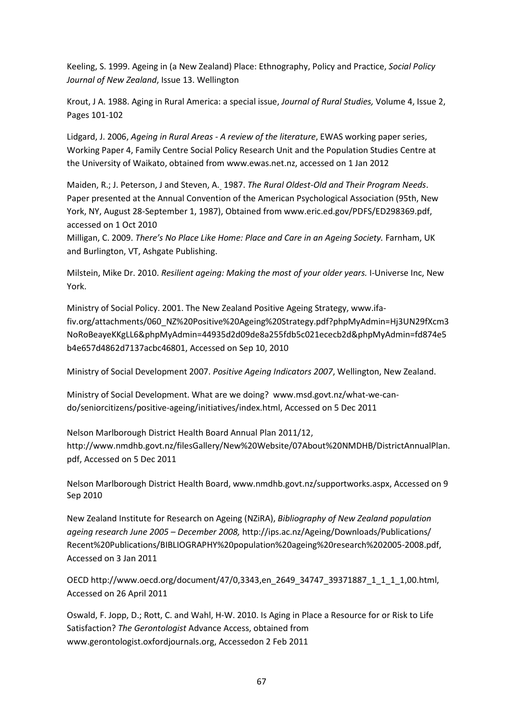Keeling, S. 1999. Ageing in (a New Zealand) Place: Ethnography, Policy and Practice, *Social Policy Journal of New Zealand*, Issue 13. Wellington

Krout, J A. 1988. Aging in Rural America: a special issue, *Journal of Rural Studies,* Volume 4, Issue 2, Pages 101-102

Lidgard, J. 2006, *Ageing in Rural Areas - A review of the literature*, EWAS working paper series, Working Paper 4, Family Centre Social Policy Research Unit and the Population Studies Centre at the University of Waikato, obtained from www.ewas.net.nz, accessed on 1 Jan 2012

Maiden, R.; J. Peterson, J and Steven, A. 1987. *The Rural Oldest-Old and Their Program Needs*. Paper presented at the Annual Convention of the American Psychological Association (95th, New York, NY, August 28-September 1, 1987), Obtained from www.eric.ed.gov/PDFS/ED298369.pdf, accessed on 1 Oct 2010

Milligan, C. 2009. *There's No Place Like Home: Place and Care in an Ageing Society.* Farnham, UK and Burlington, VT, Ashgate Publishing.

Milstein, Mike Dr. 2010. *Resilient ageing: Making the most of your older years.* I-Universe Inc, New York.

Ministry of Social Policy. 2001. The New Zealand Positive Ageing Strategy, www.ifafiv.org/attachments/060\_NZ%20Positive%20Ageing%20Strategy.pdf?phpMyAdmin=Hj3UN29fXcm3 NoRoBeayeKKgLL6&phpMyAdmin=44935d2d09de8a255fdb5c021ececb2d&phpMyAdmin=fd874e5 b4e657d4862d7137acbc46801, Accessed on Sep 10, 2010

Ministry of Social Development 2007. *Positive Ageing Indicators 2007*, Wellington, New Zealand.

Ministry of Social Development. What are we doing? www.msd.govt.nz/what-we-cando/seniorcitizens/positive-ageing/initiatives/index.html, Accessed on 5 Dec 2011

Nelson Marlborough District Health Board Annual Plan 2011/12, http://www.nmdhb.govt.nz/filesGallery/New%20Website/07About%20NMDHB/DistrictAnnualPlan. pdf, Accessed on 5 Dec 2011

Nelson Marlborough District Health Board, www.nmdhb.govt.nz/supportworks.aspx, Accessed on 9 Sep 2010

New Zealand Institute for Research on Ageing (NZiRA), *Bibliography of New Zealand population ageing research June 2005 – December 2008,* http://ips.ac.nz/Ageing/Downloads/Publications/ Recent%20Publications/BIBLIOGRAPHY%20population%20ageing%20research%202005-2008.pdf, Accessed on 3 Jan 2011

OECD http://www.oecd.org/document/47/0,3343,en\_2649\_34747\_39371887\_1\_1\_1\_1,00.html, Accessed on 26 April 2011

Oswald, F. Jopp, D.; Rott, C. and Wahl, H-W. 2010. Is Aging in Place a Resource for or Risk to Life Satisfaction? *The Gerontologist* Advance Access, obtained from www.gerontologist.oxfordjournals.org, Accessedon 2 Feb 2011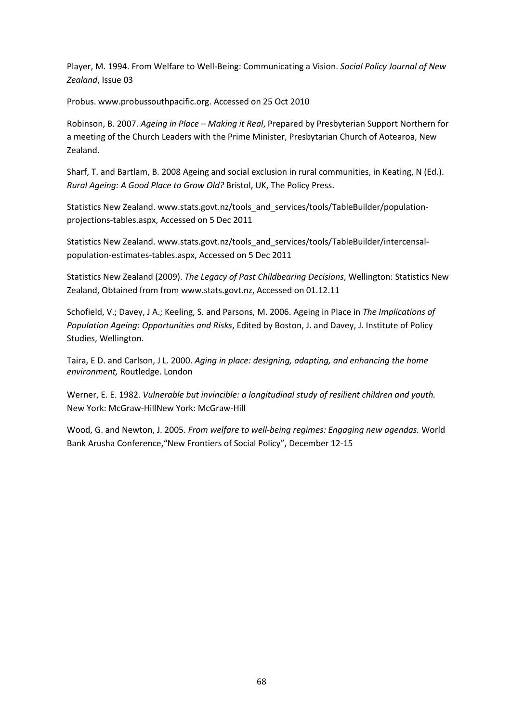Player, M. 1994. From Welfare to Well-Being: Communicating a Vision. *Social Policy Journal of New Zealand*, Issue 03

Probus. www.probussouthpacific.org. Accessed on 25 Oct 2010

Robinson, B. 2007. *Ageing in Place – Making it Real*, Prepared by Presbyterian Support Northern for a meeting of the Church Leaders with the Prime Minister, Presbytarian Church of Aotearoa, New Zealand.

Sharf, T. and Bartlam, B. 2008 Ageing and social exclusion in rural communities, in Keating, N (Ed.). *Rural Ageing: A Good Place to Grow Old?* Bristol, UK, The Policy Press.

Statistics New Zealand. www.stats.govt.nz/tools\_and\_services/tools/TableBuilder/populationprojections-tables.aspx, Accessed on 5 Dec 2011

Statistics New Zealand. www.stats.govt.nz/tools\_and\_services/tools/TableBuilder/intercensalpopulation-estimates-tables.aspx, Accessed on 5 Dec 2011

Statistics New Zealand (2009). *The Legacy of Past Childbearing Decisions*, Wellington: Statistics New Zealand, Obtained from from www.stats.govt.nz, Accessed on 01.12.11

Schofield, V.; Davey, J A.; Keeling, S. and Parsons, M. 2006. Ageing in Place in *The Implications of Population Ageing: Opportunities and Risks*, Edited by Boston, J. and Davey, J. Institute of Policy Studies, Wellington.

Taira, E D. and Carlson, J L. 2000. *Aging in place: designing, adapting, and enhancing the home environment,* Routledge. London

Werner, E. E. 1982. *Vulnerable but invincible: a longitudinal study of resilient children and youth.* New York: McGraw-HillNew York: McGraw-Hill

Wood, G. and Newton, J. 2005. *From welfare to well-being regimes: Engaging new agendas.* World Bank Arusha Conference,"New Frontiers of Social Policy", December 12-15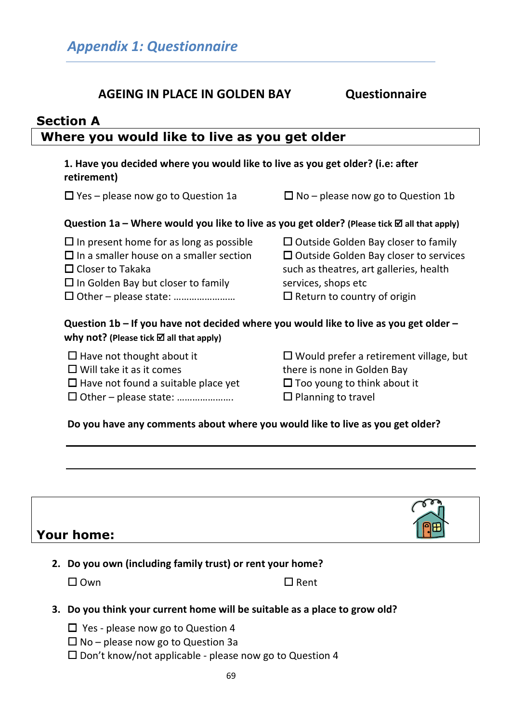# **AGEING IN PLACE IN GOLDEN BAY Questionnaire**

| <b>Section A</b>                              |  |
|-----------------------------------------------|--|
| Where you would like to live as you get older |  |

| 1. Have you decided where you would like to live as you get older? (i.e: after<br>retirement)                                                                            |                                                                                                                                                                                                       |  |  |  |
|--------------------------------------------------------------------------------------------------------------------------------------------------------------------------|-------------------------------------------------------------------------------------------------------------------------------------------------------------------------------------------------------|--|--|--|
| $\Box$ Yes – please now go to Question 1a                                                                                                                                | $\Box$ No – please now go to Question 1b                                                                                                                                                              |  |  |  |
| Question 1a – Where would you like to live as you get older? (Please tick $\boxtimes$ all that apply)                                                                    |                                                                                                                                                                                                       |  |  |  |
| $\Box$ In present home for as long as possible<br>$\Box$ In a smaller house on a smaller section<br>$\Box$ Closer to Takaka<br>$\Box$ In Golden Bay but closer to family | $\Box$ Outside Golden Bay closer to family<br>$\square$ Outside Golden Bay closer to services<br>such as theatres, art galleries, health<br>services, shops etc<br>$\Box$ Return to country of origin |  |  |  |
| Question 1b – If you have not decided where you would like to live as you get older –<br>why not? (Please tick $\boxtimes$ all that apply)                               |                                                                                                                                                                                                       |  |  |  |
| $\Box$ Have not thought about it<br>$\Box$ Will take it as it comes<br>$\Box$ Have not found a suitable place yet                                                        | $\Box$ Would prefer a retirement village, but<br>there is none in Golden Bay<br>$\Box$ Too young to think about it                                                                                    |  |  |  |

□ Other – please state: ……………………

 $\square$  Planning to travel

**Do you have any comments about where you would like to live as you get older?** 

| <b>Your home:</b>                                                                                                                                                                                                                                                  |  |
|--------------------------------------------------------------------------------------------------------------------------------------------------------------------------------------------------------------------------------------------------------------------|--|
| $\sim$ . The contract of the contract of the contract of the contract of the contract of the contract of the contract of the contract of the contract of the contract of the contract of the contract of the contract of the co<br>the contract of the contract of |  |

|  | 2. Do you own (including family trust) or rent your home? |  |  |  |  |
|--|-----------------------------------------------------------|--|--|--|--|
|--|-----------------------------------------------------------|--|--|--|--|

 $\square$  Own  $\square$  Rent

- **3. Do you think your current home will be suitable as a place to grow old?** 
	- □ Yes please now go to Question 4
	- $\Box$  No please now go to Question 3a
	- □ Don't know/not applicable please now go to Question 4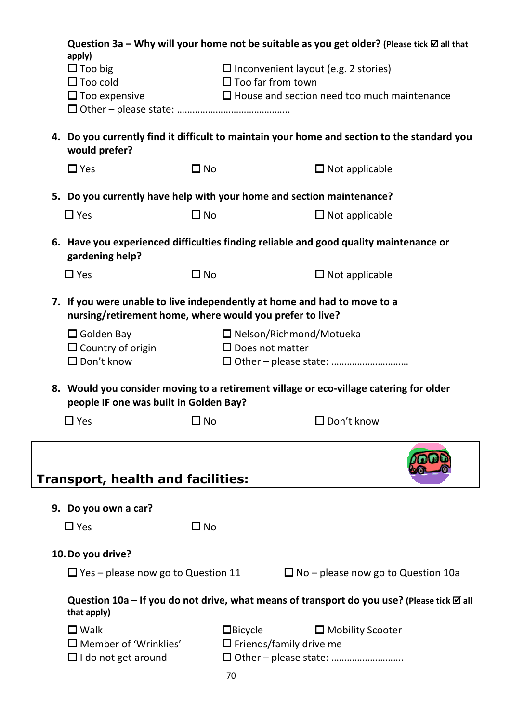| Question 3a – Why will your home not be suitable as you get older? (Please tick $\boxtimes$ all that<br>apply) |              |                                                                                             |  |  |
|----------------------------------------------------------------------------------------------------------------|--------------|---------------------------------------------------------------------------------------------|--|--|
| $\Box$ Too big<br>$\square$ Too cold                                                                           |              | $\Box$ Inconvenient layout (e.g. 2 stories)<br>$\Box$ Too far from town                     |  |  |
| $\square$ Too expensive                                                                                        |              | $\Box$ House and section need too much maintenance                                          |  |  |
| would prefer?                                                                                                  |              | 4. Do you currently find it difficult to maintain your home and section to the standard you |  |  |
| $\Box$ Yes                                                                                                     | $\Box$ No    | $\Box$ Not applicable                                                                       |  |  |
|                                                                                                                |              | 5. Do you currently have help with your home and section maintenance?                       |  |  |
| $\Box$ Yes                                                                                                     | $\square$ No | $\Box$ Not applicable                                                                       |  |  |
| gardening help?                                                                                                |              | 6. Have you experienced difficulties finding reliable and good quality maintenance or       |  |  |
| $\Box$ Yes                                                                                                     | $\Box$ No    | $\Box$ Not applicable                                                                       |  |  |
| nursing/retirement home, where would you prefer to live?                                                       |              | 7. If you were unable to live independently at home and had to move to a                    |  |  |
| $\square$ Golden Bay                                                                                           |              | $\Box$ Nelson/Richmond/Motueka                                                              |  |  |
| $\Box$ Country of origin<br>$\square$ Don't know                                                               |              | $\Box$ Does not matter                                                                      |  |  |
|                                                                                                                |              |                                                                                             |  |  |
| people IF one was built in Golden Bay?                                                                         |              | 8. Would you consider moving to a retirement village or eco-village catering for older      |  |  |
| $\square$ Yes                                                                                                  | $\square$ No | $\square$ Don't know                                                                        |  |  |
| Transport, health and facilities:                                                                              |              |                                                                                             |  |  |
| 9. Do you own a car?                                                                                           |              |                                                                                             |  |  |
| $\square$ Yes                                                                                                  | $\square$ No |                                                                                             |  |  |
| 10. Do you drive?                                                                                              |              |                                                                                             |  |  |
| $\Box$ Yes – please now go to Question 11                                                                      |              | $\Box$ No – please now go to Question 10a                                                   |  |  |
| that apply)                                                                                                    |              | Question 10a – If you do not drive, what means of transport do you use? (Please tick Ø all  |  |  |
| $\square$ Walk                                                                                                 |              | $\Box$ Bicycle<br>$\Box$ Mobility Scooter                                                   |  |  |
| $\square$ Member of 'Wrinklies'                                                                                |              | $\Box$ Friends/family drive me                                                              |  |  |
| $\Box$ I do not get around                                                                                     | 70           | □ Other - please state:                                                                     |  |  |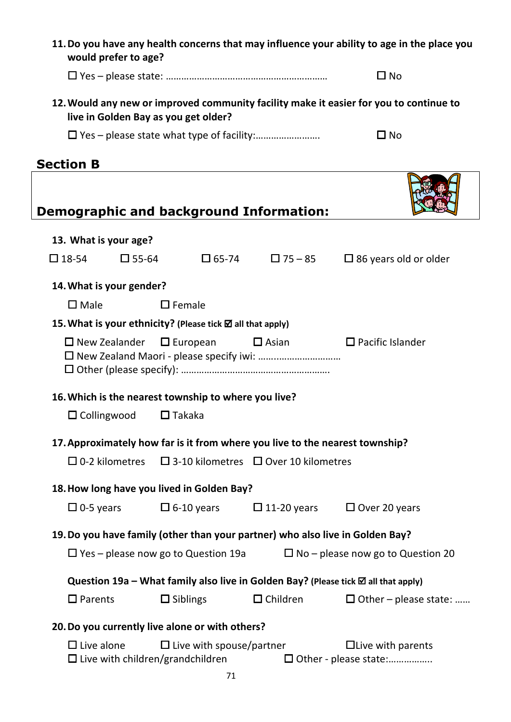**11.Do you have any health concerns that may influence your ability to age in the place you would prefer to age?** 

Yes – please state: ……………………………………………………… No

**12.Would any new or improved community facility make it easier for you to continue to live in Golden Bay as you get older?** 

Yes – please state what type of facility:……………………. No

|                                                                               |                                                            |                                 | <b>Demographic and background Information:</b>                                     |                                                     |
|-------------------------------------------------------------------------------|------------------------------------------------------------|---------------------------------|------------------------------------------------------------------------------------|-----------------------------------------------------|
| 13. What is your age?                                                         |                                                            |                                 |                                                                                    |                                                     |
| $\square$ 18-54                                                               | $\Box$ 55-64                                               |                                 | $\square$ 65-74 $\square$ 75 - 85                                                  | $\Box$ 86 years old or older                        |
|                                                                               | 14. What is your gender?                                   |                                 |                                                                                    |                                                     |
| $\square$ Male                                                                |                                                            | $\Box$ Female                   |                                                                                    |                                                     |
|                                                                               | 15. What is your ethnicity? (Please tick ⊠ all that apply) |                                 |                                                                                    |                                                     |
|                                                                               | $\Box$ New Zealander $\Box$ European                       |                                 | $\square$ Asian                                                                    | $\Box$ Pacific Islander                             |
|                                                                               | 16. Which is the nearest township to where you live?       |                                 |                                                                                    |                                                     |
| $\Box$ Collingwood                                                            |                                                            | $\Box$ Takaka                   |                                                                                    |                                                     |
|                                                                               |                                                            |                                 | 17. Approximately how far is it from where you live to the nearest township?       |                                                     |
|                                                                               | $\Box$ 0-2 kilometres                                      |                                 | $\Box$ 3-10 kilometres $\Box$ Over 10 kilometres                                   |                                                     |
|                                                                               | 18. How long have you lived in Golden Bay?                 |                                 |                                                                                    |                                                     |
|                                                                               | $\Box$ 0-5 years                                           | $\Box$ 6-10 years               | $\Box$ 11-20 years                                                                 | $\Box$ Over 20 years                                |
| 19. Do you have family (other than your partner) who also live in Golden Bay? |                                                            |                                 |                                                                                    |                                                     |
|                                                                               | $\Box$ Yes – please now go to Question 19a                 |                                 |                                                                                    | $\Box$ No – please now go to Question 20            |
|                                                                               |                                                            |                                 | Question 19a – What family also live in Golden Bay? (Please tick Ø all that apply) |                                                     |
| $\square$ Parents                                                             |                                                            | $\Box$ Siblings                 | $\Box$ Children                                                                    | $\Box$ Other – please state:                        |
|                                                                               | 20. Do you currently live alone or with others?            |                                 |                                                                                    |                                                     |
| $\Box$ Live alone                                                             | $\Box$ Live with children/grandchildren                    | $\Box$ Live with spouse/partner |                                                                                    | $\Box$ Live with parents<br>□ Other - please state: |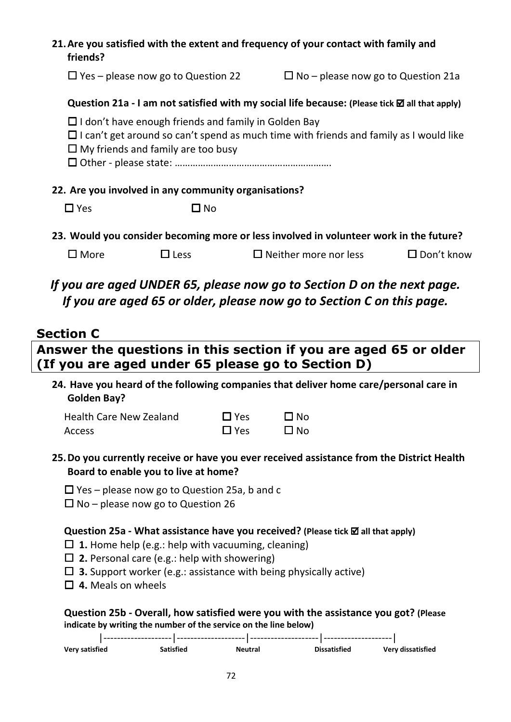# **21.Are you satisfied with the extent and frequency of your contact with family and friends?**

 $\Box$  Yes – please now go to Question 22  $\Box$  No – please now go to Question 21a

## **Question 21a - I am not satisfied with my social life because: (Please tick ⊠ all that apply)**

- $\Box$  I don't have enough friends and family in Golden Bay
- I can't get around so can't spend as much time with friends and family as I would like
- $\Box$  My friends and family are too busy

Other - please state: …………………………………………………….

## **22. Are you involved in any community organisations?**

 $\Box$  Yes  $\Box$  No

**23. Would you consider becoming more or less involved in volunteer work in the future?** 

| $\Box$ More | $\Box$ Less | $\Box$ Neither more nor less | $\square$ Don't know |
|-------------|-------------|------------------------------|----------------------|
|-------------|-------------|------------------------------|----------------------|

# *If you are aged UNDER 65, please now go to Section D on the next page. If you are aged 65 or older, please now go to Section C on this page.*

# **Section C**

# **Answer the questions in this section if you are aged 65 or older (If you are aged under 65 please go to Section D)**

**24. Have you heard of the following companies that deliver home care/personal care in Golden Bay?** 

| <b>Health Care New Zealand</b> | $\Box$ Yes | $\square$ No |
|--------------------------------|------------|--------------|
| Access                         | $\Box$ Yes | $\square$ No |

- **25.Do you currently receive or have you ever received assistance from the District Health Board to enable you to live at home?** 
	- $\Box$  Yes please now go to Question 25a, b and c
	- $\Box$  No please now go to Question 26

### **Question 25a - What assistance have you received? (Please tick ⊠ all that apply)**

- $\Box$  **1.** Home help (e.g.: help with vacuuming, cleaning)
- **2.** Personal care (e.g.: help with showering)
- **3.** Support worker (e.g.: assistance with being physically active)
- **4.** Meals on wheels

# **Question 25b - Overall, how satisfied were you with the assistance you got? (Please indicate by writing the number of the service on the line below)**

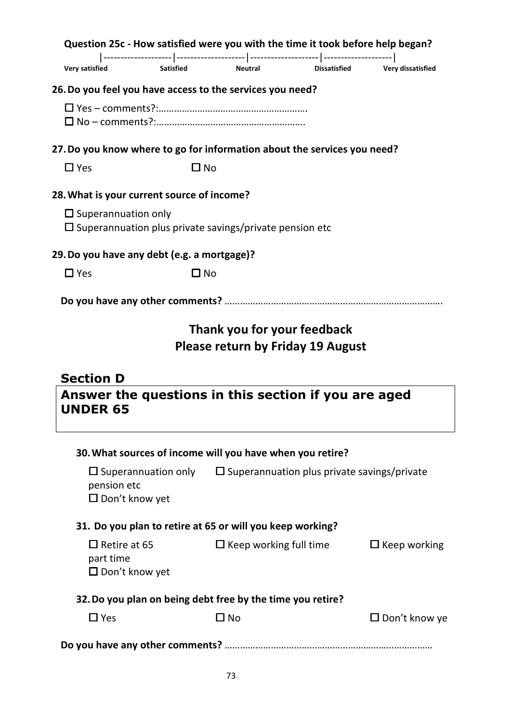|                       |                                                                                                    |                  |                | Question 25c - How satisfied were you with the time it took before help began? |                          |
|-----------------------|----------------------------------------------------------------------------------------------------|------------------|----------------|--------------------------------------------------------------------------------|--------------------------|
| <b>Very satisfied</b> |                                                                                                    | <b>Satisfied</b> | <b>Neutral</b> | <b>Dissatisfied</b>                                                            | <b>Very dissatisfied</b> |
|                       | 26. Do you feel you have access to the services you need?                                          |                  |                |                                                                                |                          |
|                       |                                                                                                    |                  |                |                                                                                |                          |
|                       |                                                                                                    |                  |                | 27. Do you know where to go for information about the services you need?       |                          |
| $\Box$ Yes            |                                                                                                    | □ No             |                |                                                                                |                          |
|                       | 28. What is your current source of income?                                                         |                  |                |                                                                                |                          |
|                       | $\square$ Superannuation only<br>$\square$ Superannuation plus private savings/private pension etc |                  |                |                                                                                |                          |
|                       | 29. Do you have any debt (e.g. a mortgage)?                                                        |                  |                |                                                                                |                          |
| $\Box$ Yes            |                                                                                                    | $\square$ No     |                |                                                                                |                          |
|                       |                                                                                                    |                  |                |                                                                                |                          |
|                       |                                                                                                    |                  |                | Thank you for your feedback<br><b>Please return by Friday 19 August</b>        |                          |

# **Section D**

**Answer the questions in this section if you are aged UNDER 65** 

| 30. What sources of income will you have when you retire? |
|-----------------------------------------------------------|
|                                                           |

| $\square$ Superannuation only<br>pension etc<br>$\Box$ Don't know yet | $\square$ Superannuation plus private savings/private      |                      |
|-----------------------------------------------------------------------|------------------------------------------------------------|----------------------|
|                                                                       | 31. Do you plan to retire at 65 or will you keep working?  |                      |
| $\Box$ Retire at 65<br>part time<br>$\Box$ Don't know yet             | $\Box$ Keep working full time                              | $\Box$ Keep working  |
|                                                                       | 32. Do you plan on being debt free by the time you retire? |                      |
| $\Box$ Yes                                                            | $\square$ No                                               | $\Box$ Don't know ye |
|                                                                       |                                                            |                      |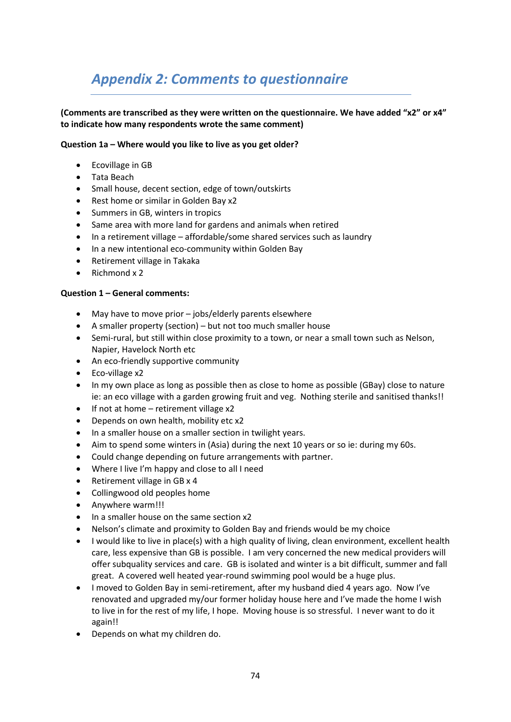# *Appendix 2: Comments to questionnaire*

### **(Comments are transcribed as they were written on the questionnaire. We have added "x2" or x4" to indicate how many respondents wrote the same comment)**

### **Question 1a – Where would you like to live as you get older?**

- Ecovillage in GB
- Tata Beach
- Small house, decent section, edge of town/outskirts
- Rest home or similar in Golden Bay x2
- Summers in GB, winters in tropics
- Same area with more land for gardens and animals when retired
- In a retirement village affordable/some shared services such as laundry
- In a new intentional eco-community within Golden Bay
- Retirement village in Takaka
- Richmond x 2

### **Question 1 – General comments:**

- May have to move prior jobs/elderly parents elsewhere
- A smaller property (section) but not too much smaller house
- Semi-rural, but still within close proximity to a town, or near a small town such as Nelson, Napier, Havelock North etc
- An eco-friendly supportive community
- Eco-village x2
- In my own place as long as possible then as close to home as possible (GBay) close to nature ie: an eco village with a garden growing fruit and veg. Nothing sterile and sanitised thanks!!
- If not at home retirement village x2
- Depends on own health, mobility etc x2
- In a smaller house on a smaller section in twilight years.
- Aim to spend some winters in (Asia) during the next 10 years or so ie: during my 60s.
- Could change depending on future arrangements with partner.
- Where I live I'm happy and close to all I need
- Retirement village in GB x 4
- Collingwood old peoples home
- Anywhere warm!!!
- In a smaller house on the same section x2
- Nelson's climate and proximity to Golden Bay and friends would be my choice
- I would like to live in place(s) with a high quality of living, clean environment, excellent health care, less expensive than GB is possible. I am very concerned the new medical providers will offer subquality services and care. GB is isolated and winter is a bit difficult, summer and fall great. A covered well heated year-round swimming pool would be a huge plus.
- I moved to Golden Bay in semi-retirement, after my husband died 4 years ago. Now I've renovated and upgraded my/our former holiday house here and I've made the home I wish to live in for the rest of my life, I hope. Moving house is so stressful. I never want to do it again!!
- Depends on what my children do.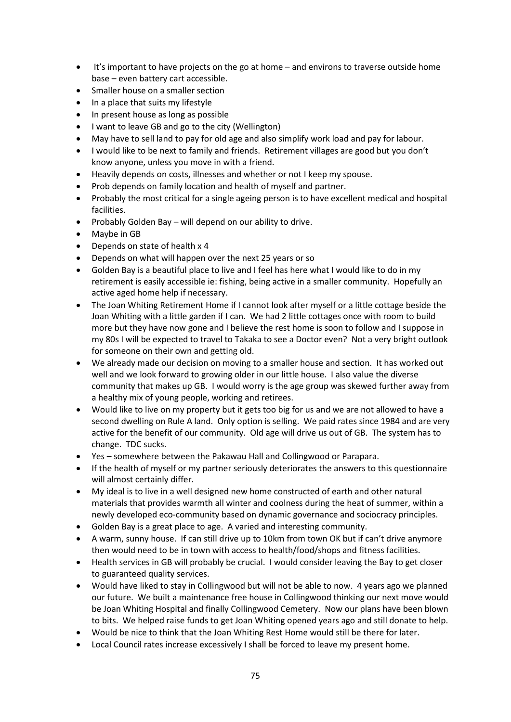- It's important to have projects on the go at home and environs to traverse outside home base – even battery cart accessible.
- Smaller house on a smaller section
- In a place that suits my lifestyle
- In present house as long as possible
- I want to leave GB and go to the city (Wellington)
- May have to sell land to pay for old age and also simplify work load and pay for labour.
- I would like to be next to family and friends. Retirement villages are good but you don't know anyone, unless you move in with a friend.
- Heavily depends on costs, illnesses and whether or not I keep my spouse.
- Prob depends on family location and health of myself and partner.
- Probably the most critical for a single ageing person is to have excellent medical and hospital facilities.
- Probably Golden Bay will depend on our ability to drive.
- Maybe in GB
- Depends on state of health x 4
- Depends on what will happen over the next 25 years or so
- Golden Bay is a beautiful place to live and I feel has here what I would like to do in my retirement is easily accessible ie: fishing, being active in a smaller community. Hopefully an active aged home help if necessary.
- The Joan Whiting Retirement Home if I cannot look after myself or a little cottage beside the Joan Whiting with a little garden if I can. We had 2 little cottages once with room to build more but they have now gone and I believe the rest home is soon to follow and I suppose in my 80s I will be expected to travel to Takaka to see a Doctor even? Not a very bright outlook for someone on their own and getting old.
- We already made our decision on moving to a smaller house and section. It has worked out well and we look forward to growing older in our little house. I also value the diverse community that makes up GB. I would worry is the age group was skewed further away from a healthy mix of young people, working and retirees.
- Would like to live on my property but it gets too big for us and we are not allowed to have a second dwelling on Rule A land. Only option is selling. We paid rates since 1984 and are very active for the benefit of our community. Old age will drive us out of GB. The system has to change. TDC sucks.
- Yes somewhere between the Pakawau Hall and Collingwood or Parapara.
- If the health of myself or my partner seriously deteriorates the answers to this questionnaire will almost certainly differ.
- My ideal is to live in a well designed new home constructed of earth and other natural materials that provides warmth all winter and coolness during the heat of summer, within a newly developed eco-community based on dynamic governance and sociocracy principles.
- Golden Bay is a great place to age. A varied and interesting community.
- A warm, sunny house. If can still drive up to 10km from town OK but if can't drive anymore then would need to be in town with access to health/food/shops and fitness facilities.
- Health services in GB will probably be crucial. I would consider leaving the Bay to get closer to guaranteed quality services.
- Would have liked to stay in Collingwood but will not be able to now. 4 years ago we planned our future. We built a maintenance free house in Collingwood thinking our next move would be Joan Whiting Hospital and finally Collingwood Cemetery. Now our plans have been blown to bits. We helped raise funds to get Joan Whiting opened years ago and still donate to help.
- Would be nice to think that the Joan Whiting Rest Home would still be there for later.
- Local Council rates increase excessively I shall be forced to leave my present home.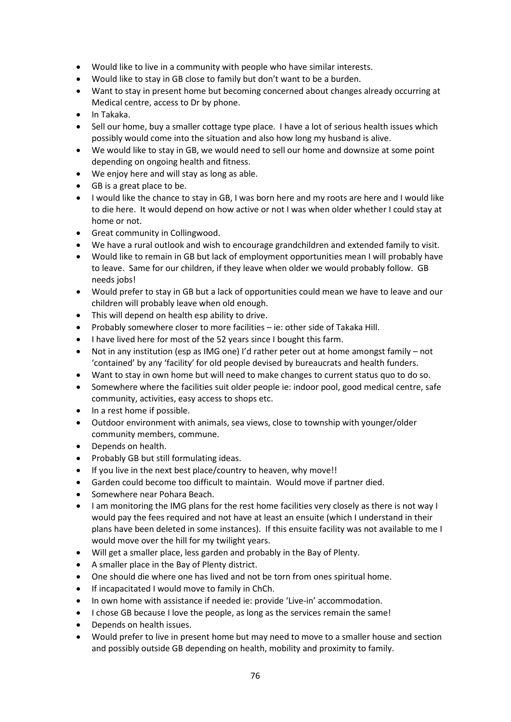- Would like to live in a community with people who have similar interests.
- Would like to stay in GB close to family but don't want to be a burden.
- Want to stay in present home but becoming concerned about changes already occurring at Medical centre, access to Dr by phone.
- In Takaka.
- Sell our home, buy a smaller cottage type place. I have a lot of serious health issues which possibly would come into the situation and also how long my husband is alive.
- We would like to stay in GB, we would need to sell our home and downsize at some point depending on ongoing health and fitness.
- We enjoy here and will stay as long as able.
- GB is a great place to be.
- I would like the chance to stay in GB, I was born here and my roots are here and I would like to die here. It would depend on how active or not I was when older whether I could stay at home or not.
- Great community in Collingwood.
- We have a rural outlook and wish to encourage grandchildren and extended family to visit.
- Would like to remain in GB but lack of employment opportunities mean I will probably have to leave. Same for our children, if they leave when older we would probably follow. GB needs jobs!
- Would prefer to stay in GB but a lack of opportunities could mean we have to leave and our children will probably leave when old enough.
- This will depend on health esp ability to drive.
- Probably somewhere closer to more facilities ie: other side of Takaka Hill.
- I have lived here for most of the 52 years since I bought this farm.
- Not in any institution (esp as IMG one) I'd rather peter out at home amongst family not 'contained' by any 'facility' for old people devised by bureaucrats and health funders.
- Want to stay in own home but will need to make changes to current status quo to do so.
- Somewhere where the facilities suit older people ie: indoor pool, good medical centre, safe community, activities, easy access to shops etc.
- In a rest home if possible.
- Outdoor environment with animals, sea views, close to township with younger/older community members, commune.
- Depends on health.
- Probably GB but still formulating ideas.
- If you live in the next best place/country to heaven, why move!!
- Garden could become too difficult to maintain. Would move if partner died.
- Somewhere near Pohara Beach.
- I am monitoring the IMG plans for the rest home facilities very closely as there is not way I would pay the fees required and not have at least an ensuite (which I understand in their plans have been deleted in some instances). If this ensuite facility was not available to me I would move over the hill for my twilight years.
- Will get a smaller place, less garden and probably in the Bay of Plenty.
- A smaller place in the Bay of Plenty district.
- One should die where one has lived and not be torn from ones spiritual home.
- If incapacitated I would move to family in ChCh.
- In own home with assistance if needed ie: provide 'Live-in' accommodation.
- I chose GB because I love the people, as long as the services remain the same!
- Depends on health issues.
- Would prefer to live in present home but may need to move to a smaller house and section and possibly outside GB depending on health, mobility and proximity to family.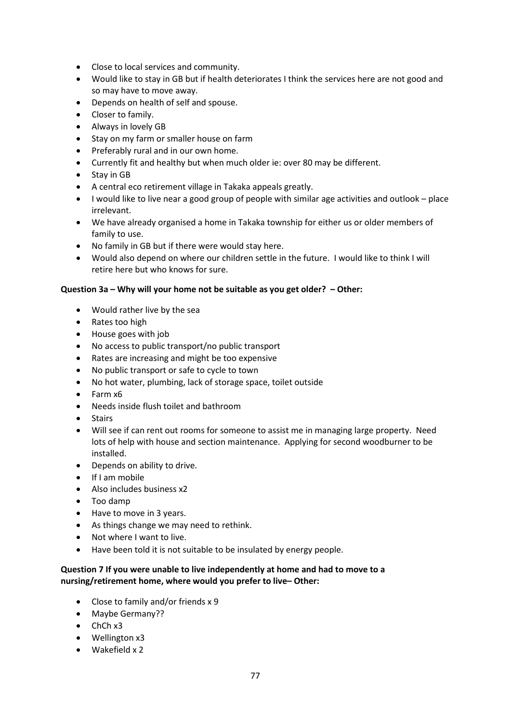- Close to local services and community.
- Would like to stay in GB but if health deteriorates I think the services here are not good and so may have to move away.
- Depends on health of self and spouse.
- Closer to family.
- Always in lovely GB
- Stay on my farm or smaller house on farm
- Preferably rural and in our own home.
- Currently fit and healthy but when much older ie: over 80 may be different.
- Stay in GB
- A central eco retirement village in Takaka appeals greatly.
- I would like to live near a good group of people with similar age activities and outlook place irrelevant.
- We have already organised a home in Takaka township for either us or older members of family to use.
- No family in GB but if there were would stay here.
- Would also depend on where our children settle in the future. I would like to think I will retire here but who knows for sure.

### **Question 3a – Why will your home not be suitable as you get older? – Other:**

- Would rather live by the sea
- Rates too high
- House goes with job
- No access to public transport/no public transport
- Rates are increasing and might be too expensive
- No public transport or safe to cycle to town
- No hot water, plumbing, lack of storage space, toilet outside
- Farm x6
- Needs inside flush toilet and bathroom
- **Stairs**
- Will see if can rent out rooms for someone to assist me in managing large property. Need lots of help with house and section maintenance. Applying for second woodburner to be installed.
- Depends on ability to drive.
- If I am mobile
- Also includes business x2
- Too damp
- Have to move in 3 years.
- As things change we may need to rethink.
- Not where I want to live.
- Have been told it is not suitable to be insulated by energy people.

### **Question 7 If you were unable to live independently at home and had to move to a nursing/retirement home, where would you prefer to live– Other:**

- Close to family and/or friends x 9
- Maybe Germany??
- ChCh x3
- Wellington x3
- Wakefield x 2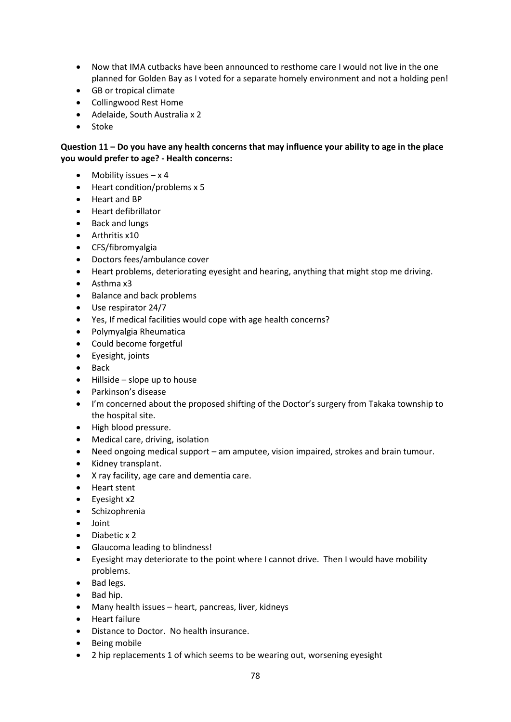- Now that IMA cutbacks have been announced to resthome care I would not live in the one planned for Golden Bay as I voted for a separate homely environment and not a holding pen!
- GB or tropical climate
- Collingwood Rest Home
- Adelaide, South Australia x 2
- Stoke

### **Question 11 – Do you have any health concerns that may influence your ability to age in the place you would prefer to age? - Health concerns:**

- Mobility issues  $-x$  4
- Heart condition/problems x 5
- Heart and BP
- Heart defibrillator
- Back and lungs
- Arthritis x10
- CFS/fibromyalgia
- Doctors fees/ambulance cover
- Heart problems, deteriorating eyesight and hearing, anything that might stop me driving.
- Asthma x3
- Balance and back problems
- Use respirator 24/7
- Yes, If medical facilities would cope with age health concerns?
- Polymyalgia Rheumatica
- Could become forgetful
- Eyesight, joints
- Back
- Hillside slope up to house
- Parkinson's disease
- I'm concerned about the proposed shifting of the Doctor's surgery from Takaka township to the hospital site.
- High blood pressure.
- Medical care, driving, isolation
- Need ongoing medical support am amputee, vision impaired, strokes and brain tumour.
- Kidney transplant.
- X ray facility, age care and dementia care.
- Heart stent
- Eyesight x2
- Schizophrenia
- Joint
- Diabetic x 2
- Glaucoma leading to blindness!
- Eyesight may deteriorate to the point where I cannot drive. Then I would have mobility problems.
- Bad legs.
- Bad hip.
- Many health issues heart, pancreas, liver, kidneys
- Heart failure
- Distance to Doctor. No health insurance.
- Being mobile
- 2 hip replacements 1 of which seems to be wearing out, worsening eyesight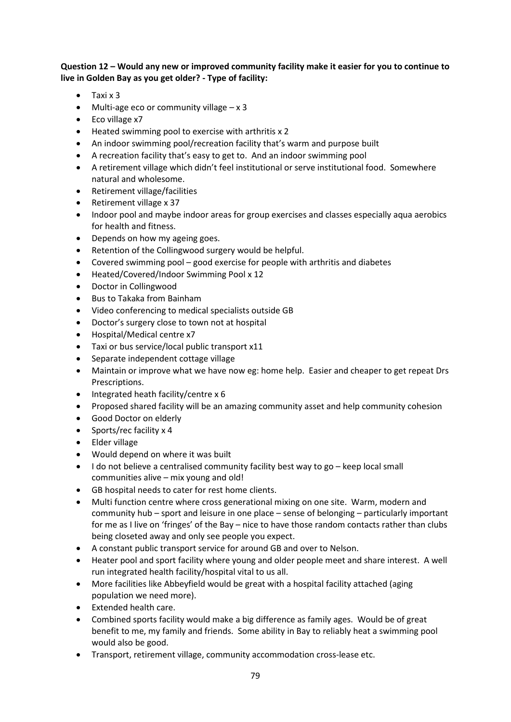### **Question 12 – Would any new or improved community facility make it easier for you to continue to live in Golden Bay as you get older? - Type of facility:**

- Taxi x 3
- Multi-age eco or community village x 3
- Eco village x7
- Heated swimming pool to exercise with arthritis x 2
- An indoor swimming pool/recreation facility that's warm and purpose built
- A recreation facility that's easy to get to. And an indoor swimming pool
- A retirement village which didn't feel institutional or serve institutional food. Somewhere natural and wholesome.
- Retirement village/facilities
- Retirement village x 37
- Indoor pool and maybe indoor areas for group exercises and classes especially aqua aerobics for health and fitness.
- Depends on how my ageing goes.
- Retention of the Collingwood surgery would be helpful.
- Covered swimming pool good exercise for people with arthritis and diabetes
- Heated/Covered/Indoor Swimming Pool x 12
- Doctor in Collingwood
- Bus to Takaka from Bainham
- Video conferencing to medical specialists outside GB
- Doctor's surgery close to town not at hospital
- Hospital/Medical centre x7
- Taxi or bus service/local public transport x11
- Separate independent cottage village
- Maintain or improve what we have now eg: home help. Easier and cheaper to get repeat Drs Prescriptions.
- Integrated heath facility/centre x 6
- Proposed shared facility will be an amazing community asset and help community cohesion
- Good Doctor on elderly
- Sports/rec facility x 4
- Elder village
- Would depend on where it was built
- I do not believe a centralised community facility best way to go keep local small communities alive – mix young and old!
- GB hospital needs to cater for rest home clients.
- Multi function centre where cross generational mixing on one site. Warm, modern and community hub – sport and leisure in one place – sense of belonging – particularly important for me as I live on 'fringes' of the Bay – nice to have those random contacts rather than clubs being closeted away and only see people you expect.
- A constant public transport service for around GB and over to Nelson.
- Heater pool and sport facility where young and older people meet and share interest. A well run integrated health facility/hospital vital to us all.
- More facilities like Abbeyfield would be great with a hospital facility attached (aging population we need more).
- Extended health care.
- Combined sports facility would make a big difference as family ages. Would be of great benefit to me, my family and friends. Some ability in Bay to reliably heat a swimming pool would also be good.
- Transport, retirement village, community accommodation cross-lease etc.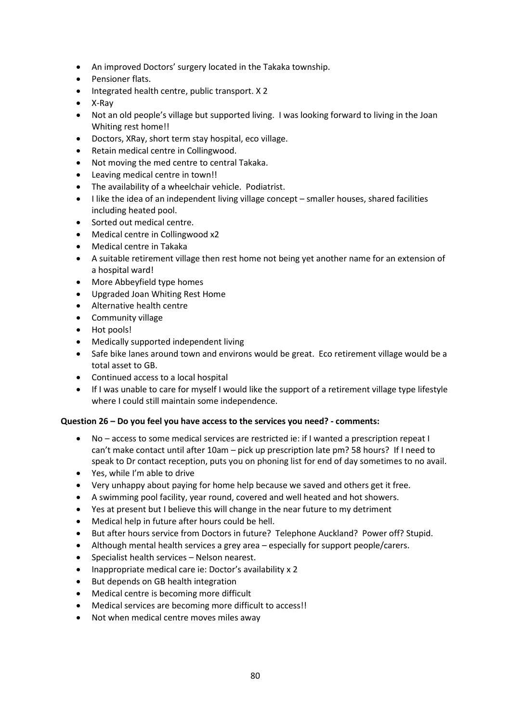- An improved Doctors' surgery located in the Takaka township.
- Pensioner flats.
- Integrated health centre, public transport. X 2
- X-Ray
- Not an old people's village but supported living. I was looking forward to living in the Joan Whiting rest home!!
- Doctors, XRay, short term stay hospital, eco village.
- Retain medical centre in Collingwood.
- Not moving the med centre to central Takaka.
- Leaving medical centre in town!!
- The availability of a wheelchair vehicle. Podiatrist.
- I like the idea of an independent living village concept smaller houses, shared facilities including heated pool.
- Sorted out medical centre.
- Medical centre in Collingwood x2
- Medical centre in Takaka
- A suitable retirement village then rest home not being yet another name for an extension of a hospital ward!
- More Abbeyfield type homes
- Upgraded Joan Whiting Rest Home
- Alternative health centre
- Community village
- Hot pools!
- Medically supported independent living
- Safe bike lanes around town and environs would be great. Eco retirement village would be a total asset to GB.
- Continued access to a local hospital
- If I was unable to care for myself I would like the support of a retirement village type lifestyle where I could still maintain some independence.

### **Question 26 – Do you feel you have access to the services you need? - comments:**

- No access to some medical services are restricted ie: if I wanted a prescription repeat I can't make contact until after 10am – pick up prescription late pm? 58 hours? If I need to speak to Dr contact reception, puts you on phoning list for end of day sometimes to no avail.
- Yes, while I'm able to drive
- Very unhappy about paying for home help because we saved and others get it free.
- A swimming pool facility, year round, covered and well heated and hot showers.
- Yes at present but I believe this will change in the near future to my detriment
- Medical help in future after hours could be hell.
- But after hours service from Doctors in future? Telephone Auckland? Power off? Stupid.
- Although mental health services a grey area especially for support people/carers.
- Specialist health services Nelson nearest.
- Inappropriate medical care ie: Doctor's availability x 2
- But depends on GB health integration
- Medical centre is becoming more difficult
- Medical services are becoming more difficult to access!!
- Not when medical centre moves miles away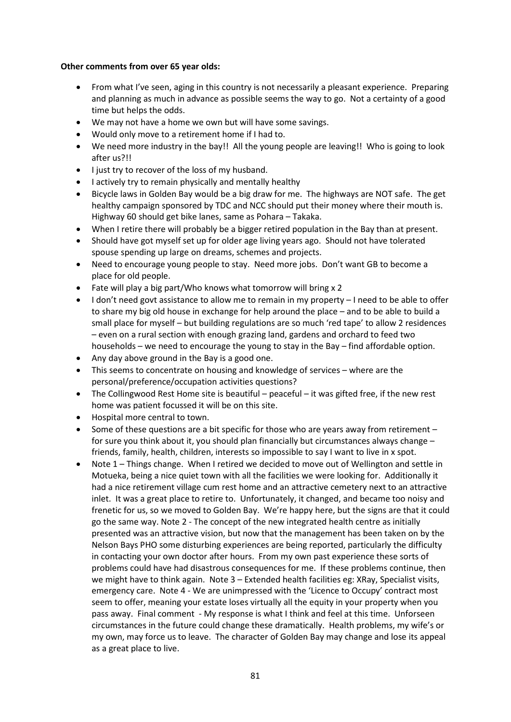### **Other comments from over 65 year olds:**

- From what I've seen, aging in this country is not necessarily a pleasant experience. Preparing and planning as much in advance as possible seems the way to go. Not a certainty of a good time but helps the odds.
- We may not have a home we own but will have some savings.
- Would only move to a retirement home if I had to.
- We need more industry in the bay!! All the young people are leaving!! Who is going to look after us?!!
- I just try to recover of the loss of my husband.
- I actively try to remain physically and mentally healthy
- Bicycle laws in Golden Bay would be a big draw for me. The highways are NOT safe. The get healthy campaign sponsored by TDC and NCC should put their money where their mouth is. Highway 60 should get bike lanes, same as Pohara – Takaka.
- When I retire there will probably be a bigger retired population in the Bay than at present.
- Should have got myself set up for older age living years ago. Should not have tolerated spouse spending up large on dreams, schemes and projects.
- Need to encourage young people to stay. Need more jobs. Don't want GB to become a place for old people.
- Fate will play a big part/Who knows what tomorrow will bring x 2
- I don't need govt assistance to allow me to remain in my property I need to be able to offer to share my big old house in exchange for help around the place – and to be able to build a small place for myself – but building regulations are so much 'red tape' to allow 2 residences – even on a rural section with enough grazing land, gardens and orchard to feed two households – we need to encourage the young to stay in the Bay – find affordable option.
- Any day above ground in the Bay is a good one.
- This seems to concentrate on housing and knowledge of services where are the personal/preference/occupation activities questions?
- The Collingwood Rest Home site is beautiful peaceful it was gifted free, if the new rest home was patient focussed it will be on this site.
- Hospital more central to town.
- Some of these questions are a bit specific for those who are years away from retirement  $$ for sure you think about it, you should plan financially but circumstances always change – friends, family, health, children, interests so impossible to say I want to live in x spot.
- Note 1 Things change. When I retired we decided to move out of Wellington and settle in Motueka, being a nice quiet town with all the facilities we were looking for. Additionally it had a nice retirement village cum rest home and an attractive cemetery next to an attractive inlet. It was a great place to retire to. Unfortunately, it changed, and became too noisy and frenetic for us, so we moved to Golden Bay. We're happy here, but the signs are that it could go the same way. Note 2 - The concept of the new integrated health centre as initially presented was an attractive vision, but now that the management has been taken on by the Nelson Bays PHO some disturbing experiences are being reported, particularly the difficulty in contacting your own doctor after hours. From my own past experience these sorts of problems could have had disastrous consequences for me. If these problems continue, then we might have to think again. Note 3 – Extended health facilities eg: XRay, Specialist visits, emergency care. Note 4 - We are unimpressed with the 'Licence to Occupy' contract most seem to offer, meaning your estate loses virtually all the equity in your property when you pass away. Final comment - My response is what I think and feel at this time. Unforseen circumstances in the future could change these dramatically. Health problems, my wife's or my own, may force us to leave. The character of Golden Bay may change and lose its appeal as a great place to live.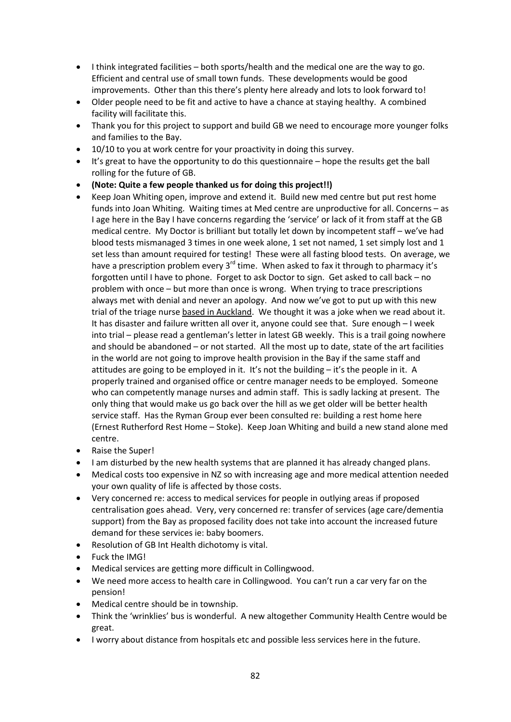- I think integrated facilities both sports/health and the medical one are the way to go. Efficient and central use of small town funds. These developments would be good improvements. Other than this there's plenty here already and lots to look forward to!
- Older people need to be fit and active to have a chance at staying healthy. A combined facility will facilitate this.
- Thank you for this project to support and build GB we need to encourage more younger folks and families to the Bay.
- 10/10 to you at work centre for your proactivity in doing this survey.
- It's great to have the opportunity to do this questionnaire hope the results get the ball rolling for the future of GB.
- **(Note: Quite a few people thanked us for doing this project!!)**
- Keep Joan Whiting open, improve and extend it. Build new med centre but put rest home funds into Joan Whiting. Waiting times at Med centre are unproductive for all. Concerns – as I age here in the Bay I have concerns regarding the 'service' or lack of it from staff at the GB medical centre. My Doctor is brilliant but totally let down by incompetent staff – we've had blood tests mismanaged 3 times in one week alone, 1 set not named, 1 set simply lost and 1 set less than amount required for testing! These were all fasting blood tests. On average, we have a prescription problem every  $3<sup>rd</sup>$  time. When asked to fax it through to pharmacy it's forgotten until I have to phone. Forget to ask Doctor to sign. Get asked to call back – no problem with once – but more than once is wrong. When trying to trace prescriptions always met with denial and never an apology. And now we've got to put up with this new trial of the triage nurse based in Auckland. We thought it was a joke when we read about it. It has disaster and failure written all over it, anyone could see that. Sure enough – I week into trial – please read a gentleman's letter in latest GB weekly. This is a trail going nowhere and should be abandoned – or not started. All the most up to date, state of the art facilities in the world are not going to improve health provision in the Bay if the same staff and attitudes are going to be employed in it. It's not the building – it's the people in it. A properly trained and organised office or centre manager needs to be employed. Someone who can competently manage nurses and admin staff. This is sadly lacking at present. The only thing that would make us go back over the hill as we get older will be better health service staff. Has the Ryman Group ever been consulted re: building a rest home here (Ernest Rutherford Rest Home – Stoke). Keep Joan Whiting and build a new stand alone med centre.
- Raise the Super!
- I am disturbed by the new health systems that are planned it has already changed plans.
- Medical costs too expensive in NZ so with increasing age and more medical attention needed your own quality of life is affected by those costs.
- Very concerned re: access to medical services for people in outlying areas if proposed centralisation goes ahead. Very, very concerned re: transfer of services (age care/dementia support) from the Bay as proposed facility does not take into account the increased future demand for these services ie: baby boomers.
- Resolution of GB Int Health dichotomy is vital.
- Fuck the IMG!
- Medical services are getting more difficult in Collingwood.
- We need more access to health care in Collingwood. You can't run a car very far on the pension!
- Medical centre should be in township.
- Think the 'wrinklies' bus is wonderful. A new altogether Community Health Centre would be great.
- I worry about distance from hospitals etc and possible less services here in the future.